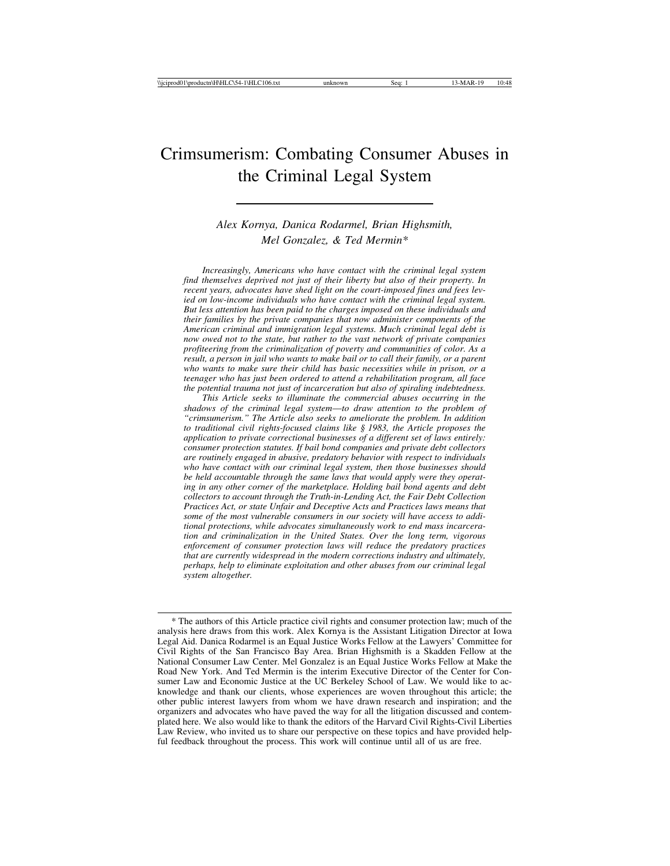# Crimsumerism: Combating Consumer Abuses in the Criminal Legal System

# *Alex Kornya, Danica Rodarmel, Brian Highsmith, Mel Gonzalez, & Ted Mermin\**

*Increasingly, Americans who have contact with the criminal legal system find themselves deprived not just of their liberty but also of their property. In recent years, advocates have shed light on the court-imposed fines and fees levied on low-income individuals who have contact with the criminal legal system. But less attention has been paid to the charges imposed on these individuals and their families by the private companies that now administer components of the American criminal and immigration legal systems. Much criminal legal debt is now owed not to the state, but rather to the vast network of private companies profiteering from the criminalization of poverty and communities of color. As a result, a person in jail who wants to make bail or to call their family, or a parent who wants to make sure their child has basic necessities while in prison, or a teenager who has just been ordered to attend a rehabilitation program, all face the potential trauma not just of incarceration but also of spiraling indebtedness.*

*This Article seeks to illuminate the commercial abuses occurring in the shadows of the criminal legal system*—*to draw attention to the problem of "crimsumerism." The Article also seeks to ameliorate the problem. In addition to traditional civil rights-focused claims like § 1983, the Article proposes the application to private correctional businesses of a different set of laws entirely: consumer protection statutes. If bail bond companies and private debt collectors are routinely engaged in abusive, predatory behavior with respect to individuals who have contact with our criminal legal system, then those businesses should be held accountable through the same laws that would apply were they operating in any other corner of the marketplace. Holding bail bond agents and debt collectors to account through the Truth-in-Lending Act, the Fair Debt Collection Practices Act, or state Unfair and Deceptive Acts and Practices laws means that some of the most vulnerable consumers in our society will have access to additional protections, while advocates simultaneously work to end mass incarceration and criminalization in the United States. Over the long term, vigorous enforcement of consumer protection laws will reduce the predatory practices that are currently widespread in the modern corrections industry and ultimately, perhaps, help to eliminate exploitation and other abuses from our criminal legal system altogether.*

<sup>\*</sup> The authors of this Article practice civil rights and consumer protection law; much of the analysis here draws from this work. Alex Kornya is the Assistant Litigation Director at Iowa Legal Aid. Danica Rodarmel is an Equal Justice Works Fellow at the Lawyers' Committee for Civil Rights of the San Francisco Bay Area. Brian Highsmith is a Skadden Fellow at the National Consumer Law Center. Mel Gonzalez is an Equal Justice Works Fellow at Make the Road New York. And Ted Mermin is the interim Executive Director of the Center for Consumer Law and Economic Justice at the UC Berkeley School of Law. We would like to acknowledge and thank our clients, whose experiences are woven throughout this article; the other public interest lawyers from whom we have drawn research and inspiration; and the organizers and advocates who have paved the way for all the litigation discussed and contemplated here. We also would like to thank the editors of the Harvard Civil Rights-Civil Liberties Law Review, who invited us to share our perspective on these topics and have provided helpful feedback throughout the process. This work will continue until all of us are free.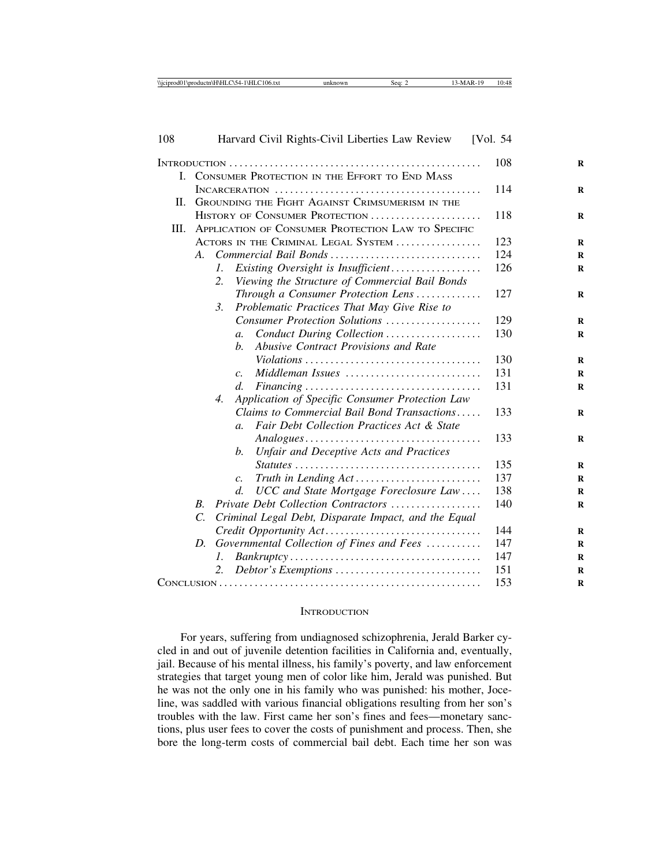| 108 | Harvard Civil Rights-Civil Liberties Law Review                                    | [Vol. $54$ ] |
|-----|------------------------------------------------------------------------------------|--------------|
|     |                                                                                    | 108          |
|     | I. CONSUMER PROTECTION IN THE EFFORT TO END MASS                                   |              |
|     |                                                                                    | 114          |
| П.  | GROUNDING THE FIGHT AGAINST CRIMSUMERISM IN THE                                    |              |
|     | HISTORY OF CONSUMER PROTECTION                                                     | 118          |
| Ш.  | APPLICATION OF CONSUMER PROTECTION LAW TO SPECIFIC                                 |              |
|     | ACTORS IN THE CRIMINAL LEGAL SYSTEM                                                | 123          |
|     | Commercial Bail Bonds<br>$A_{-}$                                                   | 124          |
|     | Existing Oversight is Insufficient<br>1.                                           | 126          |
|     | 2.<br>Viewing the Structure of Commercial Bail Bonds                               |              |
|     | Through a Consumer Protection Lens                                                 | 127          |
|     | 3.<br>Problematic Practices That May Give Rise to                                  |              |
|     | Consumer Protection Solutions                                                      | 129          |
|     | Conduct During Collection<br>$\mathfrak{a}$ .                                      | 130          |
|     | Abusive Contract Provisions and Rate<br>$h$ .                                      |              |
|     |                                                                                    | 130          |
|     | Middleman Issues<br>$\mathcal{C}$ .                                                | 131          |
|     | d.                                                                                 | 131          |
|     | Application of Specific Consumer Protection Law<br>4.                              |              |
|     | Claims to Commercial Bail Bond Transactions                                        | 133          |
|     | Fair Debt Collection Practices Act & State<br>$\mathfrak{a}$ .                     |              |
|     |                                                                                    | 133          |
|     | <b>Unfair and Deceptive Acts and Practices</b><br>b.                               |              |
|     | $Statistics \ldots \ldots \ldots \ldots \ldots \ldots \ldots \ldots \ldots \ldots$ | 135          |
|     | $\mathcal{C}$ .                                                                    | 137          |
|     | UCC and State Mortgage Foreclosure Law<br>$d$ .                                    | 138          |
|     | B <sub>1</sub><br>Private Debt Collection Contractors                              | 140          |
|     | $\mathcal{C}$<br>Criminal Legal Debt, Disparate Impact, and the Equal              |              |
|     |                                                                                    | 144          |
|     | Governmental Collection of Fines and Fees<br>D.                                    | 147          |
|     | 1.                                                                                 | 147          |
|     | 2.<br>Debtor's Exemptions                                                          | 151          |
|     |                                                                                    | 153          |

#### **INTRODUCTION**

For years, suffering from undiagnosed schizophrenia, Jerald Barker cycled in and out of juvenile detention facilities in California and, eventually, jail. Because of his mental illness, his family's poverty, and law enforcement strategies that target young men of color like him, Jerald was punished. But he was not the only one in his family who was punished: his mother, Joceline, was saddled with various financial obligations resulting from her son's troubles with the law. First came her son's fines and fees—monetary sanctions, plus user fees to cover the costs of punishment and process. Then, she bore the long-term costs of commercial bail debt. Each time her son was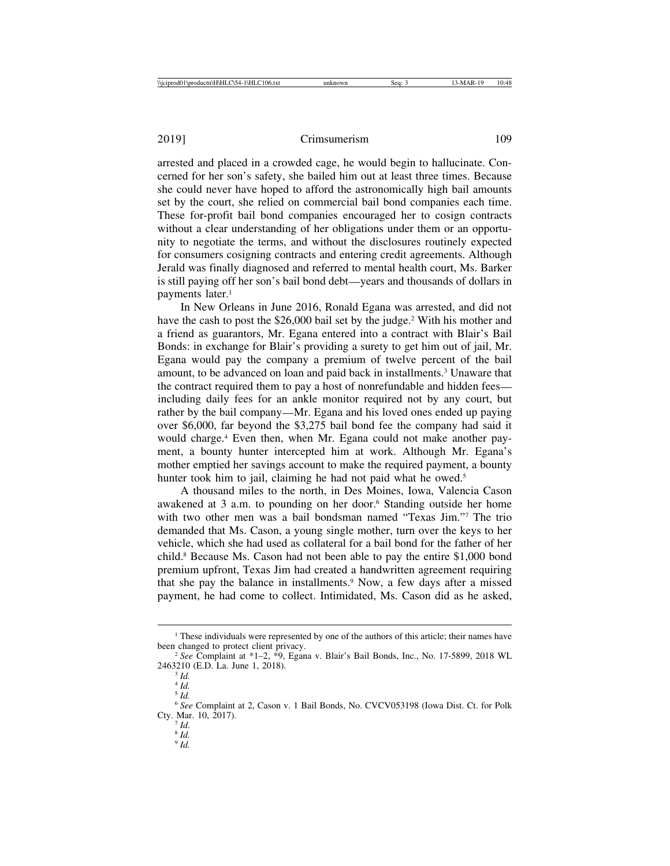arrested and placed in a crowded cage, he would begin to hallucinate. Concerned for her son's safety, she bailed him out at least three times. Because she could never have hoped to afford the astronomically high bail amounts set by the court, she relied on commercial bail bond companies each time. These for-profit bail bond companies encouraged her to cosign contracts without a clear understanding of her obligations under them or an opportunity to negotiate the terms, and without the disclosures routinely expected for consumers cosigning contracts and entering credit agreements. Although Jerald was finally diagnosed and referred to mental health court, Ms. Barker is still paying off her son's bail bond debt—years and thousands of dollars in payments later.<sup>1</sup>

In New Orleans in June 2016, Ronald Egana was arrested, and did not have the cash to post the \$26,000 bail set by the judge.<sup>2</sup> With his mother and a friend as guarantors, Mr. Egana entered into a contract with Blair's Bail Bonds: in exchange for Blair's providing a surety to get him out of jail, Mr. Egana would pay the company a premium of twelve percent of the bail amount, to be advanced on loan and paid back in installments.3 Unaware that the contract required them to pay a host of nonrefundable and hidden fees including daily fees for an ankle monitor required not by any court, but rather by the bail company—Mr. Egana and his loved ones ended up paying over \$6,000, far beyond the \$3,275 bail bond fee the company had said it would charge.4 Even then, when Mr. Egana could not make another payment, a bounty hunter intercepted him at work. Although Mr. Egana's mother emptied her savings account to make the required payment, a bounty hunter took him to jail, claiming he had not paid what he owed.<sup>5</sup>

A thousand miles to the north, in Des Moines, Iowa, Valencia Cason awakened at 3 a.m. to pounding on her door.6 Standing outside her home with two other men was a bail bondsman named "Texas Jim."7 The trio demanded that Ms. Cason, a young single mother, turn over the keys to her vehicle, which she had used as collateral for a bail bond for the father of her child.8 Because Ms. Cason had not been able to pay the entire \$1,000 bond premium upfront, Texas Jim had created a handwritten agreement requiring that she pay the balance in installments.9 Now, a few days after a missed payment, he had come to collect. Intimidated, Ms. Cason did as he asked,

<sup>9</sup> *Id.*

<sup>1</sup> These individuals were represented by one of the authors of this article; their names have been changed to protect client privacy. <sup>2</sup> *See* Complaint at \*1–2, \*9, Egana v. Blair's Bail Bonds, Inc., No. 17-5899, 2018 WL

<sup>2463210 (</sup>E.D. La. June 1, 2018). <sup>3</sup> *Id.*

<sup>4</sup> *Id.* <sup>5</sup> *Id.*

<sup>6</sup> *See* Complaint at 2, Cason v. 1 Bail Bonds, No. CVCV053198 (Iowa Dist. Ct. for Polk Cty. Mar. 10, 2017). <sup>7</sup> *Id*. <sup>8</sup> *Id.*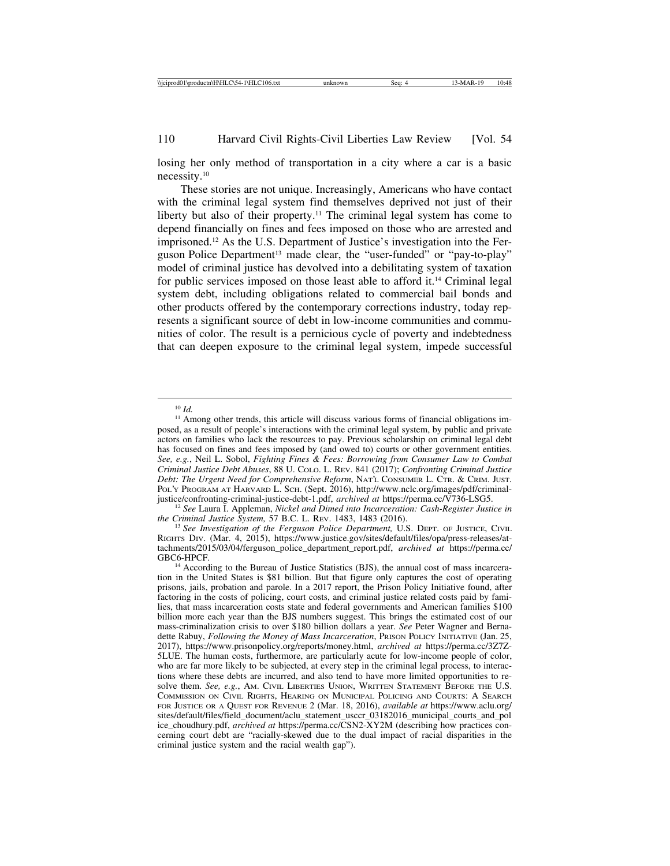losing her only method of transportation in a city where a car is a basic necessity.10

These stories are not unique. Increasingly, Americans who have contact with the criminal legal system find themselves deprived not just of their liberty but also of their property.<sup>11</sup> The criminal legal system has come to depend financially on fines and fees imposed on those who are arrested and imprisoned.12 As the U.S. Department of Justice's investigation into the Ferguson Police Department<sup>13</sup> made clear, the "user-funded" or "pay-to-play" model of criminal justice has devolved into a debilitating system of taxation for public services imposed on those least able to afford it.14 Criminal legal system debt, including obligations related to commercial bail bonds and other products offered by the contemporary corrections industry, today represents a significant source of debt in low-income communities and communities of color. The result is a pernicious cycle of poverty and indebtedness that can deepen exposure to the criminal legal system, impede successful

<sup>12</sup> See Laura I. Appleman, *Nickel and Dimed into Incarceration: Cash-Register Justice in the Criminal Justice System, 57 B.C. L. Rev. 1483, 1483 (2016).* 

<sup>&</sup>lt;sup>10</sup> *Id.* 11 Among other trends, this article will discuss various forms of financial obligations imposed, as a result of people's interactions with the criminal legal system, by public and private actors on families who lack the resources to pay. Previous scholarship on criminal legal debt has focused on fines and fees imposed by (and owed to) courts or other government entities. *See, e.g.*, Neil L. Sobol, *Fighting Fines & Fees: Borrowing from Consumer Law to Combat Criminal Justice Debt Abuses*, 88 U. COLO. L. REV. 841 (2017); *Confronting Criminal Justice Debt: The Urgent Need for Comprehensive Reform*, NAT'L CONSUMER L. CTR. & CRIM. JUST. POL'Y PROGRAM AT HARVARD L. SCH. (Sept. 2016), http://www.nclc.org/images/pdf/criminal-justice/confronting-criminal-justice-debt-1.pdf, *archived at https://perma.cc/V736-LSG5*.

<sup>&</sup>lt;sup>13</sup> See Investigation of the Ferguson Police Department, U.S. DEPT. OF JUSTICE, CIVIL RIGHTS DIV. (Mar. 4, 2015), https://www.justice.gov/sites/default/files/opa/press-releases/attachments/2015/03/04/ferguson\_police\_department\_report.pdf, *archived at* https://perma.cc/

<sup>&</sup>lt;sup>14</sup> According to the Bureau of Justice Statistics (BJS), the annual cost of mass incarceration in the United States is \$81 billion. But that figure only captures the cost of operating prisons, jails, probation and parole. In a 2017 report, the Prison Policy Initiative found, after factoring in the costs of policing, court costs, and criminal justice related costs paid by families, that mass incarceration costs state and federal governments and American families \$100 billion more each year than the BJS numbers suggest. This brings the estimated cost of our mass-criminalization crisis to over \$180 billion dollars a year. *See* Peter Wagner and Bernadette Rabuy, *Following the Money of Mass Incarceration*, PRISON POLICY INITIATIVE (Jan. 25, 2017), https://www.prisonpolicy.org/reports/money.html, *archived at* https://perma.cc/3Z7Z-5LUE. The human costs, furthermore, are particularly acute for low-income people of color, who are far more likely to be subjected, at every step in the criminal legal process, to interactions where these debts are incurred, and also tend to have more limited opportunities to resolve them. *See, e.g.*, AM. CIVIL LIBERTIES UNION, WRITTEN STATEMENT BEFORE THE U.S. COMMISSION ON CIVIL RIGHTS, HEARING ON MUNICIPAL POLICING AND COURTS: A SEARCH FOR JUSTICE OR A QUEST FOR REVENUE 2 (Mar. 18, 2016), *available at* https://www.aclu.org/ sites/default/files/field\_document/aclu\_statement\_usccr\_03182016\_municipal\_courts\_and\_pol ice\_choudhury.pdf, *archived at* https://perma.cc/CSN2-XY2M (describing how practices concerning court debt are "racially-skewed due to the dual impact of racial disparities in the criminal justice system and the racial wealth gap").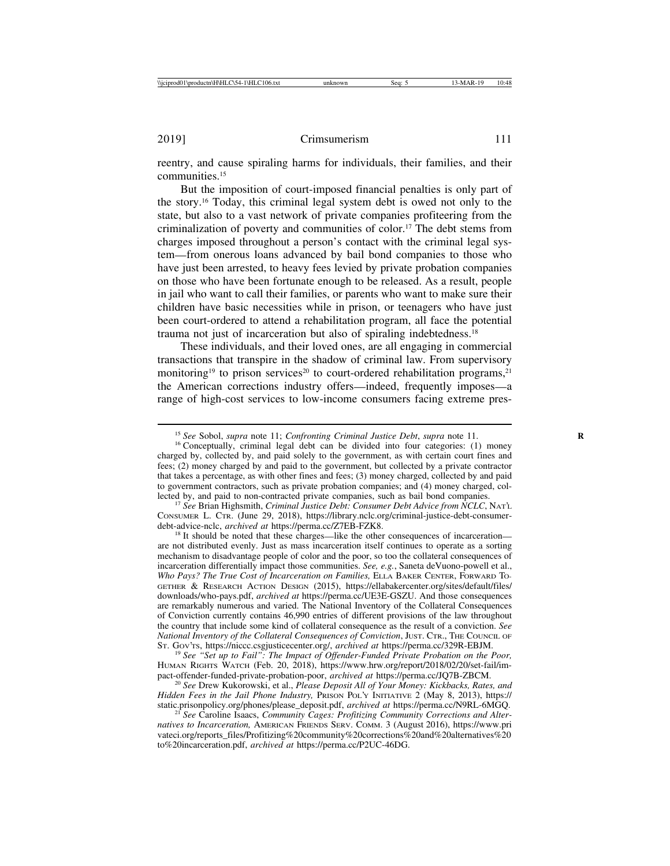reentry, and cause spiraling harms for individuals, their families, and their communities.15

But the imposition of court-imposed financial penalties is only part of the story.16 Today, this criminal legal system debt is owed not only to the state, but also to a vast network of private companies profiteering from the criminalization of poverty and communities of color.17 The debt stems from charges imposed throughout a person's contact with the criminal legal system—from onerous loans advanced by bail bond companies to those who have just been arrested, to heavy fees levied by private probation companies on those who have been fortunate enough to be released. As a result, people in jail who want to call their families, or parents who want to make sure their children have basic necessities while in prison, or teenagers who have just been court-ordered to attend a rehabilitation program, all face the potential trauma not just of incarceration but also of spiraling indebtedness.18

These individuals, and their loved ones, are all engaging in commercial transactions that transpire in the shadow of criminal law. From supervisory monitoring<sup>19</sup> to prison services<sup>20</sup> to court-ordered rehabilitation programs,<sup>21</sup> the American corrections industry offers—indeed, frequently imposes—a range of high-cost services to low-income consumers facing extreme pres-

<sup>17</sup> See Brian Highsmith, *Criminal Justice Debt: Consumer Debt Advice from NCLC*, NAT'L CONSUMER L. CTR. (June 29, 2018), https://library.nclc.org/criminal-justice-debt-consumer-debt-advice-nclc, archived at https://perma.cc/Z7EB-FZK8.

<sup>18</sup> It should be noted that these charges—like the other consequences of incarceration are not distributed evenly. Just as mass incarceration itself continues to operate as a sorting mechanism to disadvantage people of color and the poor, so too the collateral consequences of incarceration differentially impact those communities. *See, e.g.*, Saneta deVuono-powell et al., *Who Pays? The True Cost of Incarceration on Families,* ELLA BAKER CENTER, FORWARD TO-GETHER & RESEARCH ACTION DESIGN (2015), https://ellabakercenter.org/sites/default/files/ downloads/who-pays.pdf, *archived at* https://perma.cc/UE3E-GSZU. And those consequences are remarkably numerous and varied. The National Inventory of the Collateral Consequences of Conviction currently contains 46,990 entries of different provisions of the law throughout the country that include some kind of collateral consequence as the result of a conviction. *See National Inventory of the Collateral Consequences of Conviction*, JUST. CTR., THE COUNCIL OF ST. Gov'rs, https://niccc.csgjusticecenter.org/, *archived at https://perma.cc/329R-EBJM.* 

pact-offender-funded-private-probation-poor, *archived at* https://perma.cc/JQ7B-ZBCM. <sup>20</sup> *See* Drew Kukorowski, et al., *Please Deposit All of Your Money: Kickbacks, Rates, and Hidden Fees in the Jail Phone Industry*, PRISON POL'Y INITIATIVE 2 (May 8, 2013), https://<br>static.prisonpolicy.org/phones/please\_deposit.pdf, *archived at* https://perma.cc/N9RL-6MGQ.

<sup>21</sup> See Caroline Isaacs, *Community Cages: Profitizing Community Corrections and Alternatives to Incarceration,* AMERICAN FRIENDS SERV. COMM. 3 (August 2016), https://www.pri vateci.org/reports\_files/Profitizing%20community%20corrections%20and%20alternatives%20 to%20incarceration.pdf, *archived at* https://perma.cc/P2UC-46DG.

<sup>&</sup>lt;sup>15</sup> *See* Sobol, *supra* note 11; *Confronting Criminal Justice Debt*, *supra* note 11.<br><sup>16</sup> Conceptually, criminal legal debt can be divided into four categories: (1) money

charged by, collected by, and paid solely to the government, as with certain court fines and fees; (2) money charged by and paid to the government, but collected by a private contractor that takes a percentage, as with other fines and fees; (3) money charged, collected by and paid to government contractors, such as private probation companies; and (4) money charged, collected by, and paid to non-contracted private companies, such as bail bond companies.

<sup>&</sup>lt;sup>19</sup> See "Set up to Fail": The Impact of Offender-Funded Private Probation on the Poor, HUMAN RIGHTS WATCH (Feb. 20, 2018), https://www.hrw.org/report/2018/02/20/set-fail/im-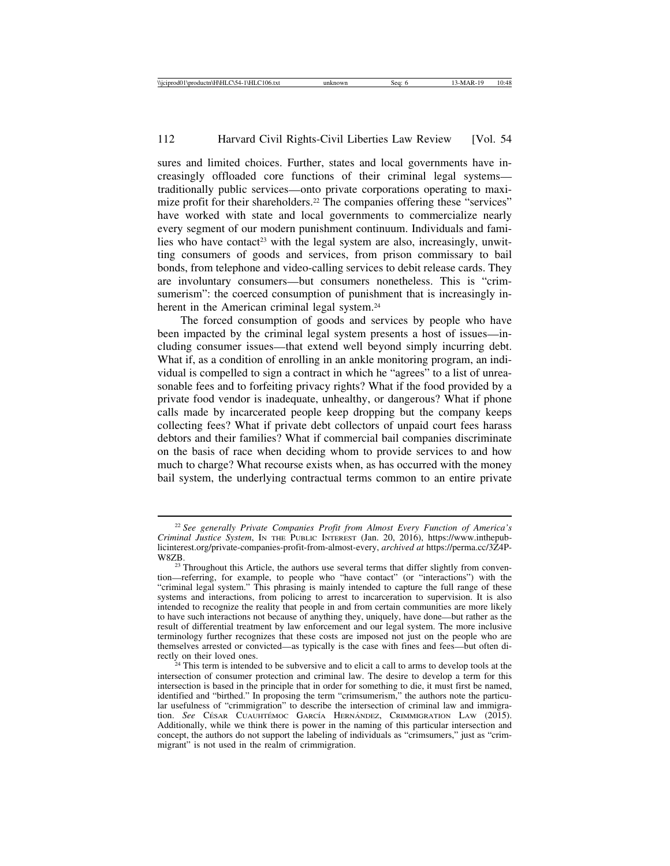sures and limited choices. Further, states and local governments have increasingly offloaded core functions of their criminal legal systems traditionally public services—onto private corporations operating to maximize profit for their shareholders.<sup>22</sup> The companies offering these "services" have worked with state and local governments to commercialize nearly every segment of our modern punishment continuum. Individuals and families who have contact<sup>23</sup> with the legal system are also, increasingly, unwitting consumers of goods and services, from prison commissary to bail bonds, from telephone and video-calling services to debit release cards. They are involuntary consumers—but consumers nonetheless. This is "crimsumerism": the coerced consumption of punishment that is increasingly inherent in the American criminal legal system.<sup>24</sup>

The forced consumption of goods and services by people who have been impacted by the criminal legal system presents a host of issues—including consumer issues—that extend well beyond simply incurring debt. What if, as a condition of enrolling in an ankle monitoring program, an individual is compelled to sign a contract in which he "agrees" to a list of unreasonable fees and to forfeiting privacy rights? What if the food provided by a private food vendor is inadequate, unhealthy, or dangerous? What if phone calls made by incarcerated people keep dropping but the company keeps collecting fees? What if private debt collectors of unpaid court fees harass debtors and their families? What if commercial bail companies discriminate on the basis of race when deciding whom to provide services to and how much to charge? What recourse exists when, as has occurred with the money bail system, the underlying contractual terms common to an entire private

<sup>22</sup> *See generally Private Companies Profit from Almost Every Function of America's Criminal Justice System*, IN THE PUBLIC INTEREST (Jan. 20, 2016), https://www.inthepublicinterest.org/private-companies-profit-from-almost-every, *archived at* https://perma.cc/3Z4P-

 $23$  Throughout this Article, the authors use several terms that differ slightly from convention—referring, for example, to people who "have contact" (or "interactions") with the "criminal legal system." This phrasing is mainly intended to capture the full range of these systems and interactions, from policing to arrest to incarceration to supervision. It is also intended to recognize the reality that people in and from certain communities are more likely to have such interactions not because of anything they, uniquely, have done—but rather as the result of differential treatment by law enforcement and our legal system. The more inclusive terminology further recognizes that these costs are imposed not just on the people who are themselves arrested or convicted—as typically is the case with fines and fees—but often di-

<sup>&</sup>lt;sup>4</sup> This term is intended to be subversive and to elicit a call to arms to develop tools at the intersection of consumer protection and criminal law. The desire to develop a term for this intersection is based in the principle that in order for something to die, it must first be named, identified and "birthed." In proposing the term "crimsumerism," the authors note the particular usefulness of "crimmigration" to describe the intersection of criminal law and immigration. See CÉSAR CUAUHTÉMOC GARCÍA HERNÁNDEZ, CRIMMIGRATION LAW (2015). Additionally, while we think there is power in the naming of this particular intersection and concept, the authors do not support the labeling of individuals as "crimsumers," just as "crimmigrant" is not used in the realm of crimmigration.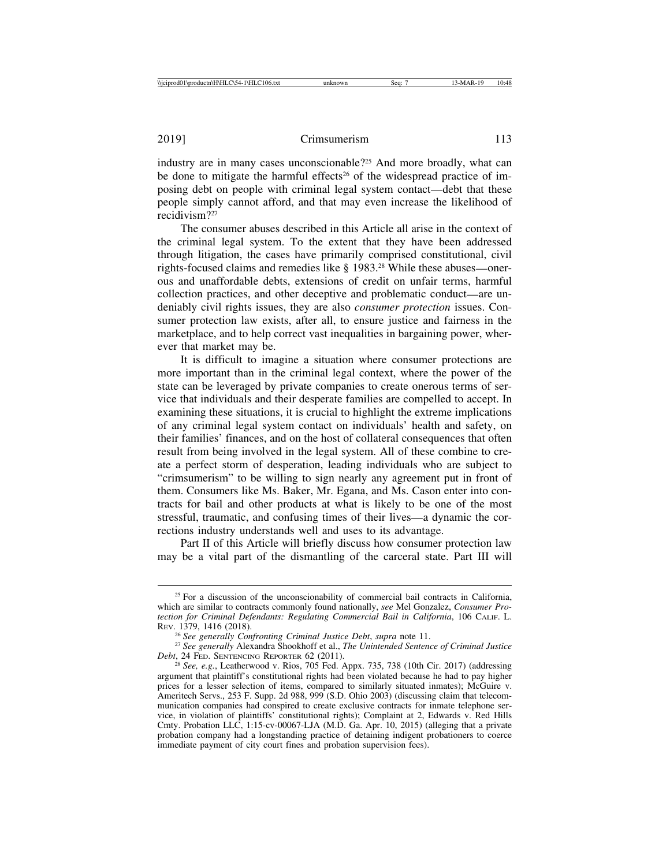industry are in many cases unconscionable?25 And more broadly, what can be done to mitigate the harmful effects<sup>26</sup> of the widespread practice of imposing debt on people with criminal legal system contact—debt that these people simply cannot afford, and that may even increase the likelihood of recidivism?27

The consumer abuses described in this Article all arise in the context of the criminal legal system. To the extent that they have been addressed through litigation, the cases have primarily comprised constitutional, civil rights-focused claims and remedies like § 1983.28 While these abuses—onerous and unaffordable debts, extensions of credit on unfair terms, harmful collection practices, and other deceptive and problematic conduct—are undeniably civil rights issues, they are also *consumer protection* issues. Consumer protection law exists, after all, to ensure justice and fairness in the marketplace, and to help correct vast inequalities in bargaining power, wherever that market may be.

It is difficult to imagine a situation where consumer protections are more important than in the criminal legal context, where the power of the state can be leveraged by private companies to create onerous terms of service that individuals and their desperate families are compelled to accept. In examining these situations, it is crucial to highlight the extreme implications of any criminal legal system contact on individuals' health and safety, on their families' finances, and on the host of collateral consequences that often result from being involved in the legal system. All of these combine to create a perfect storm of desperation, leading individuals who are subject to "crimsumerism" to be willing to sign nearly any agreement put in front of them. Consumers like Ms. Baker, Mr. Egana, and Ms. Cason enter into contracts for bail and other products at what is likely to be one of the most stressful, traumatic, and confusing times of their lives—a dynamic the corrections industry understands well and uses to its advantage.

Part II of this Article will briefly discuss how consumer protection law may be a vital part of the dismantling of the carceral state. Part III will

<sup>&</sup>lt;sup>25</sup> For a discussion of the unconscionability of commercial bail contracts in California, which are similar to contracts commonly found nationally, *see* Mel Gonzalez, *Consumer Protection for Criminal Defendants: Regulating Commercial Bail in California*, 106 CALIF. L. REV. 1379, 1416 (2018).<br><sup>26</sup> See generally Confronting Criminal Justice Debt, supra note 11.

<sup>&</sup>lt;sup>27</sup> See generally Alexandra Shookhoff et al., *The Unintended Sentence of Criminal Justice Debt*, 24 FED. SENTENCING REPORTER 62 (2011).

<sup>&</sup>lt;sup>28</sup> See, e.g., Leatherwood v. Rios, 705 Fed. Appx. 735, 738 (10th Cir. 2017) (addressing argument that plaintiff's constitutional rights had been violated because he had to pay higher prices for a lesser selection of items, compared to similarly situated inmates); McGuire v. Ameritech Servs., 253 F. Supp. 2d 988, 999 (S.D. Ohio 2003) (discussing claim that telecommunication companies had conspired to create exclusive contracts for inmate telephone service, in violation of plaintiffs' constitutional rights); Complaint at 2, Edwards v. Red Hills Cmty. Probation LLC, 1:15-cv-00067-LJA (M.D. Ga. Apr. 10, 2015) (alleging that a private probation company had a longstanding practice of detaining indigent probationers to coerce immediate payment of city court fines and probation supervision fees).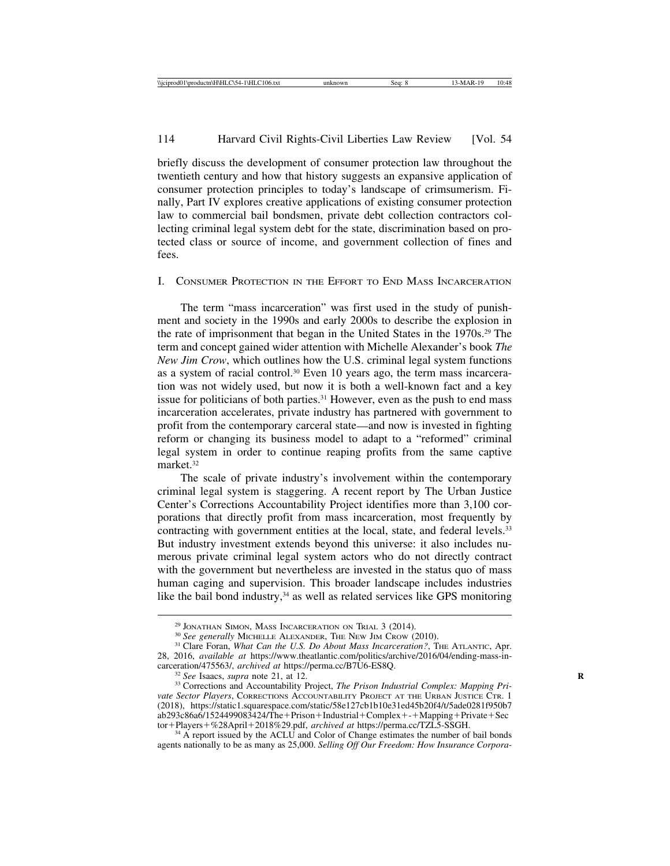briefly discuss the development of consumer protection law throughout the twentieth century and how that history suggests an expansive application of consumer protection principles to today's landscape of crimsumerism. Finally, Part IV explores creative applications of existing consumer protection law to commercial bail bondsmen, private debt collection contractors collecting criminal legal system debt for the state, discrimination based on protected class or source of income, and government collection of fines and fees.

I. CONSUMER PROTECTION IN THE EFFORT TO END MASS INCARCERATION

The term "mass incarceration" was first used in the study of punishment and society in the 1990s and early 2000s to describe the explosion in the rate of imprisonment that began in the United States in the 1970s.29 The term and concept gained wider attention with Michelle Alexander's book *The New Jim Crow*, which outlines how the U.S. criminal legal system functions as a system of racial control.<sup>30</sup> Even 10 years ago, the term mass incarceration was not widely used, but now it is both a well-known fact and a key issue for politicians of both parties.<sup>31</sup> However, even as the push to end mass incarceration accelerates, private industry has partnered with government to profit from the contemporary carceral state—and now is invested in fighting reform or changing its business model to adapt to a "reformed" criminal legal system in order to continue reaping profits from the same captive market.32

The scale of private industry's involvement within the contemporary criminal legal system is staggering. A recent report by The Urban Justice Center's Corrections Accountability Project identifies more than 3,100 corporations that directly profit from mass incarceration, most frequently by contracting with government entities at the local, state, and federal levels.33 But industry investment extends beyond this universe: it also includes numerous private criminal legal system actors who do not directly contract with the government but nevertheless are invested in the status quo of mass human caging and supervision. This broader landscape includes industries like the bail bond industry,<sup>34</sup> as well as related services like GPS monitoring

<sup>&</sup>lt;sup>29</sup> JONATHAN SIMON, MASS INCARCERATION ON TRIAL 3 (2014).<br><sup>30</sup> *See generally* MICHELLE ALEXANDER, THE NEW JIM CROW (2010). <sup>31</sup> Clare Foran, *What Can the U.S. Do About Mass Incarceration?*, THE ATLANTIC, Apr. 28, 2016, *available at* https://www.theatlantic.com/politics/archive/2016/04/ending-mass-in-

<sup>&</sup>lt;sup>32</sup> See Isaacs, *supra* note 21, at 12.<br><sup>33</sup> Corrections and Accountability Project, *The Prison Industrial Complex: Mapping Private Sector Players*, CORRECTIONS ACCOUNTABILITY PROJECT AT THE URBAN JUSTICE CTR. 1 (2018), https://static1.squarespace.com/static/58e127cb1b10e31ed45b20f4/t/5ade0281f950b7  $ab293c86a6/1524499083424/The+Prison+Industrial+Complex+++Mapping+Private+Sec  
tor+Players+%28April+2018%29.pdf, *archived at https://perm.acc/TZL5-SSGH*.$ 

<sup>&</sup>lt;sup>34</sup> A report issued by the ACLU and Color of Change estimates the number of bail bonds agents nationally to be as many as 25,000. *Selling Off Our Freedom: How Insurance Corpora-*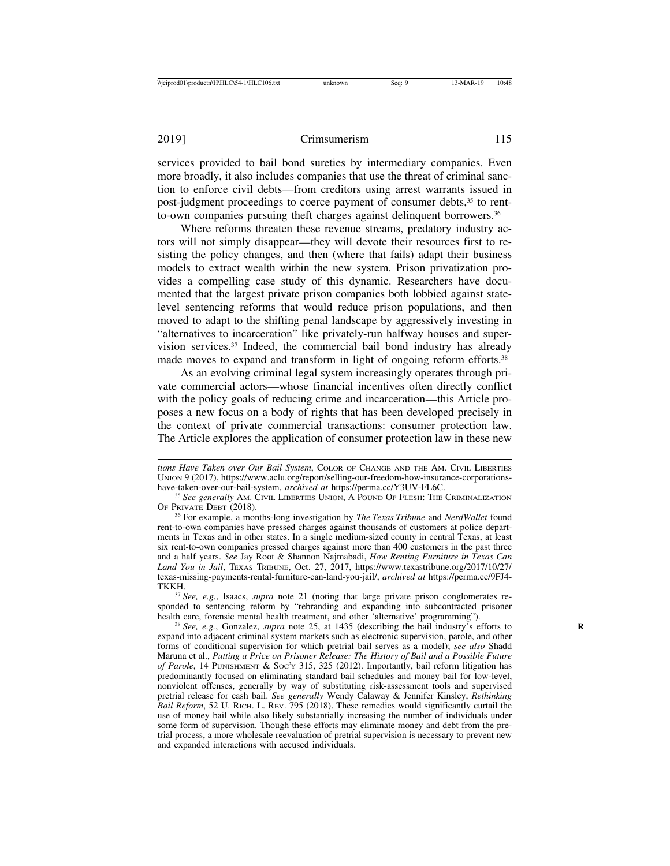services provided to bail bond sureties by intermediary companies. Even more broadly, it also includes companies that use the threat of criminal sanction to enforce civil debts—from creditors using arrest warrants issued in post-judgment proceedings to coerce payment of consumer debts,<sup>35</sup> to rentto-own companies pursuing theft charges against delinquent borrowers.<sup>36</sup>

Where reforms threaten these revenue streams, predatory industry actors will not simply disappear—they will devote their resources first to resisting the policy changes, and then (where that fails) adapt their business models to extract wealth within the new system. Prison privatization provides a compelling case study of this dynamic. Researchers have documented that the largest private prison companies both lobbied against statelevel sentencing reforms that would reduce prison populations, and then moved to adapt to the shifting penal landscape by aggressively investing in "alternatives to incarceration" like privately-run halfway houses and supervision services.37 Indeed, the commercial bail bond industry has already made moves to expand and transform in light of ongoing reform efforts.<sup>38</sup>

As an evolving criminal legal system increasingly operates through private commercial actors—whose financial incentives often directly conflict with the policy goals of reducing crime and incarceration—this Article proposes a new focus on a body of rights that has been developed precisely in the context of private commercial transactions: consumer protection law. The Article explores the application of consumer protection law in these new

*tions Have Taken over Our Bail System*, COLOR OF CHANGE AND THE AM. CIVIL LIBERTIES UNION 9 (2017), https://www.aclu.org/report/selling-our-freedom-how-insurance-corporationshave-taken-over-our-bail-system, *archived at* https://perma.cc/Y3UV-FL6C. <sup>35</sup> *See generally* AM. CIVIL LIBERTIES UNION, A POUND OF FLESH: THE CRIMINALIZATION

OF PRIVATE DEBT (2018).

<sup>36</sup> For example, a months-long investigation by *The Texas Tribune* and *NerdWallet* found rent-to-own companies have pressed charges against thousands of customers at police departments in Texas and in other states. In a single medium-sized county in central Texas, at least six rent-to-own companies pressed charges against more than 400 customers in the past three and a half years. *See* Jay Root & Shannon Najmabadi, *How Renting Furniture in Texas Can Land You in Jail*, TEXAS TRIBUNE, Oct. 27, 2017, https://www.texastribune.org/2017/10/27/ texas-missing-payments-rental-furniture-can-land-you-jail/, *archived at* https://perma.cc/9FJ4-

TKKH. <sup>37</sup> *See, e.g.*, Isaacs, *supra* note 21 (noting that large private prison conglomerates responded to sentencing reform by "rebranding and expanding into subcontracted prisoner health care, forensic mental health treatment, and other 'alternative' programming"). <sup>38</sup> *See, e.g.*, Gonzalez, *supra* note 25, at 1435 (describing the bail industry's efforts to

expand into adjacent criminal system markets such as electronic supervision, parole, and other forms of conditional supervision for which pretrial bail serves as a model); *see also* Shadd Maruna et al., *Putting a Price on Prisoner Release: The History of Bail and a Possible Future of Parole*, 14 PUNISHMENT & SOC'Y 315, 325 (2012). Importantly, bail reform litigation has predominantly focused on eliminating standard bail schedules and money bail for low-level, nonviolent offenses, generally by way of substituting risk-assessment tools and supervised pretrial release for cash bail. *See generally* Wendy Calaway & Jennifer Kinsley, *Rethinking Bail Reform*, 52 U. RICH. L. REV. 795 (2018). These remedies would significantly curtail the use of money bail while also likely substantially increasing the number of individuals under some form of supervision. Though these efforts may eliminate money and debt from the pretrial process, a more wholesale reevaluation of pretrial supervision is necessary to prevent new and expanded interactions with accused individuals.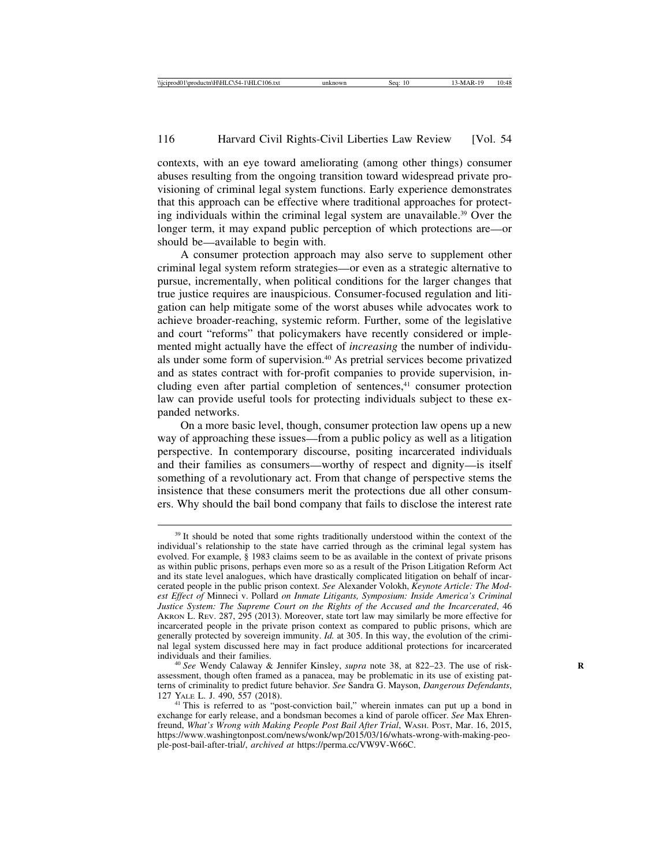contexts, with an eye toward ameliorating (among other things) consumer abuses resulting from the ongoing transition toward widespread private provisioning of criminal legal system functions. Early experience demonstrates that this approach can be effective where traditional approaches for protecting individuals within the criminal legal system are unavailable.39 Over the longer term, it may expand public perception of which protections are—or should be—available to begin with.

A consumer protection approach may also serve to supplement other criminal legal system reform strategies—or even as a strategic alternative to pursue, incrementally, when political conditions for the larger changes that true justice requires are inauspicious. Consumer-focused regulation and litigation can help mitigate some of the worst abuses while advocates work to achieve broader-reaching, systemic reform. Further, some of the legislative and court "reforms" that policymakers have recently considered or implemented might actually have the effect of *increasing* the number of individuals under some form of supervision.40 As pretrial services become privatized and as states contract with for-profit companies to provide supervision, including even after partial completion of sentences,<sup>41</sup> consumer protection law can provide useful tools for protecting individuals subject to these expanded networks.

On a more basic level, though, consumer protection law opens up a new way of approaching these issues—from a public policy as well as a litigation perspective. In contemporary discourse, positing incarcerated individuals and their families as consumers—worthy of respect and dignity—is itself something of a revolutionary act. From that change of perspective stems the insistence that these consumers merit the protections due all other consumers. Why should the bail bond company that fails to disclose the interest rate

<sup>&</sup>lt;sup>39</sup> It should be noted that some rights traditionally understood within the context of the individual's relationship to the state have carried through as the criminal legal system has evolved. For example, § 1983 claims seem to be as available in the context of private prisons as within public prisons, perhaps even more so as a result of the Prison Litigation Reform Act and its state level analogues, which have drastically complicated litigation on behalf of incarcerated people in the public prison context. *See* Alexander Volokh, *Keynote Article: The Modest Effect of* Minneci v. Pollard *on Inmate Litigants, Symposium: Inside America's Criminal Justice System: The Supreme Court on the Rights of the Accused and the Incarcerated*, 46 AKRON L. REV. 287, 295 (2013). Moreover, state tort law may similarly be more effective for incarcerated people in the private prison context as compared to public prisons, which are generally protected by sovereign immunity. *Id.* at 305. In this way, the evolution of the criminal legal system discussed here may in fact produce additional protections for incarcerated

<sup>&</sup>lt;sup>40</sup> See Wendy Calaway & Jennifer Kinsley, *supra* note 38, at 822–23. The use of riskassessment, though often framed as a panacea, may be problematic in its use of existing patterns of criminality to predict future behavior. *See* Sandra G. Mayson, *Dangerous Defendants*, <sup>127</sup>YALE L. J. 490, 557 (2018). <sup>41</sup> This is referred to as "post-conviction bail," wherein inmates can put up a bond in

exchange for early release, and a bondsman becomes a kind of parole officer. *See* Max Ehrenfreund, *What's Wrong with Making People Post Bail After Trial*, WASH. POST, Mar. 16, 2015, https://www.washingtonpost.com/news/wonk/wp/2015/03/16/whats-wrong-with-making-people-post-bail-after-trial/, *archived at* https://perma.cc/VW9V-W66C.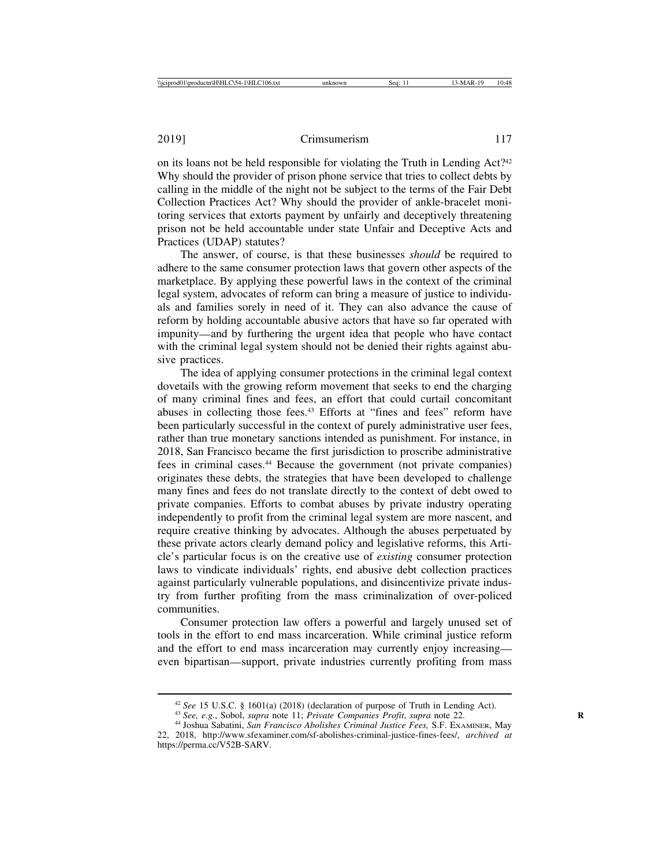on its loans not be held responsible for violating the Truth in Lending Act?42 Why should the provider of prison phone service that tries to collect debts by calling in the middle of the night not be subject to the terms of the Fair Debt Collection Practices Act? Why should the provider of ankle-bracelet monitoring services that extorts payment by unfairly and deceptively threatening prison not be held accountable under state Unfair and Deceptive Acts and Practices (UDAP) statutes?

The answer, of course, is that these businesses *should* be required to adhere to the same consumer protection laws that govern other aspects of the marketplace. By applying these powerful laws in the context of the criminal legal system, advocates of reform can bring a measure of justice to individuals and families sorely in need of it. They can also advance the cause of reform by holding accountable abusive actors that have so far operated with impunity—and by furthering the urgent idea that people who have contact with the criminal legal system should not be denied their rights against abusive practices.

The idea of applying consumer protections in the criminal legal context dovetails with the growing reform movement that seeks to end the charging of many criminal fines and fees, an effort that could curtail concomitant abuses in collecting those fees.43 Efforts at "fines and fees" reform have been particularly successful in the context of purely administrative user fees, rather than true monetary sanctions intended as punishment. For instance, in 2018, San Francisco became the first jurisdiction to proscribe administrative fees in criminal cases.44 Because the government (not private companies) originates these debts, the strategies that have been developed to challenge many fines and fees do not translate directly to the context of debt owed to private companies. Efforts to combat abuses by private industry operating independently to profit from the criminal legal system are more nascent, and require creative thinking by advocates. Although the abuses perpetuated by these private actors clearly demand policy and legislative reforms, this Article's particular focus is on the creative use of *existing* consumer protection laws to vindicate individuals' rights, end abusive debt collection practices against particularly vulnerable populations, and disincentivize private industry from further profiting from the mass criminalization of over-policed communities.

Consumer protection law offers a powerful and largely unused set of tools in the effort to end mass incarceration. While criminal justice reform and the effort to end mass incarceration may currently enjoy increasing even bipartisan—support, private industries currently profiting from mass

<sup>&</sup>lt;sup>42</sup> See 15 U.S.C. § 1601(a) (2018) (declaration of purpose of Truth in Lending Act).<br><sup>43</sup> See, e.g., Sobol, supra note 11; *Private Companies Profit, supra* note 22.<br><sup>44</sup> Joshua Sabatini, *San Francisco Abolishes Crimina* 

<sup>22, 2018,</sup> http://www.sfexaminer.com/sf-abolishes-criminal-justice-fines-fees/, *archived at* https://perma.cc/V52B-SARV.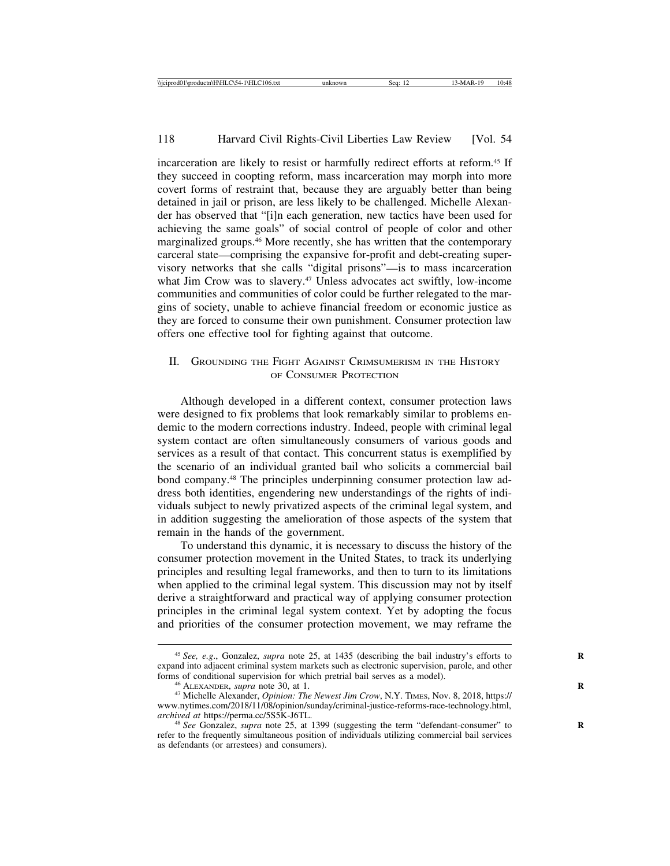incarceration are likely to resist or harmfully redirect efforts at reform.<sup>45</sup> If they succeed in coopting reform, mass incarceration may morph into more covert forms of restraint that, because they are arguably better than being detained in jail or prison, are less likely to be challenged. Michelle Alexander has observed that "[i]n each generation, new tactics have been used for achieving the same goals" of social control of people of color and other marginalized groups.46 More recently, she has written that the contemporary carceral state—comprising the expansive for-profit and debt-creating supervisory networks that she calls "digital prisons"—is to mass incarceration what Jim Crow was to slavery.<sup>47</sup> Unless advocates act swiftly, low-income communities and communities of color could be further relegated to the margins of society, unable to achieve financial freedom or economic justice as they are forced to consume their own punishment. Consumer protection law offers one effective tool for fighting against that outcome.

## II. GROUNDING THE FIGHT AGAINST CRIMSUMERISM IN THE HISTORY OF CONSUMER PROTECTION

Although developed in a different context, consumer protection laws were designed to fix problems that look remarkably similar to problems endemic to the modern corrections industry. Indeed, people with criminal legal system contact are often simultaneously consumers of various goods and services as a result of that contact. This concurrent status is exemplified by the scenario of an individual granted bail who solicits a commercial bail bond company.48 The principles underpinning consumer protection law address both identities, engendering new understandings of the rights of individuals subject to newly privatized aspects of the criminal legal system, and in addition suggesting the amelioration of those aspects of the system that remain in the hands of the government.

To understand this dynamic, it is necessary to discuss the history of the consumer protection movement in the United States, to track its underlying principles and resulting legal frameworks, and then to turn to its limitations when applied to the criminal legal system. This discussion may not by itself derive a straightforward and practical way of applying consumer protection principles in the criminal legal system context. Yet by adopting the focus and priorities of the consumer protection movement, we may reframe the

<sup>&</sup>lt;sup>45</sup> *See, e.g.*, Gonzalez, *supra* note 25, at 1435 (describing the bail industry's efforts to expand into adjacent criminal system markets such as electronic supervision, parole, and other forms of conditional supervision for which pretrial bail serves as a model).

<sup>&</sup>lt;sup>46</sup> ALEXANDER, *supra* note 30, at 1.<br><sup>47</sup> Michelle Alexander, *Opinion: The Newest Jim Crow*, N.Y. TIMES, Nov. 8, 2018, https:// www.nytimes.com/2018/11/08/opinion/sunday/criminal-justice-reforms-race-technology.html, archived at https://perma.cc/5S5K-J6TL.

<sup>&</sup>lt;sup>48</sup> See Gonzalez, *supra* note 25, at 1399 (suggesting the term "defendant-consumer" to refer to the frequently simultaneous position of individuals utilizing commercial bail services as defendants (or arrestees) and consumers).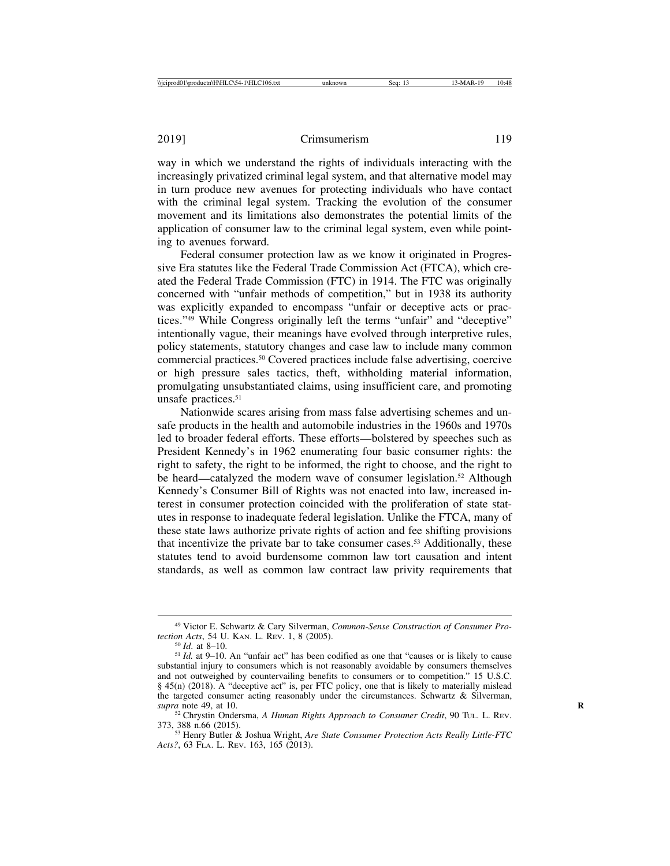way in which we understand the rights of individuals interacting with the increasingly privatized criminal legal system, and that alternative model may in turn produce new avenues for protecting individuals who have contact with the criminal legal system. Tracking the evolution of the consumer movement and its limitations also demonstrates the potential limits of the application of consumer law to the criminal legal system, even while pointing to avenues forward.

Federal consumer protection law as we know it originated in Progressive Era statutes like the Federal Trade Commission Act (FTCA), which created the Federal Trade Commission (FTC) in 1914. The FTC was originally concerned with "unfair methods of competition," but in 1938 its authority was explicitly expanded to encompass "unfair or deceptive acts or practices."49 While Congress originally left the terms "unfair" and "deceptive" intentionally vague, their meanings have evolved through interpretive rules, policy statements, statutory changes and case law to include many common commercial practices.50 Covered practices include false advertising, coercive or high pressure sales tactics, theft, withholding material information, promulgating unsubstantiated claims, using insufficient care, and promoting unsafe practices.<sup>51</sup>

Nationwide scares arising from mass false advertising schemes and unsafe products in the health and automobile industries in the 1960s and 1970s led to broader federal efforts. These efforts—bolstered by speeches such as President Kennedy's in 1962 enumerating four basic consumer rights: the right to safety, the right to be informed, the right to choose, and the right to be heard—catalyzed the modern wave of consumer legislation.<sup>52</sup> Although Kennedy's Consumer Bill of Rights was not enacted into law, increased interest in consumer protection coincided with the proliferation of state statutes in response to inadequate federal legislation. Unlike the FTCA, many of these state laws authorize private rights of action and fee shifting provisions that incentivize the private bar to take consumer cases.53 Additionally, these statutes tend to avoid burdensome common law tort causation and intent standards, as well as common law contract law privity requirements that

<sup>49</sup> Victor E. Schwartz & Cary Silverman, *Common-Sense Construction of Consumer Pro-*

<sup>&</sup>lt;sup>50</sup> *Id.* at 8–10. An "unfair act" has been codified as one that "causes or is likely to cause  $\frac{51}{10}$  *Id.* at 9–10. An "unfair act" has been codified as one that "causes or is likely to cause substantial injury to consumers which is not reasonably avoidable by consumers themselves and not outweighed by countervailing benefits to consumers or to competition." 15 U.S.C. § 45(n) (2018). A "deceptive act" is, per FTC policy, one that is likely to materially mislead the targeted consumer acting reasonably under the circumstances. Schwartz & Silverman, supra note 49, at 10.

<sup>&</sup>lt;sup>52</sup> Chrystin Ondersma, *A Human Rights Approach to Consumer Credit*, 90 TuL. L. REV. 373, 388 n.66 (2015). <sup>53</sup> Henry Butler & Joshua Wright, *Are State Consumer Protection Acts Really Little-FTC*

*Acts?*, 63 FLA. L. REV. 163, 165 (2013).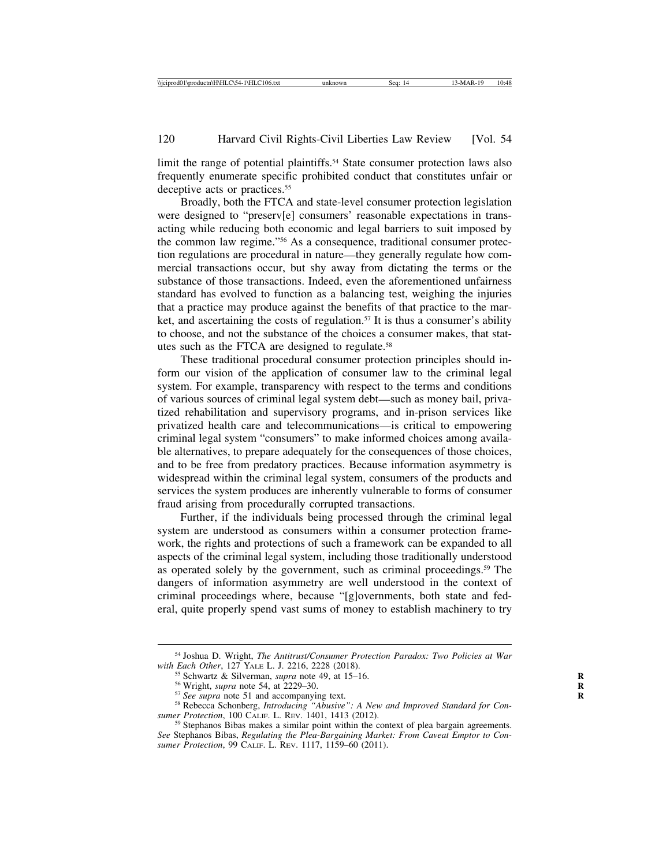limit the range of potential plaintiffs.<sup>54</sup> State consumer protection laws also frequently enumerate specific prohibited conduct that constitutes unfair or deceptive acts or practices.<sup>55</sup>

Broadly, both the FTCA and state-level consumer protection legislation were designed to "preserv[e] consumers' reasonable expectations in transacting while reducing both economic and legal barriers to suit imposed by the common law regime."56 As a consequence, traditional consumer protection regulations are procedural in nature—they generally regulate how commercial transactions occur, but shy away from dictating the terms or the substance of those transactions. Indeed, even the aforementioned unfairness standard has evolved to function as a balancing test, weighing the injuries that a practice may produce against the benefits of that practice to the market, and ascertaining the costs of regulation.<sup>57</sup> It is thus a consumer's ability to choose, and not the substance of the choices a consumer makes, that statutes such as the FTCA are designed to regulate.58

These traditional procedural consumer protection principles should inform our vision of the application of consumer law to the criminal legal system. For example, transparency with respect to the terms and conditions of various sources of criminal legal system debt—such as money bail, privatized rehabilitation and supervisory programs, and in-prison services like privatized health care and telecommunications—is critical to empowering criminal legal system "consumers" to make informed choices among available alternatives, to prepare adequately for the consequences of those choices, and to be free from predatory practices. Because information asymmetry is widespread within the criminal legal system, consumers of the products and services the system produces are inherently vulnerable to forms of consumer fraud arising from procedurally corrupted transactions.

Further, if the individuals being processed through the criminal legal system are understood as consumers within a consumer protection framework, the rights and protections of such a framework can be expanded to all aspects of the criminal legal system, including those traditionally understood as operated solely by the government, such as criminal proceedings.<sup>59</sup> The dangers of information asymmetry are well understood in the context of criminal proceedings where, because "[g]overnments, both state and federal, quite properly spend vast sums of money to establish machinery to try

<sup>54</sup> Joshua D. Wright, *The Antitrust/Consumer Protection Paradox: Two Policies at War*

<sup>&</sup>lt;sup>55</sup> Schwartz & Silverman, *supra* note 49, at 15–16.<br><sup>56</sup> Wright, *supra* note 54, at 2229–30.<br><sup>57</sup> See *supra* note 51 and accompanying text.<br><sup>58</sup> Rebecca Schonberg, *Introducing "Abusive": A New and Improved Standard f* 

<sup>&</sup>lt;sup>59</sup> Stephanos Bibas makes a similar point within the context of plea bargain agreements. *See* Stephanos Bibas, *Regulating the Plea-Bargaining Market: From Caveat Emptor to Consumer Protection*, 99 CALIF. L. REV. 1117, 1159–60 (2011).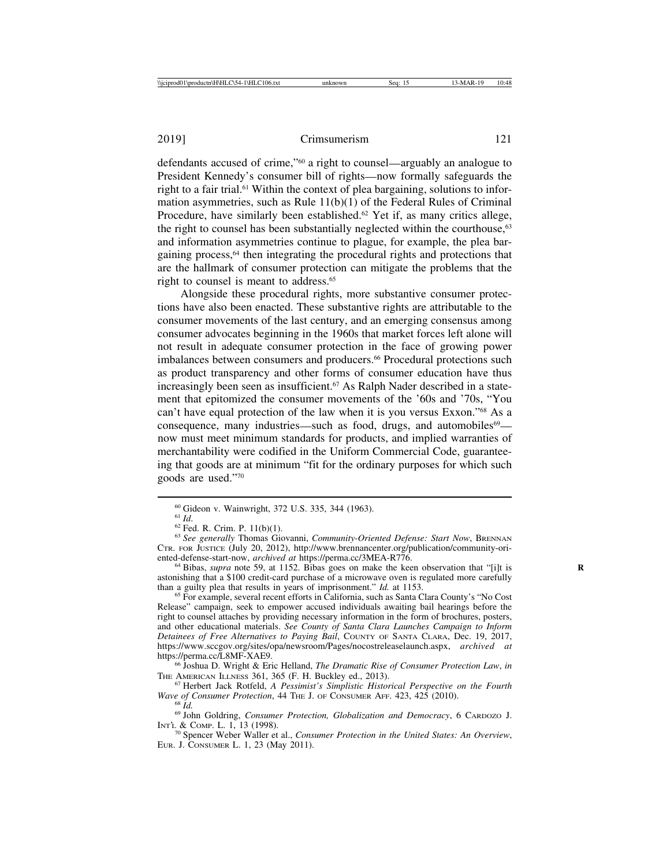defendants accused of crime,"60 a right to counsel—arguably an analogue to President Kennedy's consumer bill of rights—now formally safeguards the right to a fair trial.61 Within the context of plea bargaining, solutions to information asymmetries, such as Rule 11(b)(1) of the Federal Rules of Criminal Procedure, have similarly been established.<sup>62</sup> Yet if, as many critics allege, the right to counsel has been substantially neglected within the courthouse. $63$ and information asymmetries continue to plague, for example, the plea bargaining process,64 then integrating the procedural rights and protections that are the hallmark of consumer protection can mitigate the problems that the right to counsel is meant to address.<sup>65</sup>

Alongside these procedural rights, more substantive consumer protections have also been enacted. These substantive rights are attributable to the consumer movements of the last century, and an emerging consensus among consumer advocates beginning in the 1960s that market forces left alone will not result in adequate consumer protection in the face of growing power imbalances between consumers and producers.<sup>66</sup> Procedural protections such as product transparency and other forms of consumer education have thus increasingly been seen as insufficient.<sup>67</sup> As Ralph Nader described in a statement that epitomized the consumer movements of the '60s and '70s, "You can't have equal protection of the law when it is you versus Exxon."68 As a consequence, many industries—such as food, drugs, and automobiles<sup>69</sup> now must meet minimum standards for products, and implied warranties of merchantability were codified in the Uniform Commercial Code, guaranteeing that goods are at minimum "fit for the ordinary purposes for which such goods are used."70

<sup>64</sup> Bibas, *supra* note 59, at 1152. Bibas goes on make the keen observation that "[i]t is astonishing that a \$100 credit-card purchase of a microwave oven is regulated more carefully than a guilty plea that results in years of imprisonment."  $Id$ . at 1153.

<sup>65</sup> For example, several recent efforts in California, such as Santa Clara County's "No Cost Release" campaign, seek to empower accused individuals awaiting bail hearings before the right to counsel attaches by providing necessary information in the form of brochures, posters, and other educational materials. *See County of Santa Clara Launches Campaign to Inform Detainees of Free Alternatives to Paying Bail*, COUNTY OF SANTA CLARA, Dec. 19, 2017, https://www.sccgov.org/sites/opa/newsroom/Pages/nocostreleaselaunch.aspx, *archived at*

<sup>66</sup> Joshua D. Wright & Eric Helland, *The Dramatic Rise of Consumer Protection Law*, *in* The AMERICAN ILLNESS 361, 365 (F. H. Buckley ed., 2013).

<sup>67</sup> Herbert Jack Rotfeld, *A Pessimist's Simplistic Historical Perspective on the Fourth* 

<sup>70</sup> Spencer Weber Waller et al., *Consumer Protection in the United States: An Overview*, EUR. J. CONSUMER L. 1, 23 (May 2011).

<sup>60</sup> Gideon v. Wainwright, 372 U.S. 335, 344 (1963).<br><sup>61</sup> *Id.* 62 Fed. R. Crim. P. 11(b)(1).<br><sup>62</sup> Fed. R. Crim. P. 11(b)(1). 63 *See generally* Thomas Giovanni, *Community-Oriented Defense: Start Now*, BRENNAN CTR. FOR JUSTICE (July 20, 2012), http://www.brennancenter.org/publication/community-ori-ented-defense-start-now, *archived at* https://perma.cc/3MEA-R776.

*Wave of Consumer Protection*, 44 THE J. OF CONSUMER AFF. 423, 425 (2010).<br><sup>68</sup> *Id.* <sup>69</sup> John Goldring, *Consumer Protection, Globalization and Democracy*, 6 CARDOZO J.<br>INTL & COMP. L. 1, 13 (1998).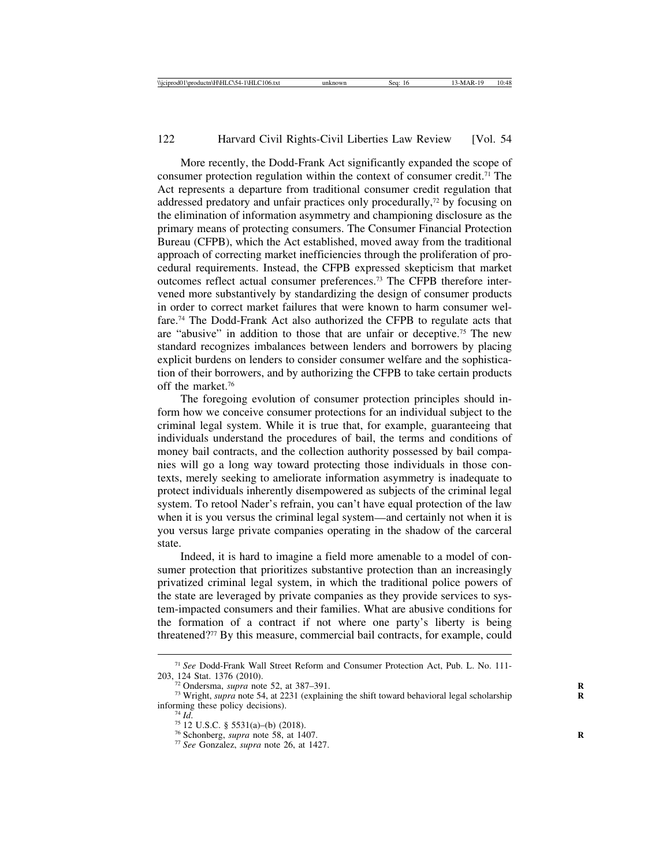More recently, the Dodd-Frank Act significantly expanded the scope of consumer protection regulation within the context of consumer credit.<sup>71</sup> The Act represents a departure from traditional consumer credit regulation that addressed predatory and unfair practices only procedurally, $72$  by focusing on the elimination of information asymmetry and championing disclosure as the primary means of protecting consumers. The Consumer Financial Protection Bureau (CFPB), which the Act established, moved away from the traditional approach of correcting market inefficiencies through the proliferation of procedural requirements. Instead, the CFPB expressed skepticism that market outcomes reflect actual consumer preferences.73 The CFPB therefore intervened more substantively by standardizing the design of consumer products in order to correct market failures that were known to harm consumer welfare.74 The Dodd-Frank Act also authorized the CFPB to regulate acts that are "abusive" in addition to those that are unfair or deceptive.75 The new standard recognizes imbalances between lenders and borrowers by placing explicit burdens on lenders to consider consumer welfare and the sophistication of their borrowers, and by authorizing the CFPB to take certain products off the market<sup>76</sup>

The foregoing evolution of consumer protection principles should inform how we conceive consumer protections for an individual subject to the criminal legal system. While it is true that, for example, guaranteeing that individuals understand the procedures of bail, the terms and conditions of money bail contracts, and the collection authority possessed by bail companies will go a long way toward protecting those individuals in those contexts, merely seeking to ameliorate information asymmetry is inadequate to protect individuals inherently disempowered as subjects of the criminal legal system. To retool Nader's refrain, you can't have equal protection of the law when it is you versus the criminal legal system—and certainly not when it is you versus large private companies operating in the shadow of the carceral state.

Indeed, it is hard to imagine a field more amenable to a model of consumer protection that prioritizes substantive protection than an increasingly privatized criminal legal system, in which the traditional police powers of the state are leveraged by private companies as they provide services to system-impacted consumers and their families. What are abusive conditions for the formation of a contract if not where one party's liberty is being threatened?77 By this measure, commercial bail contracts, for example, could

<sup>71</sup> *See* Dodd-Frank Wall Street Reform and Consumer Protection Act, Pub. L. No. 111-

<sup>&</sup>lt;sup>72</sup> Ondersma, *supra* note 52, at 387–391.<br><sup>73</sup> Wright, *supra* note 54, at 2231 (explaining the shift toward behavioral legal scholarship informing these policy decisions). informing these policy decisions). <sup>74</sup> *Id*. <sup>75</sup> 12 U.S.C. § 5531(a)–(b) (2018). <sup>76</sup> Schonberg, *supra* note 58, at 1407. **<sup>R</sup>** <sup>77</sup> *See* Gonzalez, *supra* note 26, at 1427.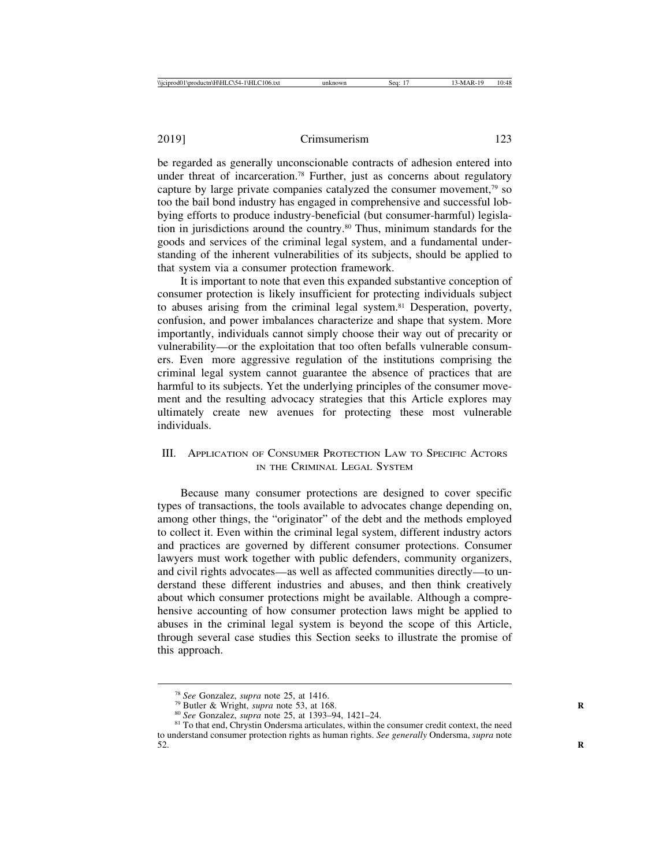2019] Crimsumerism 123

be regarded as generally unconscionable contracts of adhesion entered into under threat of incarceration.<sup>78</sup> Further, just as concerns about regulatory capture by large private companies catalyzed the consumer movement,79 so too the bail bond industry has engaged in comprehensive and successful lobbying efforts to produce industry-beneficial (but consumer-harmful) legislation in jurisdictions around the country.80 Thus, minimum standards for the goods and services of the criminal legal system, and a fundamental understanding of the inherent vulnerabilities of its subjects, should be applied to that system via a consumer protection framework.

It is important to note that even this expanded substantive conception of consumer protection is likely insufficient for protecting individuals subject to abuses arising from the criminal legal system.<sup>81</sup> Desperation, poverty, confusion, and power imbalances characterize and shape that system. More importantly, individuals cannot simply choose their way out of precarity or vulnerability—or the exploitation that too often befalls vulnerable consumers. Even more aggressive regulation of the institutions comprising the criminal legal system cannot guarantee the absence of practices that are harmful to its subjects. Yet the underlying principles of the consumer movement and the resulting advocacy strategies that this Article explores may ultimately create new avenues for protecting these most vulnerable individuals.

## III. APPLICATION OF CONSUMER PROTECTION LAW TO SPECIFIC ACTORS IN THE CRIMINAL LEGAL SYSTEM

Because many consumer protections are designed to cover specific types of transactions, the tools available to advocates change depending on, among other things, the "originator" of the debt and the methods employed to collect it. Even within the criminal legal system, different industry actors and practices are governed by different consumer protections. Consumer lawyers must work together with public defenders, community organizers, and civil rights advocates—as well as affected communities directly—to understand these different industries and abuses, and then think creatively about which consumer protections might be available. Although a comprehensive accounting of how consumer protection laws might be applied to abuses in the criminal legal system is beyond the scope of this Article, through several case studies this Section seeks to illustrate the promise of this approach.

<sup>&</sup>lt;sup>78</sup> See Gonzalez, *supra* note 25, at 1416.<br><sup>79</sup> Butler & Wright, *supra* note 53, at 168.<br><sup>80</sup> See Gonzalez, *supra* note 25, at 1393–94, 1421–24.<br><sup>81</sup> To that end, Chrystin Ondersma articulates, within the consumer cre to understand consumer protection rights as human rights. *See generally* Ondersma, *supra* note 52. **R**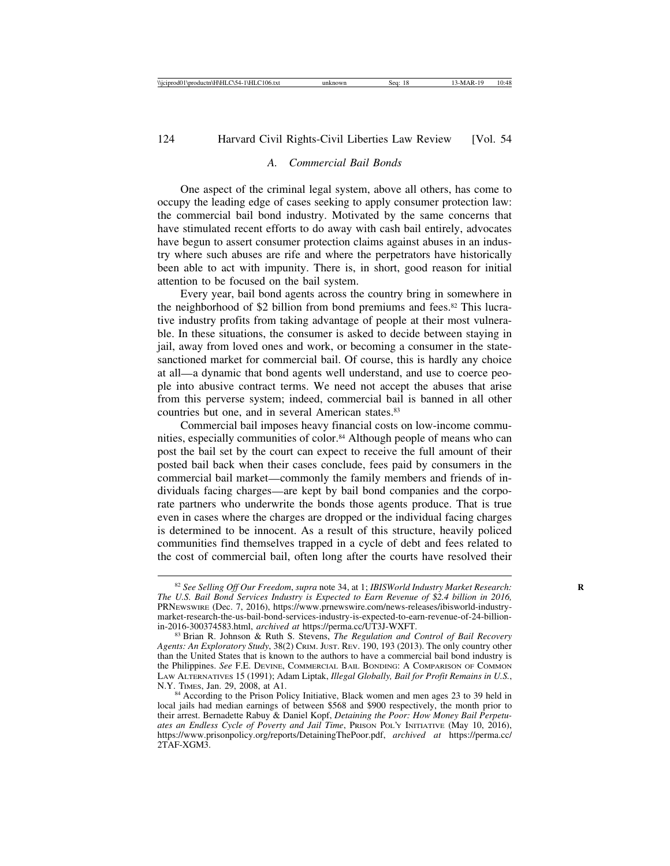## *A. Commercial Bail Bonds*

One aspect of the criminal legal system, above all others, has come to occupy the leading edge of cases seeking to apply consumer protection law: the commercial bail bond industry. Motivated by the same concerns that have stimulated recent efforts to do away with cash bail entirely, advocates have begun to assert consumer protection claims against abuses in an industry where such abuses are rife and where the perpetrators have historically been able to act with impunity. There is, in short, good reason for initial attention to be focused on the bail system.

Every year, bail bond agents across the country bring in somewhere in the neighborhood of \$2 billion from bond premiums and fees.<sup>82</sup> This lucrative industry profits from taking advantage of people at their most vulnerable. In these situations, the consumer is asked to decide between staying in jail, away from loved ones and work, or becoming a consumer in the statesanctioned market for commercial bail. Of course, this is hardly any choice at all—a dynamic that bond agents well understand, and use to coerce people into abusive contract terms. We need not accept the abuses that arise from this perverse system; indeed, commercial bail is banned in all other countries but one, and in several American states.<sup>83</sup>

Commercial bail imposes heavy financial costs on low-income communities, especially communities of color.<sup>84</sup> Although people of means who can post the bail set by the court can expect to receive the full amount of their posted bail back when their cases conclude, fees paid by consumers in the commercial bail market—commonly the family members and friends of individuals facing charges—are kept by bail bond companies and the corporate partners who underwrite the bonds those agents produce. That is true even in cases where the charges are dropped or the individual facing charges is determined to be innocent. As a result of this structure, heavily policed communities find themselves trapped in a cycle of debt and fees related to the cost of commercial bail, often long after the courts have resolved their

<sup>82</sup> *See Selling Off Our Freedom*, *supra* note 34, at 1; *IBISWorld Industry Market Research:* **R** *The U.S. Bail Bond Services Industry is Expected to Earn Revenue of \$2.4 billion in 2016,* PRNEWSWIRE (Dec. 7, 2016), https://www.prnewswire.com/news-releases/ibisworld-industrymarket-research-the-us-bail-bond-services-industry-is-expected-to-earn-revenue-of-24-billionin-2016-300374583.html, *archived at* https://perma.cc/UT3J-WXFT. <sup>83</sup> Brian R. Johnson & Ruth S. Stevens, *The Regulation and Control of Bail Recovery*

*Agents: An Exploratory Study*, 38(2) CRIM. JUST. REV. 190, 193 (2013). The only country other than the United States that is known to the authors to have a commercial bail bond industry is the Philippines. *See* F.E. DEVINE, COMMERCIAL BAIL BONDING: A COMPARISON OF COMMON LAW ALTERNATIVES 15 (1991); Adam Liptak, *Illegal Globally, Bail for Profit Remains in U.S.*,

<sup>&</sup>lt;sup>84</sup> According to the Prison Policy Initiative, Black women and men ages 23 to 39 held in local jails had median earnings of between \$568 and \$900 respectively, the month prior to their arrest. Bernadette Rabuy & Daniel Kopf, *Detaining the Poor: How Money Bail Perpetuates an Endless Cycle of Poverty and Jail Time*, PRISON POL'Y INITIATIVE (May 10, 2016), https://www.prisonpolicy.org/reports/DetainingThePoor.pdf, *archived at* https://perma.cc/ 2TAF-XGM3.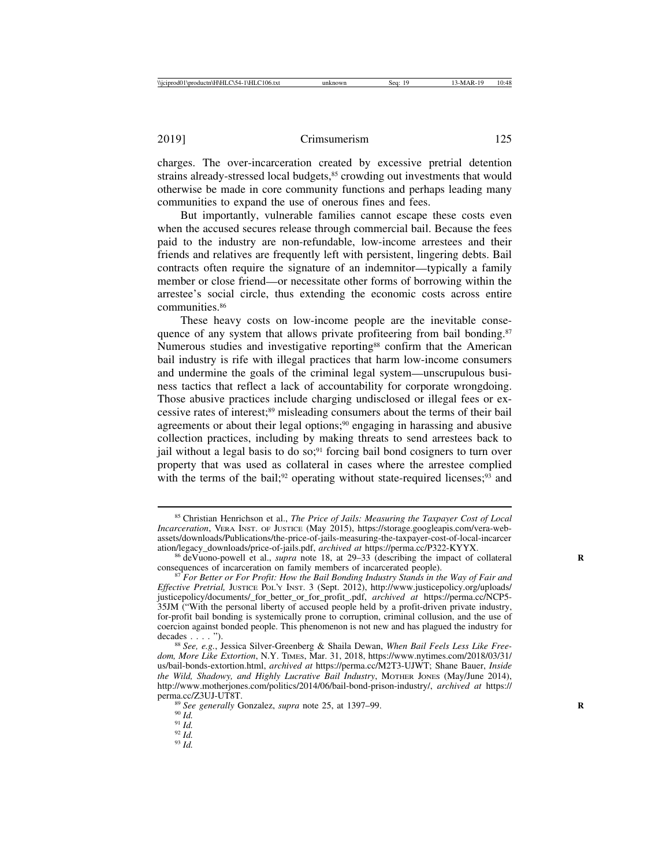charges. The over-incarceration created by excessive pretrial detention strains already-stressed local budgets,<sup>85</sup> crowding out investments that would otherwise be made in core community functions and perhaps leading many communities to expand the use of onerous fines and fees.

But importantly, vulnerable families cannot escape these costs even when the accused secures release through commercial bail. Because the fees paid to the industry are non-refundable, low-income arrestees and their friends and relatives are frequently left with persistent, lingering debts. Bail contracts often require the signature of an indemnitor—typically a family member or close friend—or necessitate other forms of borrowing within the arrestee's social circle, thus extending the economic costs across entire communities.86

These heavy costs on low-income people are the inevitable consequence of any system that allows private profiteering from bail bonding.<sup>87</sup> Numerous studies and investigative reporting<sup>88</sup> confirm that the American bail industry is rife with illegal practices that harm low-income consumers and undermine the goals of the criminal legal system—unscrupulous business tactics that reflect a lack of accountability for corporate wrongdoing. Those abusive practices include charging undisclosed or illegal fees or excessive rates of interest;89 misleading consumers about the terms of their bail agreements or about their legal options;90 engaging in harassing and abusive collection practices, including by making threats to send arrestees back to jail without a legal basis to do so;<sup>91</sup> forcing bail bond cosigners to turn over property that was used as collateral in cases where the arrestee complied with the terms of the bail;<sup>92</sup> operating without state-required licenses;<sup>93</sup> and

<sup>85</sup> Christian Henrichson et al., *The Price of Jails: Measuring the Taxpayer Cost of Local Incarceration*, VERA INST. OF JUSTICE (May 2015), https://storage.googleapis.com/vera-webassets/downloads/Publications/the-price-of-jails-measuring-the-taxpayer-cost-of-local-incarcer ation/legacy\_downloads/price-of-jails.pdf, archived at https://perma.cc/P322-KYYX.

<sup>&</sup>lt;sup>86</sup> deVuono-powell et al., *supra* note 18, at 29–33 (describing the impact of collateral consequences of incarceration on family members of incarcerated people).

<sup>&</sup>lt;sup>87</sup> For Better or For Profit: How the Bail Bonding Industry Stands in the Way of Fair and *Effective Pretrial,* JUSTICE POL'Y INST. 3 (Sept. 2012), http://www.justicepolicy.org/uploads/ justicepolicy/documents/\_for\_better\_or\_for\_profit\_.pdf, *archived at* https://perma.cc/NCP5- 35JM ("With the personal liberty of accused people held by a profit-driven private industry, for-profit bail bonding is systemically prone to corruption, criminal collusion, and the use of coercion against bonded people. This phenomenon is not new and has plagued the industry for decades . . . . "). <sup>88</sup> *See, e.g.*, Jessica Silver-Greenberg & Shaila Dewan, *When Bail Feels Less Like Free-*

*dom, More Like Extortion*, N.Y. TIMES, Mar. 31, 2018, https://www.nytimes.com/2018/03/31/ us/bail-bonds-extortion.html, *archived at* https://perma.cc/M2T3-UJWT; Shane Bauer, *Inside the Wild, Shadowy, and Highly Lucrative Bail Industry*, MOTHER JONES (May/June 2014), http://www.motherjones.com/politics/2014/06/bail-bond-prison-industry/, *archived at* https:// perma.cc/Z3UJ-UT8T.<br><sup>89</sup> *See generally* Gonzalez, *supra* note 25, at 1397–99.<br><sup>90</sup> *Id.* 9<sup>1</sup> *Id.* 92 *Id.* 93 *Id.*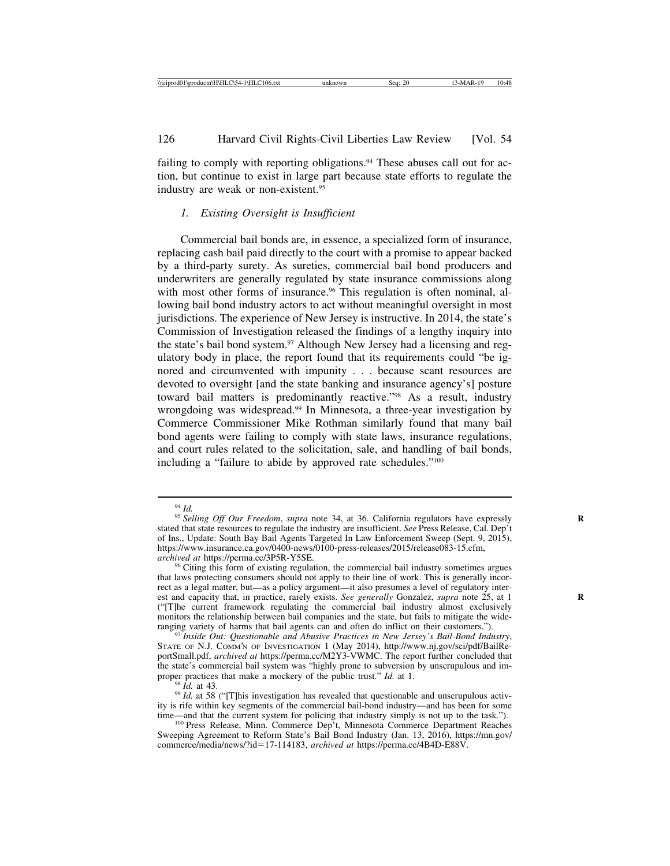failing to comply with reporting obligations.<sup>94</sup> These abuses call out for action, but continue to exist in large part because state efforts to regulate the industry are weak or non-existent.95

#### *1. Existing Oversight is Insufficient*

Commercial bail bonds are, in essence, a specialized form of insurance, replacing cash bail paid directly to the court with a promise to appear backed by a third-party surety. As sureties, commercial bail bond producers and underwriters are generally regulated by state insurance commissions along with most other forms of insurance.<sup>96</sup> This regulation is often nominal, allowing bail bond industry actors to act without meaningful oversight in most jurisdictions. The experience of New Jersey is instructive. In 2014, the state's Commission of Investigation released the findings of a lengthy inquiry into the state's bail bond system.97 Although New Jersey had a licensing and regulatory body in place, the report found that its requirements could "be ignored and circumvented with impunity . . . because scant resources are devoted to oversight [and the state banking and insurance agency's] posture toward bail matters is predominantly reactive."98 As a result, industry wrongdoing was widespread.<sup>99</sup> In Minnesota, a three-year investigation by Commerce Commissioner Mike Rothman similarly found that many bail bond agents were failing to comply with state laws, insurance regulations, and court rules related to the solicitation, sale, and handling of bail bonds, including a "failure to abide by approved rate schedules."100

<sup>94</sup> *Id.* <sup>95</sup> *Selling Off Our Freedom*, *supra* note 34, at 36. California regulators have expressly **<sup>R</sup>** stated that state resources to regulate the industry are insufficient. *See* Press Release, Cal. Dep't of Ins., Update: South Bay Bail Agents Targeted In Law Enforcement Sweep (Sept. 9, 2015), https://www.insurance.ca.gov/0400-news/0100-press-releases/2015/release083-15.cfm, archived at https://perma.cc/3P5R-Y5SE.

<sup>&</sup>lt;sup>96</sup> Citing this form of existing regulation, the commercial bail industry sometimes argues that laws protecting consumers should not apply to their line of work. This is generally incorrect as a legal matter, but—as a policy argument—it also presumes a level of regulatory interest and capacity that, in practice, rarely exists. *See generally* Gonzalez, *supra* note 25, at 1 **R** ("[T]he current framework regulating the commercial bail industry almost exclusively monitors the relationship between bail companies and the state, but fails to mitigate the wide-<br>ranging variety of harms that bail agents can and often do inflict on their customers.").

<sup>&</sup>lt;sup>97</sup> Inside Out: Questionable and Abusive Practices in New Jersey's Bail-Bond Industry, STATE OF N.J. COMM'N OF INVESTIGATION 1 (May 2014), http://www.nj.gov/sci/pdf/BailReportSmall.pdf, *archived at* https://perma.cc/M2Y3-VWMC. The report further concluded that the state's commercial bail system was "highly prone to subversion by unscrupulous and im-<br>proper practices that make a mockery of the public trust."  $Id$  at 1.

<sup>&</sup>lt;sup>98</sup> *Id.* at 43. *Id.* at 43. *PROPERFERS* in the public trust is revealed that questionable and unscrupulous activ-<br><sup>99</sup> *Id.* at 58 ("[T]his investigation has revealed that questionable and unscrupulous activity is rife within key segments of the commercial bail-bond industry—and has been for some

<sup>&</sup>lt;sup>100</sup> Press Release, Minn. Commerce Dep<sup>7</sup>t, Minnesota Commerce Department Reaches Sweeping Agreement to Reform State's Bail Bond Industry (Jan. 13, 2016), https://mn.gov/ commerce/media/news/?id=17-114183, *archived at* https://perma.cc/4B4D-E88V.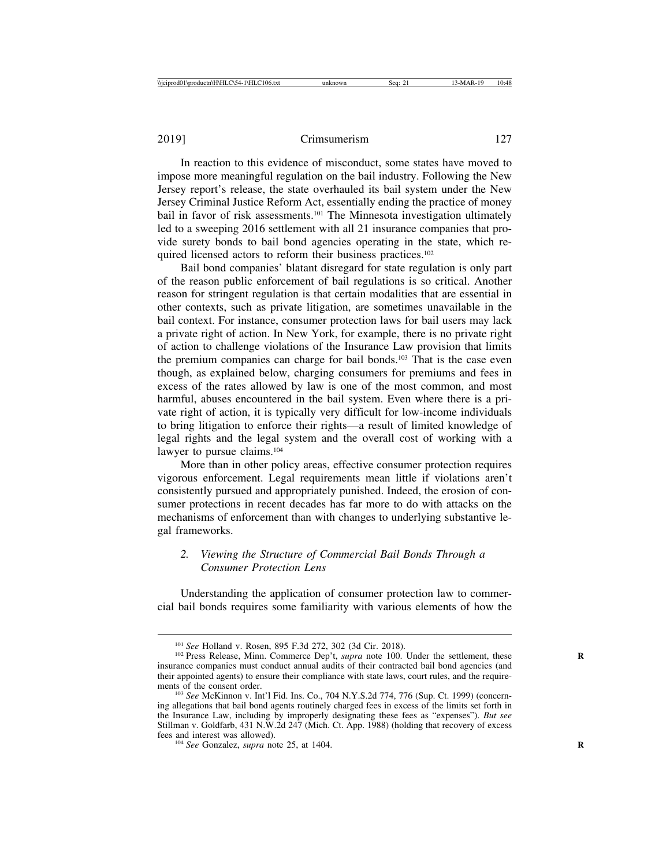In reaction to this evidence of misconduct, some states have moved to impose more meaningful regulation on the bail industry. Following the New Jersey report's release, the state overhauled its bail system under the New Jersey Criminal Justice Reform Act, essentially ending the practice of money bail in favor of risk assessments.101 The Minnesota investigation ultimately led to a sweeping 2016 settlement with all 21 insurance companies that provide surety bonds to bail bond agencies operating in the state, which required licensed actors to reform their business practices.<sup>102</sup>

Bail bond companies' blatant disregard for state regulation is only part of the reason public enforcement of bail regulations is so critical. Another reason for stringent regulation is that certain modalities that are essential in other contexts, such as private litigation, are sometimes unavailable in the bail context. For instance, consumer protection laws for bail users may lack a private right of action. In New York, for example, there is no private right of action to challenge violations of the Insurance Law provision that limits the premium companies can charge for bail bonds.103 That is the case even though, as explained below, charging consumers for premiums and fees in excess of the rates allowed by law is one of the most common, and most harmful, abuses encountered in the bail system. Even where there is a private right of action, it is typically very difficult for low-income individuals to bring litigation to enforce their rights—a result of limited knowledge of legal rights and the legal system and the overall cost of working with a lawyer to pursue claims.<sup>104</sup>

More than in other policy areas, effective consumer protection requires vigorous enforcement. Legal requirements mean little if violations aren't consistently pursued and appropriately punished. Indeed, the erosion of consumer protections in recent decades has far more to do with attacks on the mechanisms of enforcement than with changes to underlying substantive legal frameworks.

# *2. Viewing the Structure of Commercial Bail Bonds Through a Consumer Protection Lens*

Understanding the application of consumer protection law to commercial bail bonds requires some familiarity with various elements of how the

<sup>&</sup>lt;sup>101</sup> *See* Holland v. Rosen, 895 F.3d 272, 302 (3d Cir. 2018). 102 Press Release, Minn. Commerce Dep't, *supra* note 100. Under the settlement, these insurance companies must conduct annual audits of their contracted bail bond agencies (and their appointed agents) to ensure their compliance with state laws, court rules, and the requirements of the consent order.<br><sup>103</sup> *See* McKinnon v. Int'l Fid. Ins. Co., 704 N.Y.S.2d 774, 776 (Sup. Ct. 1999) (concern-

ing allegations that bail bond agents routinely charged fees in excess of the limits set forth in the Insurance Law, including by improperly designating these fees as "expenses"). *But see* Stillman v. Goldfarb, 431 N.W.2d 247 (Mich. Ct. App. 1988) (holding that recovery of excess fees and interest was allowed).

<sup>&</sup>lt;sup>104</sup> See Gonzalez, *supra* note 25, at 1404.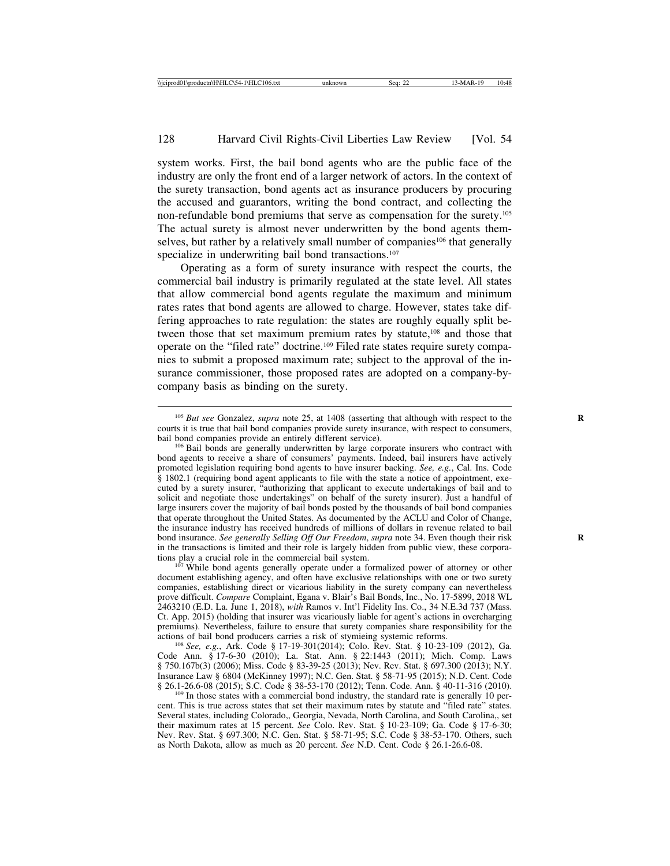system works. First, the bail bond agents who are the public face of the industry are only the front end of a larger network of actors. In the context of the surety transaction, bond agents act as insurance producers by procuring the accused and guarantors, writing the bond contract, and collecting the non-refundable bond premiums that serve as compensation for the surety.105 The actual surety is almost never underwritten by the bond agents themselves, but rather by a relatively small number of companies<sup>106</sup> that generally specialize in underwriting bail bond transactions.<sup>107</sup>

Operating as a form of surety insurance with respect the courts, the commercial bail industry is primarily regulated at the state level. All states that allow commercial bond agents regulate the maximum and minimum rates rates that bond agents are allowed to charge. However, states take differing approaches to rate regulation: the states are roughly equally split between those that set maximum premium rates by statute,108 and those that operate on the "filed rate" doctrine.109 Filed rate states require surety companies to submit a proposed maximum rate; subject to the approval of the insurance commissioner, those proposed rates are adopted on a company-bycompany basis as binding on the surety.

107 While bond agents generally operate under a formalized power of attorney or other document establishing agency, and often have exclusive relationships with one or two surety companies, establishing direct or vicarious liability in the surety company can nevertheless prove difficult. *Compare* Complaint, Egana v. Blair's Bail Bonds, Inc., No. 17-5899, 2018 WL 2463210 (E.D. La. June 1, 2018), *with* Ramos v. Int'l Fidelity Ins. Co., 34 N.E.3d 737 (Mass. Ct. App. 2015) (holding that insurer was vicariously liable for agent's actions in overcharging premiums). Nevertheless, failure to ensure that surety companies share responsibility for the actions of bail bond producers carries a risk of stymieing systemic reforms. <sup>108</sup> *See, e.g.*, Ark. Code § 17-19-301(2014); Colo. Rev. Stat. § 10-23-109 (2012), Ga.

Code Ann. § 17-6-30 (2010); La. Stat. Ann. § 22:1443 (2011); Mich. Comp. Laws § 750.167b(3) (2006); Miss. Code § 83-39-25 (2013); Nev. Rev. Stat. § 697.300 (2013); N.Y. Insurance Law § 6804 (McKinney 1997); N.C. Gen. Stat. § 58-71-95 (2015); N.D. Cent. Code

<sup>109</sup> In those states with a commercial bond industry, the standard rate is generally 10 percent. This is true across states that set their maximum rates by statute and "filed rate" states. Several states, including Colorado,, Georgia, Nevada, North Carolina, and South Carolina,, set their maximum rates at 15 percent. *See* Colo. Rev. Stat. § 10-23-109; Ga. Code § 17-6-30; Nev. Rev. Stat. § 697.300; N.C. Gen. Stat. § 58-71-95; S.C. Code § 38-53-170. Others, such as North Dakota, allow as much as 20 percent. *See* N.D. Cent. Code § 26.1-26.6-08.

<sup>&</sup>lt;sup>105</sup> *But see* Gonzalez, *supra* note 25, at 1408 (asserting that although with respect to the courts it is true that bail bond companies provide surety insurance, with respect to consumers, bail bond companies provide an entirely different service).

<sup>&</sup>lt;sup>106</sup> Bail bonds are generally underwritten by large corporate insurers who contract with bond agents to receive a share of consumers' payments. Indeed, bail insurers have actively promoted legislation requiring bond agents to have insurer backing. *See, e.g.*, Cal. Ins. Code § 1802.1 (requiring bond agent applicants to file with the state a notice of appointment, executed by a surety insurer, "authorizing that applicant to execute undertakings of bail and to solicit and negotiate those undertakings" on behalf of the surety insurer). Just a handful of large insurers cover the majority of bail bonds posted by the thousands of bail bond companies that operate throughout the United States. As documented by the ACLU and Color of Change, the insurance industry has received hundreds of millions of dollars in revenue related to bail bond insurance. *See generally Selling Off Our Freedom*, *supra* note 34. Even though their risk **R** in the transactions is limited and their role is largely hidden from public view, these corporations play a crucial role in the commercial bail system.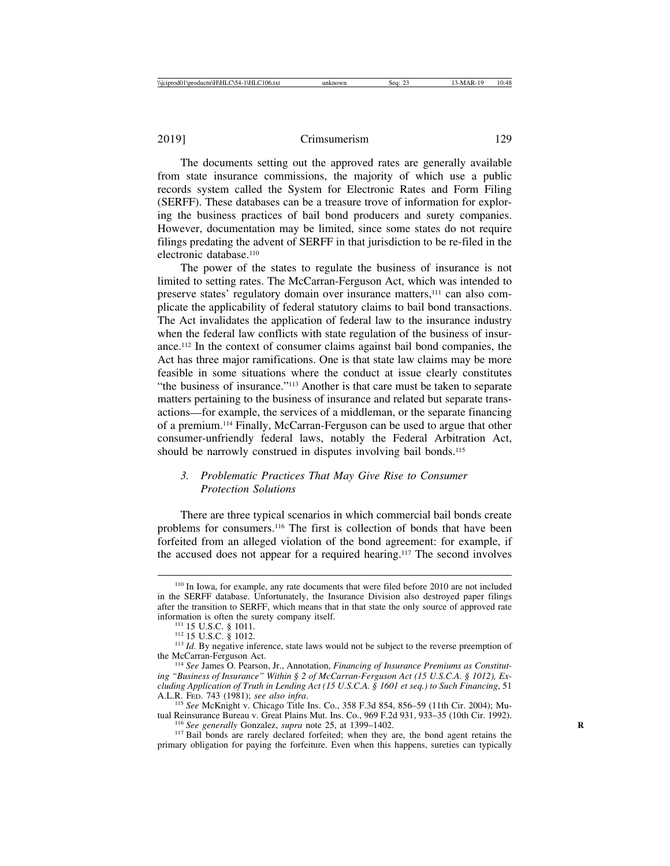The documents setting out the approved rates are generally available from state insurance commissions, the majority of which use a public records system called the System for Electronic Rates and Form Filing (SERFF). These databases can be a treasure trove of information for exploring the business practices of bail bond producers and surety companies. However, documentation may be limited, since some states do not require filings predating the advent of SERFF in that jurisdiction to be re-filed in the electronic database.<sup>110</sup>

The power of the states to regulate the business of insurance is not limited to setting rates. The McCarran-Ferguson Act, which was intended to preserve states' regulatory domain over insurance matters,<sup>111</sup> can also complicate the applicability of federal statutory claims to bail bond transactions. The Act invalidates the application of federal law to the insurance industry when the federal law conflicts with state regulation of the business of insurance.112 In the context of consumer claims against bail bond companies, the Act has three major ramifications. One is that state law claims may be more feasible in some situations where the conduct at issue clearly constitutes "the business of insurance."113 Another is that care must be taken to separate matters pertaining to the business of insurance and related but separate transactions—for example, the services of a middleman, or the separate financing of a premium.114 Finally, McCarran-Ferguson can be used to argue that other consumer-unfriendly federal laws, notably the Federal Arbitration Act, should be narrowly construed in disputes involving bail bonds.<sup>115</sup>

## *3. Problematic Practices That May Give Rise to Consumer Protection Solutions*

There are three typical scenarios in which commercial bail bonds create problems for consumers.116 The first is collection of bonds that have been forfeited from an alleged violation of the bond agreement: for example, if the accused does not appear for a required hearing.117 The second involves

<sup>110</sup> In Iowa, for example, any rate documents that were filed before 2010 are not included in the SERFF database. Unfortunately, the Insurance Division also destroyed paper filings after the transition to SERFF, which means that in that state the only source of approved rate information is often the surety company itself.

<sup>&</sup>lt;sup>111</sup> 15 U.S.C. § 1011.<br><sup>112</sup> 15 U.S.C. § 1011.<br><sup>113</sup> *Id*. By negative inference, state laws would not be subject to the reverse preemption of the McCarran-Ferguson Act. <sup>114</sup> *See* James O. Pearson, Jr., Annotation, *Financing of Insurance Premiums as Constitut-*

*ing "Business of Insurance" Within § 2 of McCarran-Ferguson Act (15 U.S.C.A. § 1012), Excluding Application of Truth in Lending Act (15 U.S.C.A. § 1601 et seq.) to Such Financing*, 51

A.L.R. FED. 743 (1981); *see also infra*.<br><sup>115</sup> *See* McKnight v. Chicago Title Ins. Co., 358 F.3d 854, 856–59 (11th Cir. 2004); Mu-<br>tual Reinsurance Bureau v. Great Plains Mut. Ins. Co., 969 F.2d 931, 933–35 (10th Cir. 19

<sup>&</sup>lt;sup>116</sup> See generally Gonzalez, supra note 25, at 1399–1402.<br><sup>117</sup> Bail bonds are rarely declared forfeited; when they are, the bond agent retains the primary obligation for paying the forfeiture. Even when this happens, sureties can typically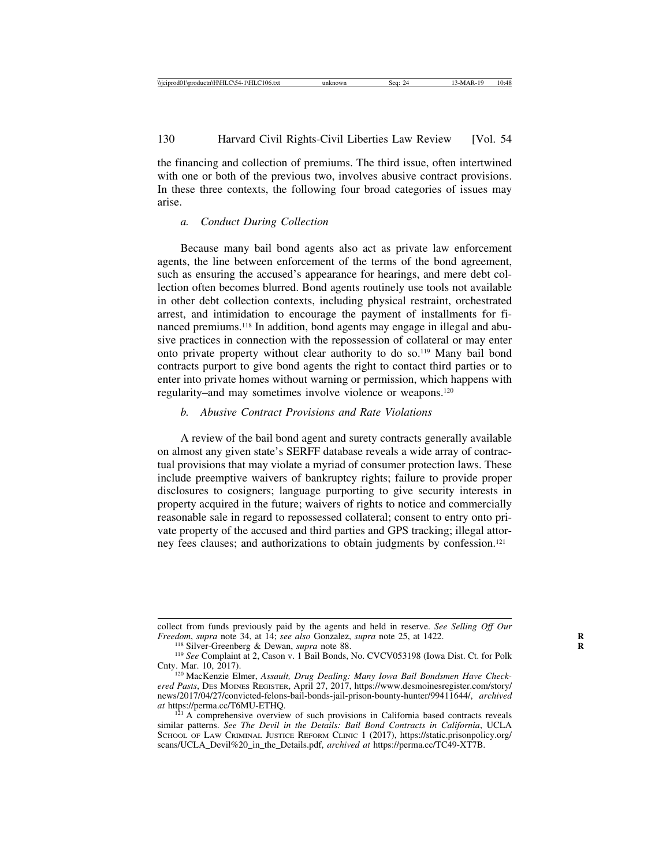the financing and collection of premiums. The third issue, often intertwined with one or both of the previous two, involves abusive contract provisions. In these three contexts, the following four broad categories of issues may arise.

#### *a. Conduct During Collection*

Because many bail bond agents also act as private law enforcement agents, the line between enforcement of the terms of the bond agreement, such as ensuring the accused's appearance for hearings, and mere debt collection often becomes blurred. Bond agents routinely use tools not available in other debt collection contexts, including physical restraint, orchestrated arrest, and intimidation to encourage the payment of installments for financed premiums.118 In addition, bond agents may engage in illegal and abusive practices in connection with the repossession of collateral or may enter onto private property without clear authority to do so.119 Many bail bond contracts purport to give bond agents the right to contact third parties or to enter into private homes without warning or permission, which happens with regularity–and may sometimes involve violence or weapons.120

# *b. Abusive Contract Provisions and Rate Violations*

A review of the bail bond agent and surety contracts generally available on almost any given state's SERFF database reveals a wide array of contractual provisions that may violate a myriad of consumer protection laws. These include preemptive waivers of bankruptcy rights; failure to provide proper disclosures to cosigners; language purporting to give security interests in property acquired in the future; waivers of rights to notice and commercially reasonable sale in regard to repossessed collateral; consent to entry onto private property of the accused and third parties and GPS tracking; illegal attorney fees clauses; and authorizations to obtain judgments by confession.<sup>121</sup>

collect from funds previously paid by the agents and held in reserve. *See Selling Off Our*

Freedom, supra note 34, at 14; see also Gonzalez, supra note 25, at 1422.<br>
<sup>118</sup> Silver-Greenberg & Dewan, supra note 88.<br>
<sup>119</sup> See Complaint at 2, Cason v. 1 Bail Bonds, No. CVCV053198 (Iowa Dist. Ct. for Polk<br>
Cnty. Mar

<sup>&</sup>lt;sup>120</sup> MacKenzie Elmer, Assault, Drug Dealing: Many Iowa Bail Bondsmen Have Check*ered Pasts*, DES MOINES REGISTER, April 27, 2017, https://www.desmoinesregister.com/story/ news/2017/04/27/convicted-felons-bail-bonds-jail-prison-bounty-hunter/99411644/, *archived*

<sup>&</sup>lt;sup>121</sup> A comprehensive overview of such provisions in California based contracts reveals similar patterns. *See The Devil in the Details: Bail Bond Contracts in California*, UCLA SCHOOL OF LAW CRIMINAL JUSTICE REFORM CLINIC 1 (2017), https://static.prisonpolicy.org/ scans/UCLA\_Devil%20\_in\_the\_Details.pdf, *archived at* https://perma.cc/TC49-XT7B.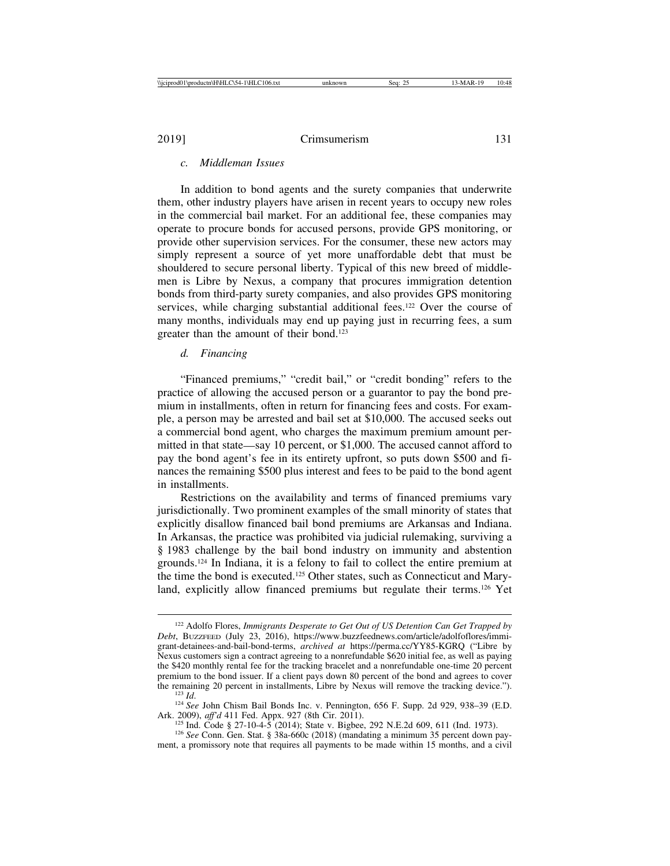#### *c. Middleman Issues*

In addition to bond agents and the surety companies that underwrite them, other industry players have arisen in recent years to occupy new roles in the commercial bail market. For an additional fee, these companies may operate to procure bonds for accused persons, provide GPS monitoring, or provide other supervision services. For the consumer, these new actors may simply represent a source of yet more unaffordable debt that must be shouldered to secure personal liberty. Typical of this new breed of middlemen is Libre by Nexus, a company that procures immigration detention bonds from third-party surety companies, and also provides GPS monitoring services, while charging substantial additional fees.<sup>122</sup> Over the course of many months, individuals may end up paying just in recurring fees, a sum greater than the amount of their bond.<sup>123</sup>

#### *d. Financing*

"Financed premiums," "credit bail," or "credit bonding" refers to the practice of allowing the accused person or a guarantor to pay the bond premium in installments, often in return for financing fees and costs. For example, a person may be arrested and bail set at \$10,000. The accused seeks out a commercial bond agent, who charges the maximum premium amount permitted in that state—say 10 percent, or \$1,000. The accused cannot afford to pay the bond agent's fee in its entirety upfront, so puts down \$500 and finances the remaining \$500 plus interest and fees to be paid to the bond agent in installments.

Restrictions on the availability and terms of financed premiums vary jurisdictionally. Two prominent examples of the small minority of states that explicitly disallow financed bail bond premiums are Arkansas and Indiana. In Arkansas, the practice was prohibited via judicial rulemaking, surviving a § 1983 challenge by the bail bond industry on immunity and abstention grounds.124 In Indiana, it is a felony to fail to collect the entire premium at the time the bond is executed.125 Other states, such as Connecticut and Maryland, explicitly allow financed premiums but regulate their terms.<sup>126</sup> Yet

<sup>122</sup> Adolfo Flores, *Immigrants Desperate to Get Out of US Detention Can Get Trapped by Debt*, BUZZFEED (July 23, 2016), https://www.buzzfeednews.com/article/adolfoflores/immigrant-detainees-and-bail-bond-terms, *archived at* https://perma.cc/YY85-KGRQ ("Libre by Nexus customers sign a contract agreeing to a nonrefundable \$620 initial fee, as well as paying the \$420 monthly rental fee for the tracking bracelet and a nonrefundable one-time 20 percent premium to the bond issuer. If a client pays down 80 percent of the bond and agrees to cover the remaining 20 percent in installments, Libre by Nexus will remove the tracking device.").

<sup>&</sup>lt;sup>123</sup> *Id.* <sup>22</sup> *Id.* <sup>124</sup> *See John Chism Bail Bonds Inc. v. Pennington, 656 F. Supp. 2d 929, 938–39 (E.D. Ark. 2009), aff'd* 411 Fed. Appx. 927 (8th Cir. 2011).

<sup>&</sup>lt;sup>125</sup> Ind. Code § 27-10-4-5 (2014); State v. Bigbee, 292 N.E.2d 609, 611 (Ind. 1973).<br><sup>126</sup> See Conn. Gen. Stat. § 38a-660c (2018) (mandating a minimum 35 percent down pay-

ment, a promissory note that requires all payments to be made within 15 months, and a civil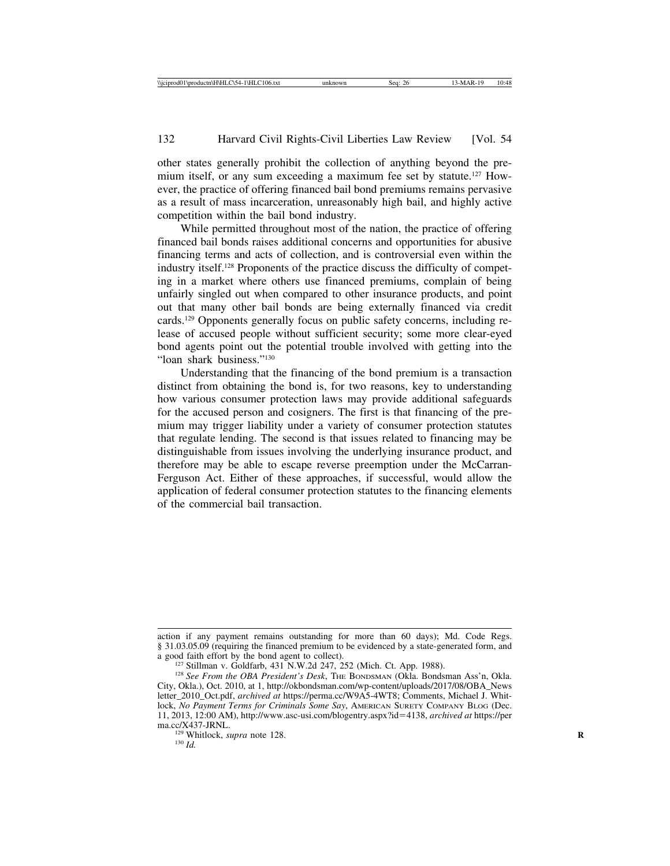other states generally prohibit the collection of anything beyond the premium itself, or any sum exceeding a maximum fee set by statute.127 However, the practice of offering financed bail bond premiums remains pervasive as a result of mass incarceration, unreasonably high bail, and highly active competition within the bail bond industry.

While permitted throughout most of the nation, the practice of offering financed bail bonds raises additional concerns and opportunities for abusive financing terms and acts of collection, and is controversial even within the industry itself.128 Proponents of the practice discuss the difficulty of competing in a market where others use financed premiums, complain of being unfairly singled out when compared to other insurance products, and point out that many other bail bonds are being externally financed via credit cards.129 Opponents generally focus on public safety concerns, including release of accused people without sufficient security; some more clear-eyed bond agents point out the potential trouble involved with getting into the "loan shark business."<sup>130</sup>

Understanding that the financing of the bond premium is a transaction distinct from obtaining the bond is, for two reasons, key to understanding how various consumer protection laws may provide additional safeguards for the accused person and cosigners. The first is that financing of the premium may trigger liability under a variety of consumer protection statutes that regulate lending. The second is that issues related to financing may be distinguishable from issues involving the underlying insurance product, and therefore may be able to escape reverse preemption under the McCarran-Ferguson Act. Either of these approaches, if successful, would allow the application of federal consumer protection statutes to the financing elements of the commercial bail transaction.

action if any payment remains outstanding for more than 60 days); Md. Code Regs. § 31.03.05.09 (requiring the financed premium to be evidenced by a state-generated form, and a good faith effort by the bond agent to collect).

<sup>&</sup>lt;sup>127</sup> Stillman v. Goldfarb, 431 N.W.2d 247, 252 (Mich. Ct. App. 1988). <sup>128</sup> *See From the OBA President's Desk*, THE BONDSMAN (Okla. Bondsman Ass'n, Okla. City, Okla.), Oct. 2010, at 1, http://okbondsman.com/wp-content/uploads/2017/08/OBA\_News letter\_2010\_Oct.pdf, *archived at* https://perma.cc/W9A5-4WT8; Comments, Michael J. Whitlock, *No Payment Terms for Criminals Some Say*, AMERICAN SURETY COMPANY BLOG (Dec. 11, 2013, 12:00 AM), http://www.asc-usi.com/blogentry.aspx?id=4138, *archived at* https://per

<sup>&</sup>lt;sup>129</sup> Whitlock, *supra* note 128. <sup>130</sup> *Id.*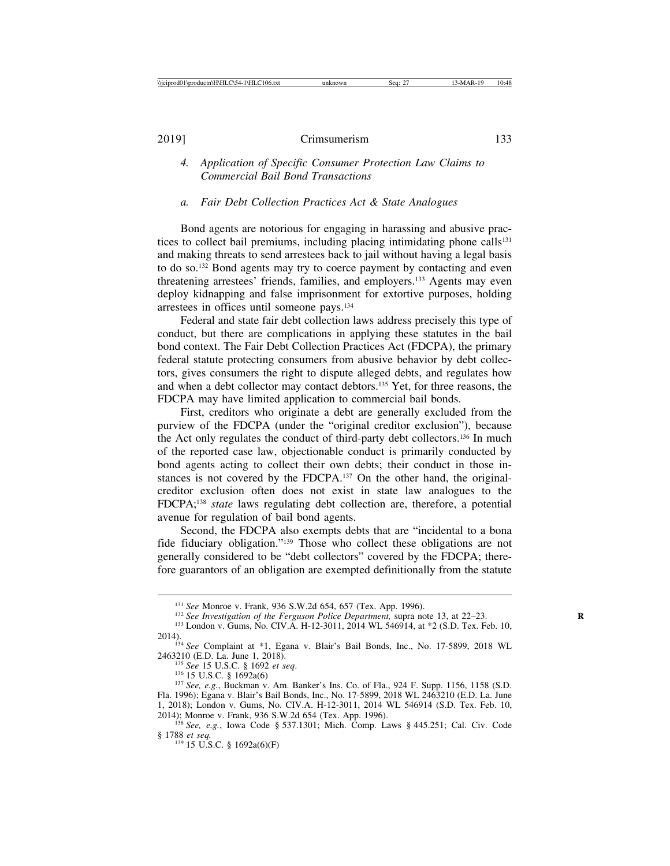*4. Application of Specific Consumer Protection Law Claims to Commercial Bail Bond Transactions*

#### *a. Fair Debt Collection Practices Act & State Analogues*

Bond agents are notorious for engaging in harassing and abusive practices to collect bail premiums, including placing intimidating phone calls<sup>131</sup> and making threats to send arrestees back to jail without having a legal basis to do so.132 Bond agents may try to coerce payment by contacting and even threatening arrestees' friends, families, and employers.133 Agents may even deploy kidnapping and false imprisonment for extortive purposes, holding arrestees in offices until someone pays.134

Federal and state fair debt collection laws address precisely this type of conduct, but there are complications in applying these statutes in the bail bond context. The Fair Debt Collection Practices Act (FDCPA), the primary federal statute protecting consumers from abusive behavior by debt collectors, gives consumers the right to dispute alleged debts, and regulates how and when a debt collector may contact debtors.135 Yet, for three reasons, the FDCPA may have limited application to commercial bail bonds.

First, creditors who originate a debt are generally excluded from the purview of the FDCPA (under the "original creditor exclusion"), because the Act only regulates the conduct of third-party debt collectors.136 In much of the reported case law, objectionable conduct is primarily conducted by bond agents acting to collect their own debts; their conduct in those instances is not covered by the FDCPA.137 On the other hand, the originalcreditor exclusion often does not exist in state law analogues to the FDCPA;138 *state* laws regulating debt collection are, therefore, a potential avenue for regulation of bail bond agents.

Second, the FDCPA also exempts debts that are "incidental to a bona fide fiduciary obligation."139 Those who collect these obligations are not generally considered to be "debt collectors" covered by the FDCPA; therefore guarantors of an obligation are exempted definitionally from the statute

<sup>&</sup>lt;sup>131</sup> See Monroe v. Frank, 936 S.W.2d 654, 657 (Tex. App. 1996).<br><sup>132</sup> See *Investigation of the Ferguson Police Department*, supra note 13, at 22–23.<br><sup>133</sup> London v. Gums, No. CIV.A. H-12-3011, 2014 WL 546914, at \*2 (S.D

<sup>&</sup>lt;sup>134</sup> *See* Complaint at \*1, Egana v. Blair's Bail Bonds, Inc., No. 17-5899, 2018 WL 2463210 (E.D. La. June 1, 2018).

<sup>&</sup>lt;sup>135</sup> *See* 15 U.S.C. § 1692 *et seq.* 136 136 *P.* 2018 136 15 15 U.S.C. § 1692a(6) 137 *See, e.g.*, Buckman v. Am. Banker's Ins. Co. of Fla., 924 F. Supp. 1156, 1158 (S.D. Fla. 1996); Egana v. Blair's Bail Bonds, Inc., No. 17-5899, 2018 WL 2463210 (E.D. La. June 1, 2018); London v. Gums, No. CIV.A. H-12-3011, 2014 WL 546914 (S.D. Tex. Feb. 10,

<sup>&</sup>lt;sup>138</sup> See, e.g., Iowa Code § 537.1301; Mich. Comp. Laws § 445.251; Cal. Civ. Code § 1788 *et seq.* <sup>139</sup> 15 U.S.C. § 1692a(6)(F)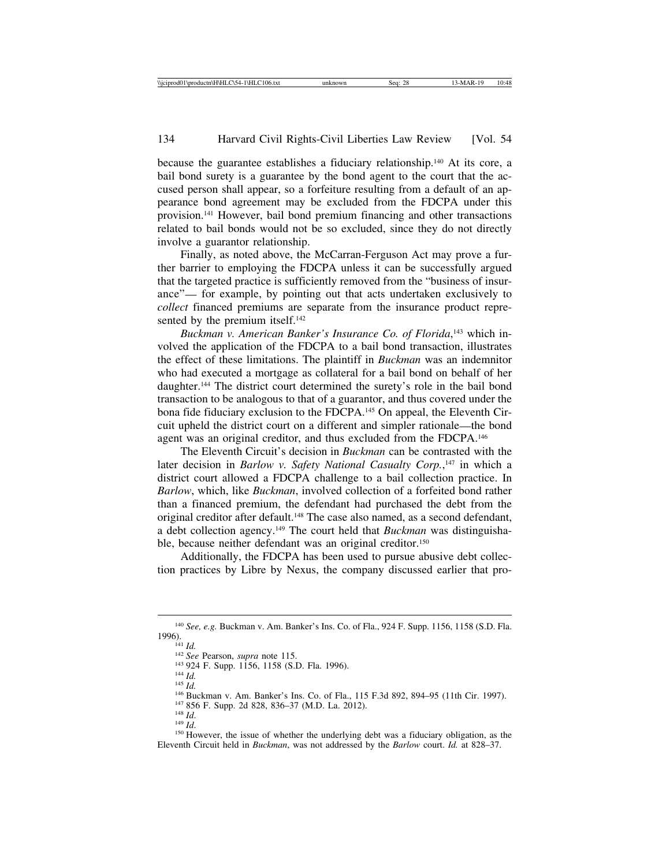because the guarantee establishes a fiduciary relationship.140 At its core, a bail bond surety is a guarantee by the bond agent to the court that the accused person shall appear, so a forfeiture resulting from a default of an appearance bond agreement may be excluded from the FDCPA under this provision.141 However, bail bond premium financing and other transactions related to bail bonds would not be so excluded, since they do not directly involve a guarantor relationship.

Finally, as noted above, the McCarran-Ferguson Act may prove a further barrier to employing the FDCPA unless it can be successfully argued that the targeted practice is sufficiently removed from the "business of insurance"— for example, by pointing out that acts undertaken exclusively to *collect* financed premiums are separate from the insurance product represented by the premium itself.<sup>142</sup>

*Buckman v. American Banker's Insurance Co. of Florida*, 143 which involved the application of the FDCPA to a bail bond transaction, illustrates the effect of these limitations. The plaintiff in *Buckman* was an indemnitor who had executed a mortgage as collateral for a bail bond on behalf of her daughter.144 The district court determined the surety's role in the bail bond transaction to be analogous to that of a guarantor, and thus covered under the bona fide fiduciary exclusion to the FDCPA.145 On appeal, the Eleventh Circuit upheld the district court on a different and simpler rationale—the bond agent was an original creditor, and thus excluded from the FDCPA.146

The Eleventh Circuit's decision in *Buckman* can be contrasted with the later decision in *Barlow v. Safety National Casualty Corp.*,<sup>147</sup> in which a district court allowed a FDCPA challenge to a bail collection practice. In *Barlow*, which, like *Buckman*, involved collection of a forfeited bond rather than a financed premium, the defendant had purchased the debt from the original creditor after default.148 The case also named, as a second defendant, a debt collection agency.149 The court held that *Buckman* was distinguishable, because neither defendant was an original creditor.<sup>150</sup>

Additionally, the FDCPA has been used to pursue abusive debt collection practices by Libre by Nexus, the company discussed earlier that pro-

Eleventh Circuit held in *Buckman*, was not addressed by the *Barlow* court. *Id.* at 828–37.

<sup>&</sup>lt;sup>140</sup> *See, e.g.* Buckman v. Am. Banker's Ins. Co. of Fla., 924 F. Supp. 1156, 1158 (S.D. Fla. 1996). 1996).<br>
<sup>141</sup> *Id.*<br>
<sup>142</sup> *See* Pearson, *supra* note 115.<br>
<sup>143</sup> *J24* F. Supp. 1156, 1158 (S.D. Fla. 1996).<br>
<sup>144</sup> *Id.*<br>
<sup>145</sup> *Id.*<br>
<sup>146</sup> Buckman v. Am. Banker's Ins. Co. of Fla., 115 F.3d 892, 894–95 (11th Cir. 199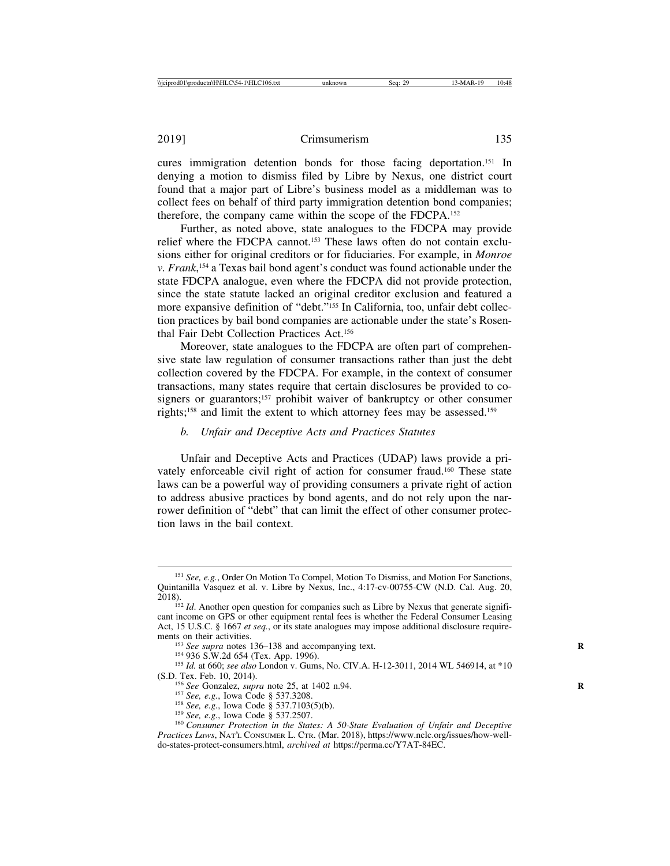cures immigration detention bonds for those facing deportation.151 In denying a motion to dismiss filed by Libre by Nexus, one district court found that a major part of Libre's business model as a middleman was to collect fees on behalf of third party immigration detention bond companies; therefore, the company came within the scope of the FDCPA.152

Further, as noted above, state analogues to the FDCPA may provide relief where the FDCPA cannot.153 These laws often do not contain exclusions either for original creditors or for fiduciaries. For example, in *Monroe v. Frank*, 154 a Texas bail bond agent's conduct was found actionable under the state FDCPA analogue, even where the FDCPA did not provide protection, since the state statute lacked an original creditor exclusion and featured a more expansive definition of "debt."155 In California, too, unfair debt collection practices by bail bond companies are actionable under the state's Rosenthal Fair Debt Collection Practices Act.156

Moreover, state analogues to the FDCPA are often part of comprehensive state law regulation of consumer transactions rather than just the debt collection covered by the FDCPA. For example, in the context of consumer transactions, many states require that certain disclosures be provided to cosigners or guarantors;<sup>157</sup> prohibit waiver of bankruptcy or other consumer rights;158 and limit the extent to which attorney fees may be assessed.159

#### *b. Unfair and Deceptive Acts and Practices Statutes*

Unfair and Deceptive Acts and Practices (UDAP) laws provide a privately enforceable civil right of action for consumer fraud.160 These state laws can be a powerful way of providing consumers a private right of action to address abusive practices by bond agents, and do not rely upon the narrower definition of "debt" that can limit the effect of other consumer protection laws in the bail context.

<sup>151</sup> *See, e.g.*, Order On Motion To Compel, Motion To Dismiss, and Motion For Sanctions, Quintanilla Vasquez et al. v. Libre by Nexus, Inc., 4:17-cv-00755-CW (N.D. Cal. Aug. 20,

 $^{152}$  *Id*. Another open question for companies such as Libre by Nexus that generate significant income on GPS or other equipment rental fees is whether the Federal Consumer Leasing Act, 15 U.S.C. § 1667 *et seq.*, or its state analogues may impose additional disclosure require-

ments on their activities.<br>
<sup>153</sup> *See supra* notes 136–138 and accompanying text.<br>
<sup>154</sup> 936 S.W.2d 654 (Tex. App. 1996).<br>
<sup>155</sup> *Id.* at 660; *see also* London v. Gums, No. CIV.A. H-12-3011, 2014 WL 546914, at \*10<br>
(S.D

<sup>&</sup>lt;sup>156</sup> See Gonzalez, *supra* note 25, at 1402 n.94.<br><sup>157</sup> See, e.g., Iowa Code § 537.3208.<br><sup>158</sup> See, e.g., Iowa Code § 537.7103(5)(b).<br><sup>159</sup> See, e.g., Iowa Code § 537.2507.<br><sup>160</sup> Consumer Protection in the States: A 50-S *Practices Laws*, NAT'L CONSUMER L. CTR. (Mar. 2018), https://www.nclc.org/issues/how-welldo-states-protect-consumers.html, *archived at* https://perma.cc/Y7AT-84EC.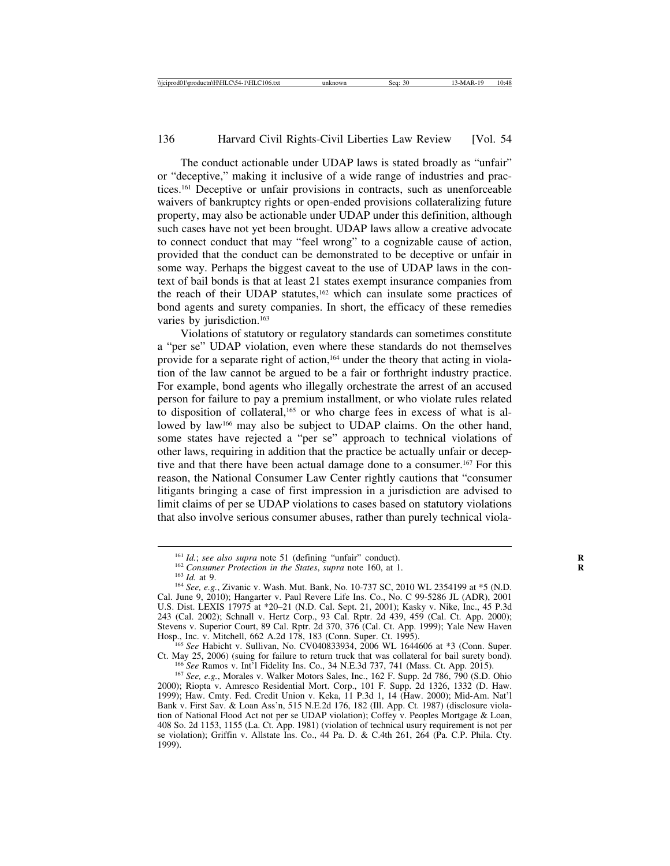The conduct actionable under UDAP laws is stated broadly as "unfair" or "deceptive," making it inclusive of a wide range of industries and practices.161 Deceptive or unfair provisions in contracts, such as unenforceable waivers of bankruptcy rights or open-ended provisions collateralizing future property, may also be actionable under UDAP under this definition, although such cases have not yet been brought. UDAP laws allow a creative advocate to connect conduct that may "feel wrong" to a cognizable cause of action, provided that the conduct can be demonstrated to be deceptive or unfair in some way. Perhaps the biggest caveat to the use of UDAP laws in the context of bail bonds is that at least 21 states exempt insurance companies from the reach of their UDAP statutes,162 which can insulate some practices of bond agents and surety companies. In short, the efficacy of these remedies varies by jurisdiction.<sup>163</sup>

Violations of statutory or regulatory standards can sometimes constitute a "per se" UDAP violation, even where these standards do not themselves provide for a separate right of action,164 under the theory that acting in violation of the law cannot be argued to be a fair or forthright industry practice. For example, bond agents who illegally orchestrate the arrest of an accused person for failure to pay a premium installment, or who violate rules related to disposition of collateral,165 or who charge fees in excess of what is allowed by law<sup>166</sup> may also be subject to UDAP claims. On the other hand, some states have rejected a "per se" approach to technical violations of other laws, requiring in addition that the practice be actually unfair or deceptive and that there have been actual damage done to a consumer.167 For this reason, the National Consumer Law Center rightly cautions that "consumer litigants bringing a case of first impression in a jurisdiction are advised to limit claims of per se UDAP violations to cases based on statutory violations that also involve serious consumer abuses, rather than purely technical viola-

Hosp., Inc. v. Mitchell, 662 A.2d 178, 183 (Conn. Super. Ct. 1995).<br><sup>165</sup> *See* Habicht v. Sullivan, No. CV040833934, 2006 WL 1644606 at \*3 (Conn. Super. Ct. May 25, 2006) (suing for failure to return truck that was collat <sup>166</sup> See Ramos v. Int<sup>1</sup>l Fidelity Ins. Co., 34 N.E.3d 737, 741 (Mass. Ct. App. 2015).<br><sup>167</sup> See, e.g., Morales v. Walker Motors Sales, Inc., 162 F. Supp. 2d 786, 790 (S.D. Ohio

<sup>&</sup>lt;sup>161</sup> *Id.*; *see also supra* note 51 (defining "unfair" conduct).<br><sup>162</sup> Consumer Protection in the States, *supra* note 160, at 1.<br><sup>163</sup> *Id.* at 9.<br><sup>164</sup> *See, e.g.*, Zivanic v. Wash. Mut. Bank, No. 10-737 SC, 2010 WL 2 Cal. June 9, 2010); Hangarter v. Paul Revere Life Ins. Co., No. C 99-5286 JL (ADR), 2001 U.S. Dist. LEXIS 17975 at \*20–21 (N.D. Cal. Sept. 21, 2001); Kasky v. Nike, Inc., 45 P.3d 243 (Cal. 2002); Schnall v. Hertz Corp., 93 Cal. Rptr. 2d 439, 459 (Cal. Ct. App. 2000); Stevens v. Superior Court, 89 Cal. Rptr. 2d 370, 376 (Cal. Ct. App. 1999); Yale New Haven

<sup>2000);</sup> Riopta v. Amresco Residential Mort. Corp., 101 F. Supp. 2d 1326, 1332 (D. Haw. 1999); Haw. Cmty. Fed. Credit Union v. Keka, 11 P.3d 1, 14 (Haw. 2000); Mid-Am. Nat'l Bank v. First Sav. & Loan Ass'n, 515 N.E.2d 176, 182 (Ill. App. Ct. 1987) (disclosure violation of National Flood Act not per se UDAP violation); Coffey v. Peoples Mortgage & Loan, 408 So. 2d 1153, 1155 (La. Ct. App. 1981) (violation of technical usury requirement is not per se violation); Griffin v. Allstate Ins. Co., 44 Pa. D. & C.4th 261, 264 (Pa. C.P. Phila. Cty. 1999).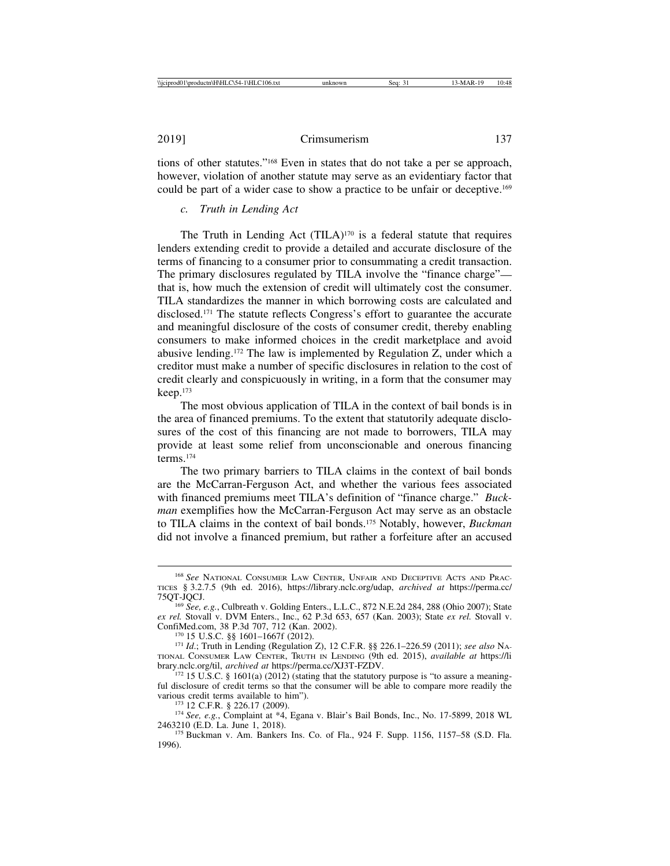tions of other statutes."168 Even in states that do not take a per se approach, however, violation of another statute may serve as an evidentiary factor that could be part of a wider case to show a practice to be unfair or deceptive.169

*c. Truth in Lending Act*

The Truth in Lending Act  $(TILA)^{170}$  is a federal statute that requires lenders extending credit to provide a detailed and accurate disclosure of the terms of financing to a consumer prior to consummating a credit transaction. The primary disclosures regulated by TILA involve the "finance charge" that is, how much the extension of credit will ultimately cost the consumer. TILA standardizes the manner in which borrowing costs are calculated and disclosed.171 The statute reflects Congress's effort to guarantee the accurate and meaningful disclosure of the costs of consumer credit, thereby enabling consumers to make informed choices in the credit marketplace and avoid abusive lending.172 The law is implemented by Regulation Z, under which a creditor must make a number of specific disclosures in relation to the cost of credit clearly and conspicuously in writing, in a form that the consumer may keep.173

The most obvious application of TILA in the context of bail bonds is in the area of financed premiums. To the extent that statutorily adequate disclosures of the cost of this financing are not made to borrowers, TILA may provide at least some relief from unconscionable and onerous financing terms.174

The two primary barriers to TILA claims in the context of bail bonds are the McCarran-Ferguson Act, and whether the various fees associated with financed premiums meet TILA's definition of "finance charge." *Buckman* exemplifies how the McCarran-Ferguson Act may serve as an obstacle to TILA claims in the context of bail bonds.175 Notably, however, *Buckman* did not involve a financed premium, but rather a forfeiture after an accused

<sup>168</sup> *See* NATIONAL CONSUMER LAW CENTER, UNFAIR AND DECEPTIVE ACTS AND PRAC-TICES § 3.2.7.5 (9th ed. 2016), https://library.nclc.org/udap, *archived at* https://perma.cc/

<sup>&</sup>lt;sup>169</sup> *See, e.g.*, Culbreath v. Golding Enters., L.L.C., 872 N.E.2d 284, 288 (Ohio 2007); State *ex rel.* Stovall v. DVM Enters., Inc., 62 P.3d 653, 657 (Kan. 2003); State *ex rel.* Stovall v.

<sup>&</sup>lt;sup>170</sup> 15 U.S.C. §§ 1601–1667f (2012). <sup>171</sup> *Id.*; Truth in Lending (Regulation Z), 12 C.F.R. §§ 226.1–226.59 (2011); *see also* NA-TIONAL CONSUMER LAW CENTER, TRUTH IN LENDING (9th ed. 2015), *available at* https://li

<sup>&</sup>lt;sup>172</sup> 15 U.S.C. § 1601(a) (2012) (stating that the statutory purpose is "to assure a meaningful disclosure of credit terms so that the consumer will be able to compare more readily the

various credit terms available to him").<br>
<sup>173</sup> 12 C.F.R. § 226.17 (2009).<br>
<sup>174</sup> *See, e.g.*, Complaint at \*4, Egana v. Blair's Bail Bonds, Inc., No. 17-5899, 2018 WL<br>
2463210 (E.D. La. June 1, 2018).

<sup>175</sup> Buckman v. Am. Bankers Ins. Co. of Fla., 924 F. Supp. 1156, 1157–58 (S.D. Fla. 1996).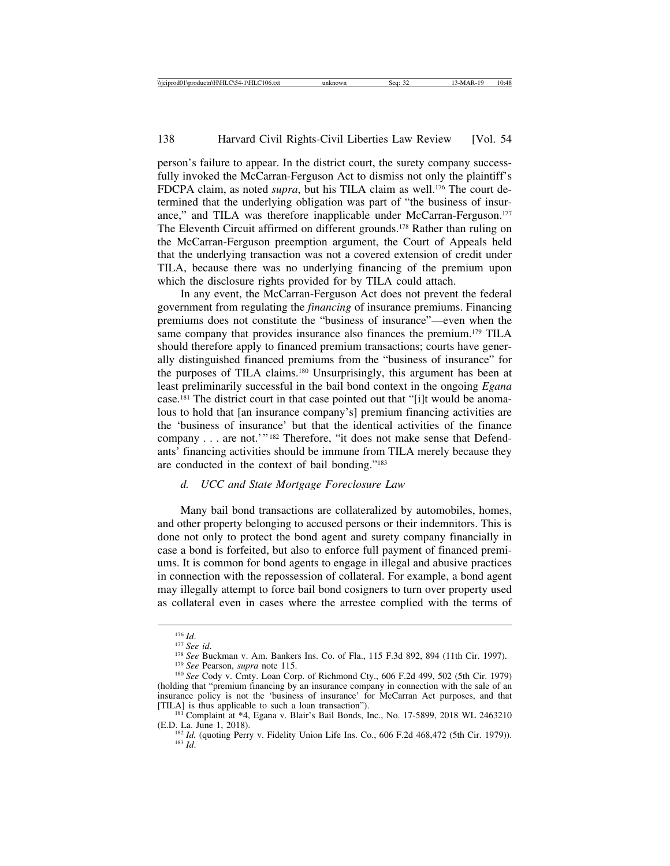person's failure to appear. In the district court, the surety company successfully invoked the McCarran-Ferguson Act to dismiss not only the plaintiff's FDCPA claim, as noted *supra*, but his TILA claim as well.<sup>176</sup> The court determined that the underlying obligation was part of "the business of insurance," and TILA was therefore inapplicable under McCarran-Ferguson.<sup>177</sup> The Eleventh Circuit affirmed on different grounds.178 Rather than ruling on the McCarran-Ferguson preemption argument, the Court of Appeals held that the underlying transaction was not a covered extension of credit under TILA, because there was no underlying financing of the premium upon which the disclosure rights provided for by TILA could attach.

In any event, the McCarran-Ferguson Act does not prevent the federal government from regulating the *financing* of insurance premiums. Financing premiums does not constitute the "business of insurance"—even when the same company that provides insurance also finances the premium.<sup>179</sup> TILA should therefore apply to financed premium transactions; courts have generally distinguished financed premiums from the "business of insurance" for the purposes of TILA claims.180 Unsurprisingly, this argument has been at least preliminarily successful in the bail bond context in the ongoing *Egana* case.181 The district court in that case pointed out that "[i]t would be anomalous to hold that [an insurance company's] premium financing activities are the 'business of insurance' but that the identical activities of the finance company . . . are not.'" 182 Therefore, "it does not make sense that Defendants' financing activities should be immune from TILA merely because they are conducted in the context of bail bonding."183

#### *d. UCC and State Mortgage Foreclosure Law*

Many bail bond transactions are collateralized by automobiles, homes, and other property belonging to accused persons or their indemnitors. This is done not only to protect the bond agent and surety company financially in case a bond is forfeited, but also to enforce full payment of financed premiums. It is common for bond agents to engage in illegal and abusive practices in connection with the repossession of collateral. For example, a bond agent may illegally attempt to force bail bond cosigners to turn over property used as collateral even in cases where the arrestee complied with the terms of

<sup>&</sup>lt;sup>176</sup> *Id.*<br><sup>177</sup> *See id.*<br><sup>178</sup> *See Buckman v. Am. Bankers Ins. Co. of Fla., 115 F.3d 892, 894 (11th Cir. 1997).*<br><sup>179</sup> *See Pearson, supra note 115.*<br><sup>180</sup> *See Cody v. Cmty. Loan Corp. of Richmond Cty., 606 F.2d 499,* 

<sup>(</sup>holding that "premium financing by an insurance company in connection with the sale of an insurance policy is not the 'business of insurance' for McCarran Act purposes, and that [TILA] is thus applicable to such a loan transaction").

<sup>&</sup>lt;sup>181</sup> Complaint at \*4, Egana v. Blair's Bail Bonds, Inc., No. 17-5899, 2018 WL 2463210 (E.D. La. June 1, 2018).

<sup>&</sup>lt;sup>182</sup> *Id.* (quoting Perry v. Fidelity Union Life Ins. Co., 606 F.2d 468,472 (5th Cir. 1979)). <sup>183</sup> *Id*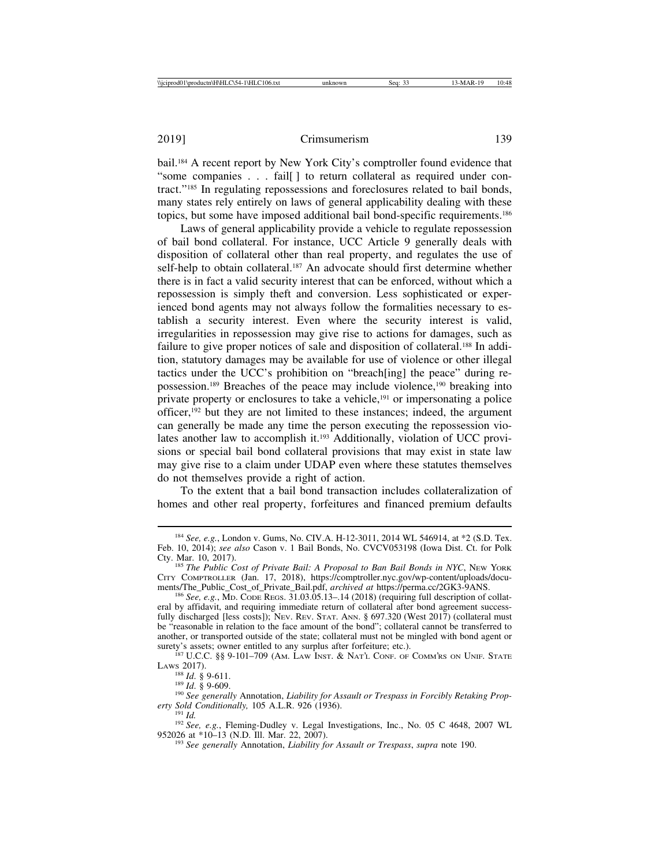2019] Crimsumerism 139

bail.184 A recent report by New York City's comptroller found evidence that "some companies . . . fail[ ] to return collateral as required under contract."185 In regulating repossessions and foreclosures related to bail bonds, many states rely entirely on laws of general applicability dealing with these topics, but some have imposed additional bail bond-specific requirements.186

Laws of general applicability provide a vehicle to regulate repossession of bail bond collateral. For instance, UCC Article 9 generally deals with disposition of collateral other than real property, and regulates the use of self-help to obtain collateral.<sup>187</sup> An advocate should first determine whether there is in fact a valid security interest that can be enforced, without which a repossession is simply theft and conversion. Less sophisticated or experienced bond agents may not always follow the formalities necessary to establish a security interest. Even where the security interest is valid, irregularities in repossession may give rise to actions for damages, such as failure to give proper notices of sale and disposition of collateral.<sup>188</sup> In addition, statutory damages may be available for use of violence or other illegal tactics under the UCC's prohibition on "breach[ing] the peace" during repossession.189 Breaches of the peace may include violence,190 breaking into private property or enclosures to take a vehicle,191 or impersonating a police officer,192 but they are not limited to these instances; indeed, the argument can generally be made any time the person executing the repossession violates another law to accomplish it.193 Additionally, violation of UCC provisions or special bail bond collateral provisions that may exist in state law may give rise to a claim under UDAP even where these statutes themselves do not themselves provide a right of action.

To the extent that a bail bond transaction includes collateralization of homes and other real property, forfeitures and financed premium defaults

187 U.C.C. §§ 9-101–709 (AM. LAW INST. & NAT'L CONF. OF COMM'RS ON UNIF. STATE Laws 2017).<br> $188$  *Id.* § 9-611.

<sup>184</sup> *See, e.g.*, London v. Gums, No. CIV.A. H-12-3011, 2014 WL 546914, at \*2 (S.D. Tex. Feb. 10, 2014); *see also* Cason v. 1 Bail Bonds, No. CVCV053198 (Iowa Dist. Ct. for Polk

<sup>&</sup>lt;sup>185</sup> The Public Cost of Private Bail: A Proposal to Ban Bail Bonds in NYC, NEW YORK CITY COMPTROLLER (Jan. 17, 2018), https://comptroller.nyc.gov/wp-content/uploads/docu-<br>ments/The Public Cost of Private Bail.pdf, *archived at* https://perma.cc/2GK3-9ANS.

<sup>&</sup>lt;sup>186</sup> See, e.g., MD. CODE REGS. 31.03.05.13–.14 (2018) (requiring full description of collateral by affidavit, and requiring immediate return of collateral after bond agreement successfully discharged [less costs]); NEV. REV. STAT. ANN. § 697.320 (West 2017) (collateral must be "reasonable in relation to the face amount of the bond"; collateral cannot be transferred to another, or transported outside of the state; collateral must not be mingled with bond agent or surety's assets; owner entitled to any surplus after forfeiture; etc.).

<sup>&</sup>lt;sup>189</sup> *Id.* § 9-609.<br><sup>190</sup> *See generally Annotation, Liability for Assault or Trespass in Forcibly Retaking Prop-*<br>*erty Sold Conditionally, 105 A.L.R. 926 (1936).* 

<sup>&</sup>lt;sup>191</sup> *Id.* <sup>192</sup> *See, e.g.*, Fleming-Dudley v. Legal Investigations, Inc., No. 05 C 4648, 2007 WL 952026 at \*10–13 (N.D. Ill. Mar. 22, 2007).

<sup>&</sup>lt;sup>193</sup> See generally Annotation, *Liability for Assault or Trespass*, *supra* note 190.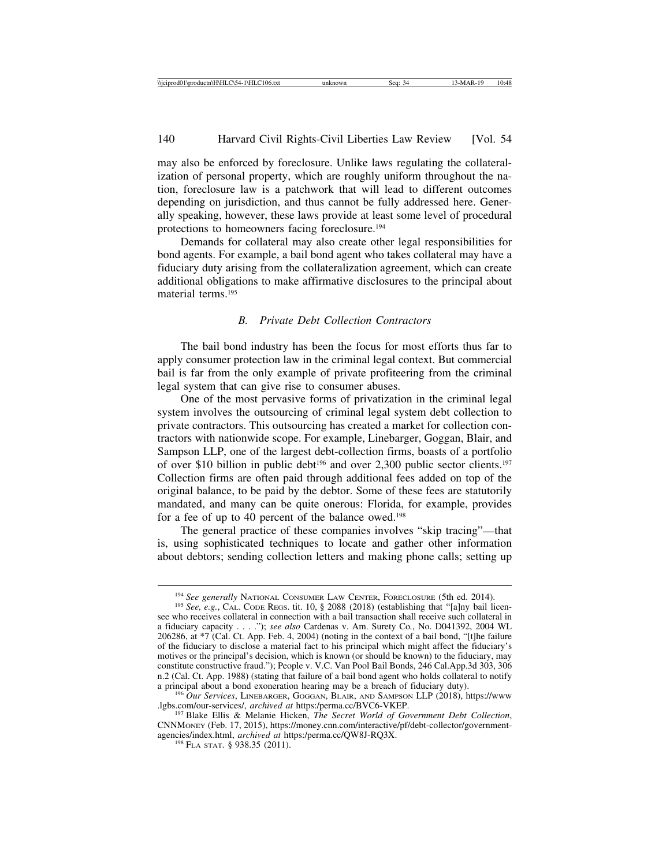may also be enforced by foreclosure. Unlike laws regulating the collateralization of personal property, which are roughly uniform throughout the nation, foreclosure law is a patchwork that will lead to different outcomes depending on jurisdiction, and thus cannot be fully addressed here. Generally speaking, however, these laws provide at least some level of procedural protections to homeowners facing foreclosure.194

Demands for collateral may also create other legal responsibilities for bond agents. For example, a bail bond agent who takes collateral may have a fiduciary duty arising from the collateralization agreement, which can create additional obligations to make affirmative disclosures to the principal about material terms<sup>195</sup>

## *B. Private Debt Collection Contractors*

The bail bond industry has been the focus for most efforts thus far to apply consumer protection law in the criminal legal context. But commercial bail is far from the only example of private profiteering from the criminal legal system that can give rise to consumer abuses.

One of the most pervasive forms of privatization in the criminal legal system involves the outsourcing of criminal legal system debt collection to private contractors. This outsourcing has created a market for collection contractors with nationwide scope. For example, Linebarger, Goggan, Blair, and Sampson LLP, one of the largest debt-collection firms, boasts of a portfolio of over \$10 billion in public debt<sup>196</sup> and over 2,300 public sector clients.<sup>197</sup> Collection firms are often paid through additional fees added on top of the original balance, to be paid by the debtor. Some of these fees are statutorily mandated, and many can be quite onerous: Florida, for example, provides for a fee of up to 40 percent of the balance owed.198

The general practice of these companies involves "skip tracing"—that is, using sophisticated techniques to locate and gather other information about debtors; sending collection letters and making phone calls; setting up

<sup>&</sup>lt;sup>194</sup> *See generally* NATIONAL CONSUMER LAW CENTER, FORECLOSURE (5th ed. 2014). <sup>195</sup> *See, e.g.*, CAL. CODE REGS. tit. 10, § 2088 (2018) (establishing that "[a]ny bail licensee who receives collateral in connection with a bail transaction shall receive such collateral in a fiduciary capacity . . . ."); *see also* Cardenas v. Am. Surety Co*.*, No. D041392, 2004 WL 206286, at \*7 (Cal. Ct. App. Feb. 4, 2004) (noting in the context of a bail bond, "[t]he failure of the fiduciary to disclose a material fact to his principal which might affect the fiduciary's motives or the principal's decision, which is known (or should be known) to the fiduciary, may constitute constructive fraud."); People v. V.C. Van Pool Bail Bonds, 246 Cal.App.3d 303, 306 n.2 (Cal. Ct. App. 1988) (stating that failure of a bail bond agent who holds collateral to notify

a principal about a bond exoneration hearing may be a breach of fiduciary duty).<br><sup>196</sup> *Our Services*, LINEBARGER, GOGGAN, BLAIR, AND SAMPSON LLP (2018), https://www.<br>.lgbs.com/our-services/, *archived at* https://perma.cc

<sup>&</sup>lt;sup>197</sup> Blake Ellis & Melanie Hicken, *The Secret World of Government Debt Collection*, CNNMONEY (Feb. 17, 2015), https://money.cnn.com/interactive/pf/debt-collector/governmentagencies/index.html, *archived at* https:/perma.cc/QW8J-RQ3X. <sup>198</sup> FLA STAT. § 938.35 (2011).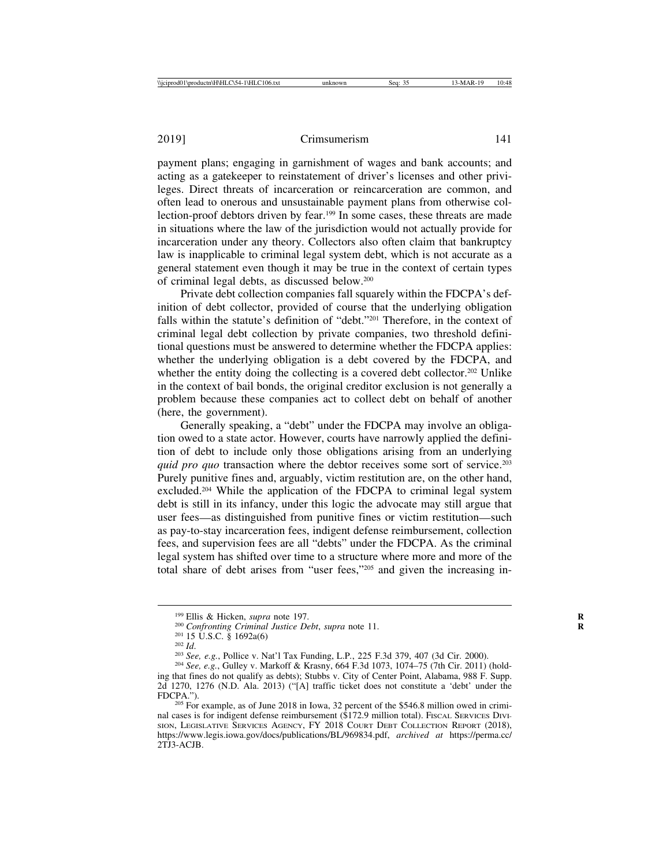payment plans; engaging in garnishment of wages and bank accounts; and acting as a gatekeeper to reinstatement of driver's licenses and other privileges. Direct threats of incarceration or reincarceration are common, and often lead to onerous and unsustainable payment plans from otherwise collection-proof debtors driven by fear.199 In some cases, these threats are made in situations where the law of the jurisdiction would not actually provide for incarceration under any theory. Collectors also often claim that bankruptcy law is inapplicable to criminal legal system debt, which is not accurate as a general statement even though it may be true in the context of certain types of criminal legal debts, as discussed below.200

Private debt collection companies fall squarely within the FDCPA's definition of debt collector, provided of course that the underlying obligation falls within the statute's definition of "debt."201 Therefore, in the context of criminal legal debt collection by private companies, two threshold definitional questions must be answered to determine whether the FDCPA applies: whether the underlying obligation is a debt covered by the FDCPA, and whether the entity doing the collecting is a covered debt collector.<sup>202</sup> Unlike in the context of bail bonds, the original creditor exclusion is not generally a problem because these companies act to collect debt on behalf of another (here, the government).

Generally speaking, a "debt" under the FDCPA may involve an obligation owed to a state actor. However, courts have narrowly applied the definition of debt to include only those obligations arising from an underlying *quid pro quo* transaction where the debtor receives some sort of service.<sup>203</sup> Purely punitive fines and, arguably, victim restitution are, on the other hand, excluded.204 While the application of the FDCPA to criminal legal system debt is still in its infancy, under this logic the advocate may still argue that user fees—as distinguished from punitive fines or victim restitution—such as pay-to-stay incarceration fees, indigent defense reimbursement, collection fees, and supervision fees are all "debts" under the FDCPA. As the criminal legal system has shifted over time to a structure where more and more of the total share of debt arises from "user fees,"205 and given the increasing in-

FDCPA."). <sup>205</sup> For example, as of June 2018 in Iowa, 32 percent of the \$546.8 million owed in criminal cases is for indigent defense reimbursement (\$172.9 million total). FISCAL SERVICES DIVI-SION, LEGISLATIVE SERVICES AGENCY, FY 2018 COURT DEBT COLLECTION REPORT (2018), https://www.legis.iowa.gov/docs/publications/BL/969834.pdf, *archived at* https://perma.cc/ 2TJ3-ACJB.

<sup>&</sup>lt;sup>199</sup> Ellis & Hicken, *supra* note 197.<br><sup>200</sup> Confronting Criminal Justice Debt, *supra* note 11.<br><sup>201</sup> 15 U.S.C. § 1692a(6)<br><sup>202</sup> Id.<br><sup>203</sup> See, e.g., Pollice v. Nat'l Tax Funding, L.P., 225 F.3d 379, 407 (3d Cir. 2000). ing that fines do not qualify as debts); Stubbs v. City of Center Point, Alabama, 988 F. Supp. 2d 1270, 1276 (N.D. Ala. 2013) ("[A] traffic ticket does not constitute a 'debt' under the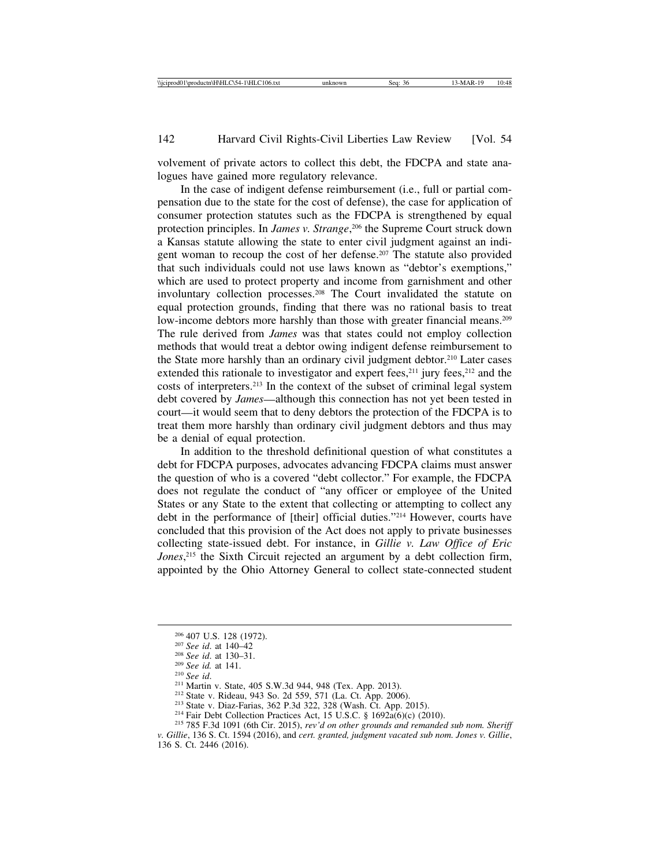volvement of private actors to collect this debt, the FDCPA and state analogues have gained more regulatory relevance.

In the case of indigent defense reimbursement (i.e., full or partial compensation due to the state for the cost of defense), the case for application of consumer protection statutes such as the FDCPA is strengthened by equal protection principles. In *James v. Strange*, 206 the Supreme Court struck down a Kansas statute allowing the state to enter civil judgment against an indigent woman to recoup the cost of her defense.207 The statute also provided that such individuals could not use laws known as "debtor's exemptions," which are used to protect property and income from garnishment and other involuntary collection processes.208 The Court invalidated the statute on equal protection grounds, finding that there was no rational basis to treat low-income debtors more harshly than those with greater financial means.<sup>209</sup> The rule derived from *James* was that states could not employ collection methods that would treat a debtor owing indigent defense reimbursement to the State more harshly than an ordinary civil judgment debtor.210 Later cases extended this rationale to investigator and expert fees, $211$  jury fees,  $212$  and the costs of interpreters.213 In the context of the subset of criminal legal system debt covered by *James*—although this connection has not yet been tested in court—it would seem that to deny debtors the protection of the FDCPA is to treat them more harshly than ordinary civil judgment debtors and thus may be a denial of equal protection.

In addition to the threshold definitional question of what constitutes a debt for FDCPA purposes, advocates advancing FDCPA claims must answer the question of who is a covered "debt collector." For example, the FDCPA does not regulate the conduct of "any officer or employee of the United States or any State to the extent that collecting or attempting to collect any debt in the performance of [their] official duties."214 However, courts have concluded that this provision of the Act does not apply to private businesses collecting state-issued debt. For instance, in *Gillie v. Law Office of Eric Jones*, 215 the Sixth Circuit rejected an argument by a debt collection firm, appointed by the Ohio Attorney General to collect state-connected student

<sup>&</sup>lt;sup>206</sup> 407 U.S. 128 (1972).<br>
<sup>207</sup> *See id.* at 140–42<br>
<sup>207</sup> *See id.* at 130–31.<br>
<sup>209</sup> *See id.* at 141.<br>
<sup>211</sup> Martin v. State, 405 S.W.3d 944, 948 (Tex. App. 2013).<br>
<sup>212</sup> Martin v. Rideau, 943 So. 2d 559, 571 (La. Ct *v. Gillie*, 136 S. Ct. 1594 (2016), and *cert. granted, judgment vacated sub nom. Jones v. Gillie*, 136 S. Ct. 2446 (2016).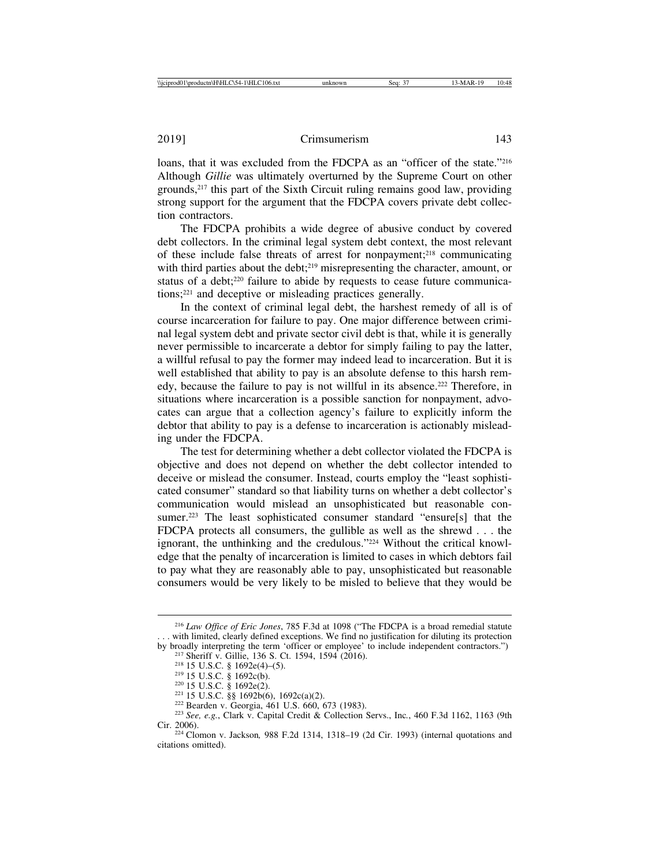loans, that it was excluded from the FDCPA as an "officer of the state."<sup>216</sup> Although *Gillie* was ultimately overturned by the Supreme Court on other grounds,217 this part of the Sixth Circuit ruling remains good law, providing strong support for the argument that the FDCPA covers private debt collection contractors.

The FDCPA prohibits a wide degree of abusive conduct by covered debt collectors. In the criminal legal system debt context, the most relevant of these include false threats of arrest for nonpayment;218 communicating with third parties about the debt;<sup>219</sup> misrepresenting the character, amount, or status of a debt;<sup>220</sup> failure to abide by requests to cease future communications;221 and deceptive or misleading practices generally.

In the context of criminal legal debt, the harshest remedy of all is of course incarceration for failure to pay. One major difference between criminal legal system debt and private sector civil debt is that, while it is generally never permissible to incarcerate a debtor for simply failing to pay the latter, a willful refusal to pay the former may indeed lead to incarceration. But it is well established that ability to pay is an absolute defense to this harsh remedy, because the failure to pay is not willful in its absence.<sup>222</sup> Therefore, in situations where incarceration is a possible sanction for nonpayment, advocates can argue that a collection agency's failure to explicitly inform the debtor that ability to pay is a defense to incarceration is actionably misleading under the FDCPA.

The test for determining whether a debt collector violated the FDCPA is objective and does not depend on whether the debt collector intended to deceive or mislead the consumer. Instead, courts employ the "least sophisticated consumer" standard so that liability turns on whether a debt collector's communication would mislead an unsophisticated but reasonable consumer.223 The least sophisticated consumer standard "ensure[s] that the FDCPA protects all consumers, the gullible as well as the shrewd . . . the ignorant, the unthinking and the credulous."224 Without the critical knowledge that the penalty of incarceration is limited to cases in which debtors fail to pay what they are reasonably able to pay, unsophisticated but reasonable consumers would be very likely to be misled to believe that they would be

<sup>216</sup> *Law Office of Eric Jones*, 785 F.3d at 1098 ("The FDCPA is a broad remedial statute ... with limited, clearly defined exceptions. We find no justification for diluting its protection by broadly interpreting the term 'officer or employee' to include independent contractors.")

<sup>&</sup>lt;sup>217</sup> Sheriff v. Gillie, 136 S. Ct. 1594, 1594 (2016).<br><sup>218</sup> 15 U.S.C. § 1692e(4)–(5).<br><sup>219</sup> 15 U.S.C. § 1692e(b).<br><sup>220</sup> 15 U.S.C. § 1692e(2).<br><sup>221</sup> 15 U.S.C. §§ 1692e(2).<br><sup>221</sup> 15 U.S.C. §§ 1692e(2).<br><sup>221</sup> Bearden v. Geo

Cir. 2006). <sup>224</sup> Clomon v. Jackson*,* 988 F.2d 1314, 1318–19 (2d Cir. 1993) (internal quotations and citations omitted).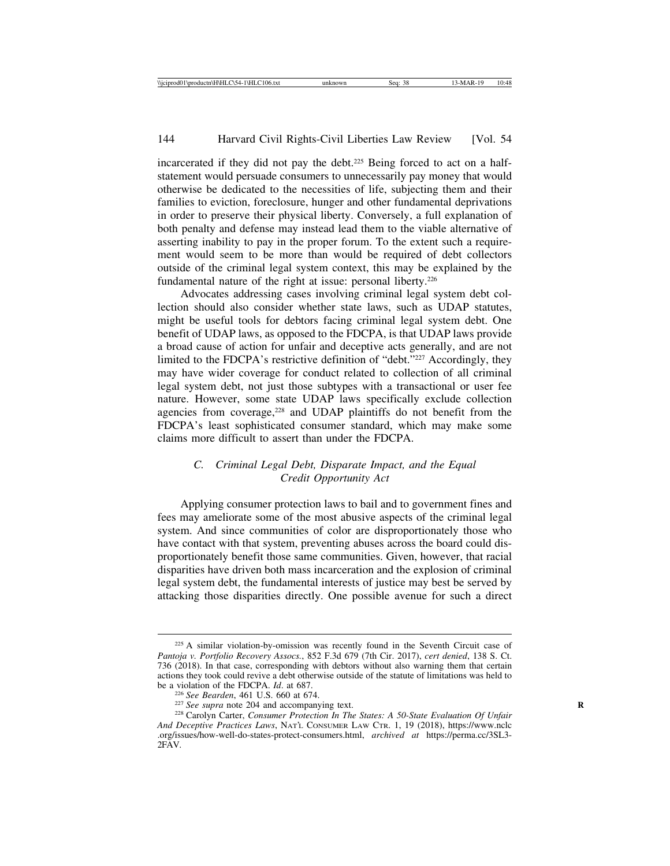incarcerated if they did not pay the debt.<sup>225</sup> Being forced to act on a halfstatement would persuade consumers to unnecessarily pay money that would otherwise be dedicated to the necessities of life, subjecting them and their families to eviction, foreclosure, hunger and other fundamental deprivations in order to preserve their physical liberty. Conversely, a full explanation of both penalty and defense may instead lead them to the viable alternative of asserting inability to pay in the proper forum. To the extent such a requirement would seem to be more than would be required of debt collectors outside of the criminal legal system context, this may be explained by the fundamental nature of the right at issue: personal liberty.<sup>226</sup>

Advocates addressing cases involving criminal legal system debt collection should also consider whether state laws, such as UDAP statutes, might be useful tools for debtors facing criminal legal system debt. One benefit of UDAP laws, as opposed to the FDCPA, is that UDAP laws provide a broad cause of action for unfair and deceptive acts generally, and are not limited to the FDCPA's restrictive definition of "debt."227 Accordingly, they may have wider coverage for conduct related to collection of all criminal legal system debt, not just those subtypes with a transactional or user fee nature. However, some state UDAP laws specifically exclude collection agencies from coverage,<sup>228</sup> and UDAP plaintiffs do not benefit from the FDCPA's least sophisticated consumer standard, which may make some claims more difficult to assert than under the FDCPA.

# *C. Criminal Legal Debt, Disparate Impact, and the Equal Credit Opportunity Act*

Applying consumer protection laws to bail and to government fines and fees may ameliorate some of the most abusive aspects of the criminal legal system. And since communities of color are disproportionately those who have contact with that system, preventing abuses across the board could disproportionately benefit those same communities. Given, however, that racial disparities have driven both mass incarceration and the explosion of criminal legal system debt, the fundamental interests of justice may best be served by attacking those disparities directly. One possible avenue for such a direct

<sup>&</sup>lt;sup>225</sup> A similar violation-by-omission was recently found in the Seventh Circuit case of *Pantoja v. Portfolio Recovery Assocs.*, 852 F.3d 679 (7th Cir. 2017), *cert denied*, 138 S. Ct. 736 (2018). In that case, corresponding with debtors without also warning them that certain actions they took could revive a debt otherwise outside of the statute of limitations was held to be a violation of the FDCPA. *Id.* at 687.<br><sup>226</sup> See Bearden, 461 U.S. 660 at 674.<br><sup>227</sup> See supra note 204 and accompanying text.<br><sup>228</sup> Carolyn Carter, *Consumer Protection In The States: A 50-State Evaluation Of Unfair* 

*And Deceptive Practices Laws*, NAT'L CONSUMER LAW CTR. 1, 19 (2018), https://www.nclc .org/issues/how-well-do-states-protect-consumers.html, *archived at* https://perma.cc/3SL3- 2FAV.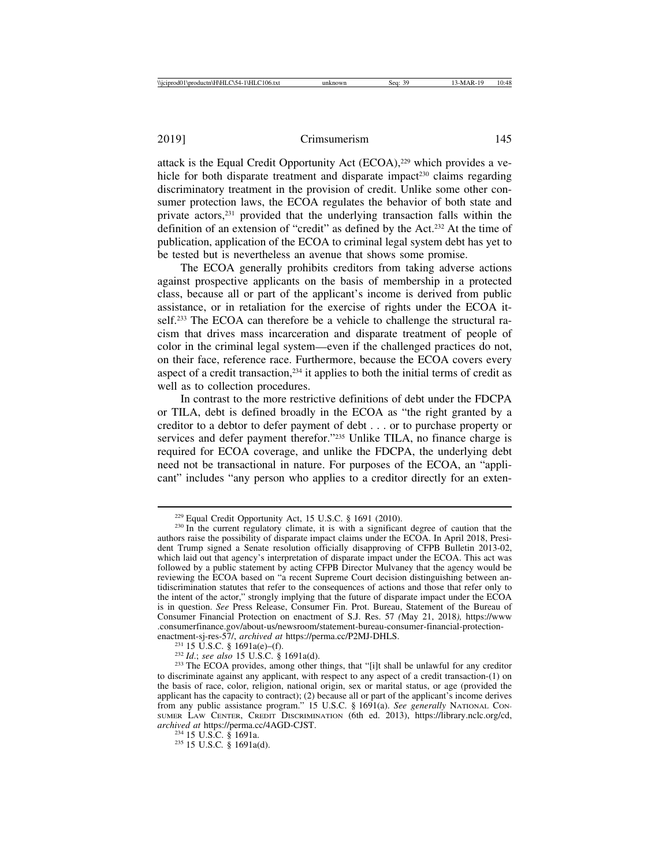attack is the Equal Credit Opportunity Act (ECOA),229 which provides a vehicle for both disparate treatment and disparate impact<sup>230</sup> claims regarding discriminatory treatment in the provision of credit. Unlike some other consumer protection laws, the ECOA regulates the behavior of both state and private actors,231 provided that the underlying transaction falls within the definition of an extension of "credit" as defined by the Act.232 At the time of publication, application of the ECOA to criminal legal system debt has yet to be tested but is nevertheless an avenue that shows some promise.

The ECOA generally prohibits creditors from taking adverse actions against prospective applicants on the basis of membership in a protected class, because all or part of the applicant's income is derived from public assistance, or in retaliation for the exercise of rights under the ECOA itself.<sup>233</sup> The ECOA can therefore be a vehicle to challenge the structural racism that drives mass incarceration and disparate treatment of people of color in the criminal legal system—even if the challenged practices do not, on their face, reference race. Furthermore, because the ECOA covers every aspect of a credit transaction, $234$  it applies to both the initial terms of credit as well as to collection procedures.

In contrast to the more restrictive definitions of debt under the FDCPA or TILA, debt is defined broadly in the ECOA as "the right granted by a creditor to a debtor to defer payment of debt . . . or to purchase property or services and defer payment therefor."<sup>235</sup> Unlike TILA, no finance charge is required for ECOA coverage, and unlike the FDCPA, the underlying debt need not be transactional in nature. For purposes of the ECOA, an "applicant" includes "any person who applies to a creditor directly for an exten-

<sup>&</sup>lt;sup>229</sup> Equal Credit Opportunity Act, 15 U.S.C. § 1691 (2010). <sup>230</sup> In the current regulatory climate, it is with a significant degree of caution that the authors raise the possibility of disparate impact claims under the ECOA. In April 2018, President Trump signed a Senate resolution officially disapproving of CFPB Bulletin 2013-02, which laid out that agency's interpretation of disparate impact under the ECOA. This act was followed by a public statement by acting CFPB Director Mulvaney that the agency would be reviewing the ECOA based on "a recent Supreme Court decision distinguishing between antidiscrimination statutes that refer to the consequences of actions and those that refer only to the intent of the actor," strongly implying that the future of disparate impact under the ECOA is in question. *See* Press Release, Consumer Fin. Prot. Bureau, Statement of the Bureau of Consumer Financial Protection on enactment of S.J. Res. 57 *(*May 21, 2018*),* https://www .consumerfinance.gov/about-us/newsroom/statement-bureau-consumer-financial-protection-

enactment-sj-res-57/, archived at https://perma.cc/P2MJ-DHLS.<br><sup>231</sup> 15 U.S.C. § 1691a(e)–(f).<br><sup>232</sup> Id.; see also 15 U.S.C. § 1691a(d).<br><sup>233</sup> The ECOA provides, among other things, that "[i]t shall be unlawful for any cre to discriminate against any applicant, with respect to any aspect of a credit transaction-(1) on the basis of race, color, religion, national origin, sex or marital status, or age (provided the applicant has the capacity to contract); (2) because all or part of the applicant's income derives from any public assistance program." 15 U.S.C. § 1691(a). *See generally* NATIONAL CON-SUMER LAW CENTER, CREDIT DISCRIMINATION (6th ed. 2013), https://library.nclc.org/cd, archived at https://perma.cc/4AGD-CJST.

<sup>&</sup>lt;sup>234</sup> 15 U.S.C. § 1691a.<br><sup>235</sup> 15 U.S.C. § 1691a(d).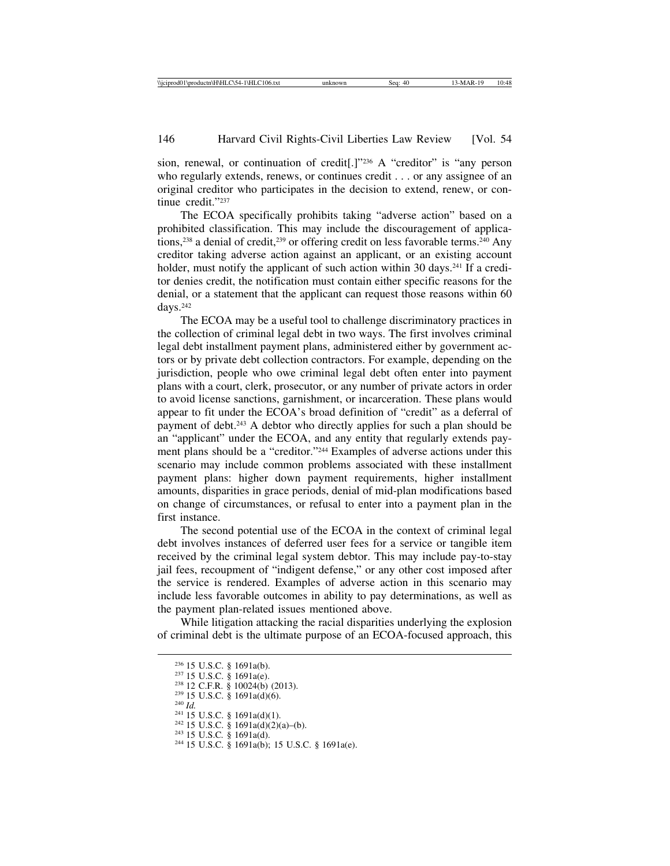sion, renewal, or continuation of credit[.]"236 A "creditor" is "any person who regularly extends, renews, or continues credit . . . or any assignee of an original creditor who participates in the decision to extend, renew, or continue credit."237

The ECOA specifically prohibits taking "adverse action" based on a prohibited classification. This may include the discouragement of applications,<sup>238</sup> a denial of credit,<sup>239</sup> or offering credit on less favorable terms.<sup>240</sup> Any creditor taking adverse action against an applicant, or an existing account holder, must notify the applicant of such action within 30 days.<sup>241</sup> If a creditor denies credit, the notification must contain either specific reasons for the denial, or a statement that the applicant can request those reasons within 60 days.242

The ECOA may be a useful tool to challenge discriminatory practices in the collection of criminal legal debt in two ways. The first involves criminal legal debt installment payment plans, administered either by government actors or by private debt collection contractors. For example, depending on the jurisdiction, people who owe criminal legal debt often enter into payment plans with a court, clerk, prosecutor, or any number of private actors in order to avoid license sanctions, garnishment, or incarceration. These plans would appear to fit under the ECOA's broad definition of "credit" as a deferral of payment of debt.243 A debtor who directly applies for such a plan should be an "applicant" under the ECOA, and any entity that regularly extends payment plans should be a "creditor."244 Examples of adverse actions under this scenario may include common problems associated with these installment payment plans: higher down payment requirements, higher installment amounts, disparities in grace periods, denial of mid-plan modifications based on change of circumstances, or refusal to enter into a payment plan in the first instance.

The second potential use of the ECOA in the context of criminal legal debt involves instances of deferred user fees for a service or tangible item received by the criminal legal system debtor. This may include pay-to-stay jail fees, recoupment of "indigent defense," or any other cost imposed after the service is rendered. Examples of adverse action in this scenario may include less favorable outcomes in ability to pay determinations, as well as the payment plan-related issues mentioned above.

While litigation attacking the racial disparities underlying the explosion of criminal debt is the ultimate purpose of an ECOA-focused approach, this

```
<sup>236</sup> 15 U.S.C. § 1691a(b).<br>
<sup>237</sup> 15 U.S.C. § 1691a(e).<br>
<sup>237</sup> 15 U.S.C. § 1691a(e).<br>
<sup>238</sup> 12 C.F.R. § 10024(b) (2013).<br>
<sup>240</sup> Id.<br>
<sup>241</sup> 15 U.S.C. § 1691a(d)(1).<br>
<sup>242</sup> 15 U.S.C. § 1691a(d)(2)(a)-(b).<br>
<sup>243</sup> 15 U.S.C
```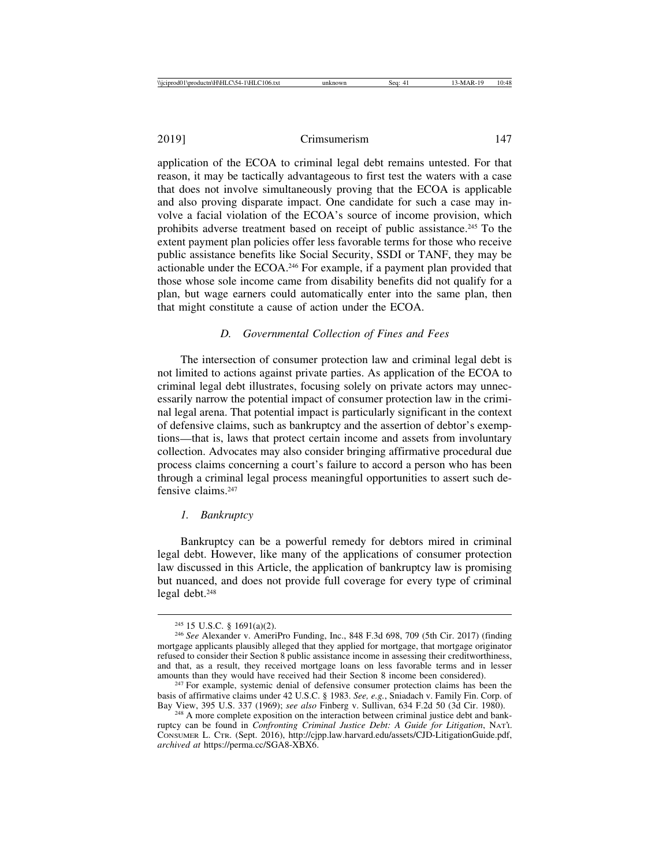2019] Crimsumerism 147

application of the ECOA to criminal legal debt remains untested. For that reason, it may be tactically advantageous to first test the waters with a case that does not involve simultaneously proving that the ECOA is applicable and also proving disparate impact. One candidate for such a case may involve a facial violation of the ECOA's source of income provision, which prohibits adverse treatment based on receipt of public assistance.245 To the extent payment plan policies offer less favorable terms for those who receive public assistance benefits like Social Security, SSDI or TANF, they may be actionable under the ECOA.246 For example, if a payment plan provided that those whose sole income came from disability benefits did not qualify for a plan, but wage earners could automatically enter into the same plan, then that might constitute a cause of action under the ECOA.

#### *D. Governmental Collection of Fines and Fees*

The intersection of consumer protection law and criminal legal debt is not limited to actions against private parties. As application of the ECOA to criminal legal debt illustrates, focusing solely on private actors may unnecessarily narrow the potential impact of consumer protection law in the criminal legal arena. That potential impact is particularly significant in the context of defensive claims, such as bankruptcy and the assertion of debtor's exemptions—that is, laws that protect certain income and assets from involuntary collection. Advocates may also consider bringing affirmative procedural due process claims concerning a court's failure to accord a person who has been through a criminal legal process meaningful opportunities to assert such defensive claims.<sup>247</sup>

#### *1. Bankruptcy*

Bankruptcy can be a powerful remedy for debtors mired in criminal legal debt. However, like many of the applications of consumer protection law discussed in this Article, the application of bankruptcy law is promising but nuanced, and does not provide full coverage for every type of criminal legal debt.248

<sup>245</sup> 15 U.S.C. § 1691(a)(2). <sup>246</sup> *See* Alexander v. AmeriPro Funding, Inc., 848 F.3d 698, 709 (5th Cir. 2017) (finding mortgage applicants plausibly alleged that they applied for mortgage, that mortgage originator refused to consider their Section 8 public assistance income in assessing their creditworthiness, and that, as a result, they received mortgage loans on less favorable terms and in lesser

<sup>&</sup>lt;sup>247</sup> For example, systemic denial of defensive consumer protection claims has been the basis of affirmative claims under 42 U.S.C. § 1983. *See, e.g.*, Sniadach v. Family Fin. Corp. of

<sup>&</sup>lt;sup>248</sup> A more complete exposition on the interaction between criminal justice debt and bankruptcy can be found in *Confronting Criminal Justice Debt: A Guide for Litigation*, NAT'L CONSUMER L. CTR. (Sept. 2016), http://cjpp.law.harvard.edu/assets/CJD-LitigationGuide.pdf, *archived at* https://perma.cc/SGA8-XBX6.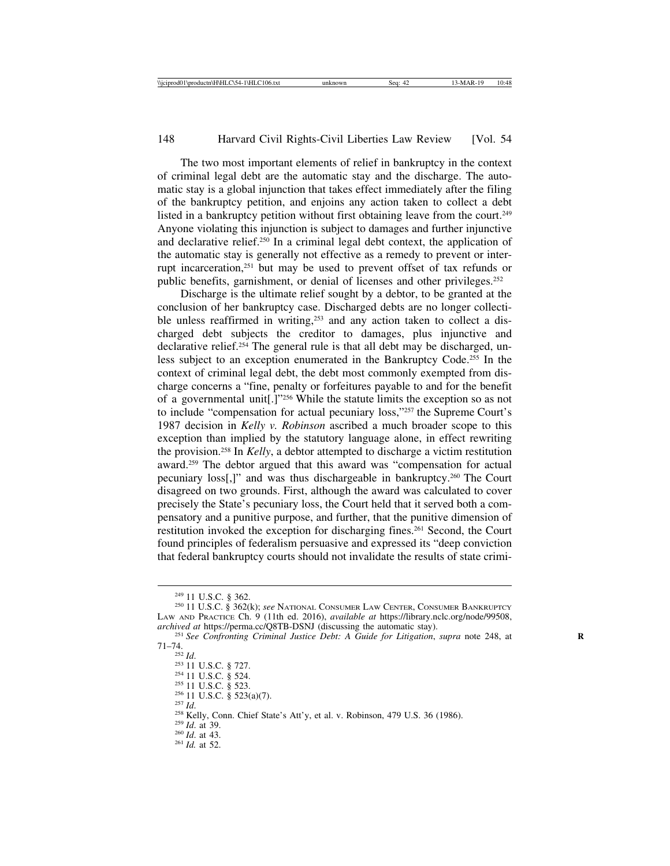The two most important elements of relief in bankruptcy in the context of criminal legal debt are the automatic stay and the discharge. The automatic stay is a global injunction that takes effect immediately after the filing of the bankruptcy petition, and enjoins any action taken to collect a debt listed in a bankruptcy petition without first obtaining leave from the court.<sup>249</sup> Anyone violating this injunction is subject to damages and further injunctive and declarative relief.250 In a criminal legal debt context, the application of the automatic stay is generally not effective as a remedy to prevent or interrupt incarceration,251 but may be used to prevent offset of tax refunds or public benefits, garnishment, or denial of licenses and other privileges.252

Discharge is the ultimate relief sought by a debtor, to be granted at the conclusion of her bankruptcy case. Discharged debts are no longer collectible unless reaffirmed in writing,<sup>253</sup> and any action taken to collect a discharged debt subjects the creditor to damages, plus injunctive and declarative relief.254 The general rule is that all debt may be discharged, unless subject to an exception enumerated in the Bankruptcy Code.255 In the context of criminal legal debt, the debt most commonly exempted from discharge concerns a "fine, penalty or forfeitures payable to and for the benefit of a governmental unit[.]"256 While the statute limits the exception so as not to include "compensation for actual pecuniary loss,"257 the Supreme Court's 1987 decision in *Kelly v. Robinson* ascribed a much broader scope to this exception than implied by the statutory language alone, in effect rewriting the provision.258 In *Kelly*, a debtor attempted to discharge a victim restitution award.259 The debtor argued that this award was "compensation for actual pecuniary loss[,]" and was thus dischargeable in bankruptcy.260 The Court disagreed on two grounds. First, although the award was calculated to cover precisely the State's pecuniary loss, the Court held that it served both a compensatory and a punitive purpose, and further, that the punitive dimension of restitution invoked the exception for discharging fines.261 Second, the Court found principles of federalism persuasive and expressed its "deep conviction that federal bankruptcy courts should not invalidate the results of state crimi-

<sup>&</sup>lt;sup>249</sup> 11 U.S.C. § 362.<br><sup>250</sup> 11 U.S.C. § 362(k); *see* National Consumer Law Center, Consumer Bankruptcy LAW AND PRACTICE Ch. 9 (11th ed. 2016), *available at* https://library.nclc.org/node/99508, *archived at https://perma.cc/Q8TB-DSNJ* (discussing the automatic stay). <sup>251</sup> *See Confronting Criminal Justice Debt: A Guide for Litigation, supra* note 248, at

<sup>71–74.&</sup>lt;br> $\frac{252}{10}$  *Id.* 

<sup>&</sup>lt;sup>253</sup> 11 U.S.C. § 727.<br><sup>254</sup> 11 U.S.C. § 524.<br><sup>255</sup> 11 U.S.C. § 523.<br><sup>256</sup> 11 U.S.C. § 523.<br><sup>256</sup> 14.<br><sup>257</sup> Id.<br><sup>258</sup> Kelly, Conn. Chief State's Att'y, et al. v. Robinson, 479 U.S. 36 (1986).<br><sup>258</sup> Id. at 39.<br><sup>250</sup> Id. at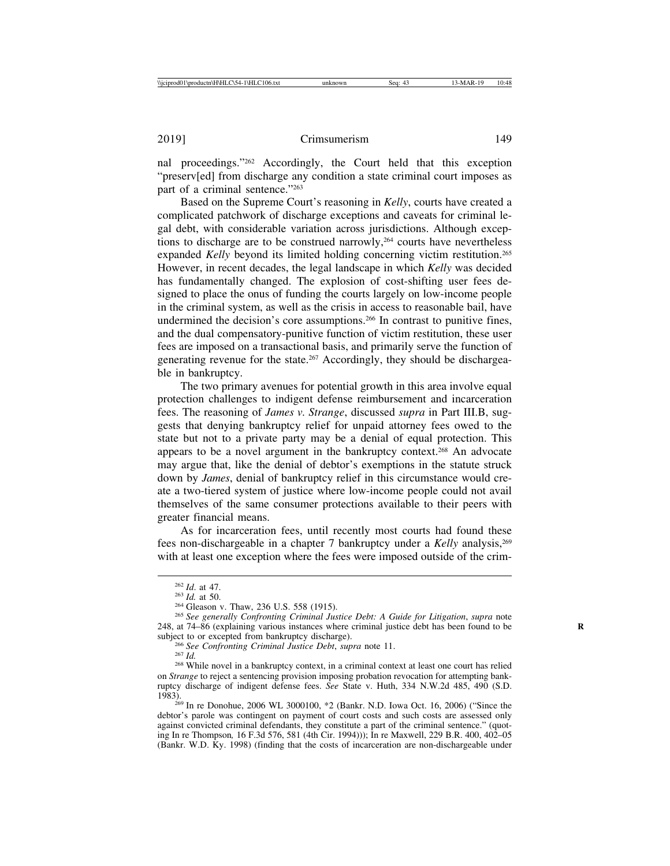nal proceedings."262 Accordingly, the Court held that this exception "preserv[ed] from discharge any condition a state criminal court imposes as part of a criminal sentence."263

Based on the Supreme Court's reasoning in *Kelly*, courts have created a complicated patchwork of discharge exceptions and caveats for criminal legal debt, with considerable variation across jurisdictions. Although exceptions to discharge are to be construed narrowly,<sup>264</sup> courts have nevertheless expanded *Kelly* beyond its limited holding concerning victim restitution.265 However, in recent decades, the legal landscape in which *Kelly* was decided has fundamentally changed. The explosion of cost-shifting user fees designed to place the onus of funding the courts largely on low-income people in the criminal system, as well as the crisis in access to reasonable bail, have undermined the decision's core assumptions.266 In contrast to punitive fines, and the dual compensatory-punitive function of victim restitution, these user fees are imposed on a transactional basis, and primarily serve the function of generating revenue for the state.<sup>267</sup> Accordingly, they should be dischargeable in bankruptcy.

The two primary avenues for potential growth in this area involve equal protection challenges to indigent defense reimbursement and incarceration fees. The reasoning of *James v. Strange*, discussed *supra* in Part III.B, suggests that denying bankruptcy relief for unpaid attorney fees owed to the state but not to a private party may be a denial of equal protection. This appears to be a novel argument in the bankruptcy context.268 An advocate may argue that, like the denial of debtor's exemptions in the statute struck down by *James*, denial of bankruptcy relief in this circumstance would create a two-tiered system of justice where low-income people could not avail themselves of the same consumer protections available to their peers with greater financial means.

As for incarceration fees, until recently most courts had found these fees non-dischargeable in a chapter 7 bankruptcy under a *Kelly* analysis,269 with at least one exception where the fees were imposed outside of the crim-

<sup>262</sup> *Id*. at 47. <sup>263</sup> *Id.* at 50. <sup>264</sup> Gleason v. Thaw, 236 U.S. 558 (1915). <sup>265</sup> *See generally Confronting Criminal Justice Debt: A Guide for Litigation*, *supra* note 248, at 74–86 (explaining various instances where criminal justice debt has been found to be **R** subject to or excepted from bankruptcy discharge).<br><sup>266</sup> See Confronting Criminal Justice Debt, supra note 11.<br><sup>267</sup> Id.<br><sup>268</sup> While novel in a bankruptcy context, in a criminal context at least one court has relied

on *Strange* to reject a sentencing provision imposing probation revocation for attempting bankruptcy discharge of indigent defense fees. *See* State v. Huth, 334 N.W.2d 485, 490 (S.D.

<sup>1983).&</sup>lt;br><sup>269</sup> In re Donohue, 2006 WL 3000100, \*2 (Bankr. N.D. Iowa Oct. 16, 2006) ("Since the debtor's parole was contingent on payment of court costs and such costs are assessed only against convicted criminal defendants, they constitute a part of the criminal sentence." (quoting In re Thompson*,* 16 F.3d 576, 581 (4th Cir. 1994))); In re Maxwell, 229 B.R. 400, 402–05 (Bankr. W.D. Ky. 1998) (finding that the costs of incarceration are non-dischargeable under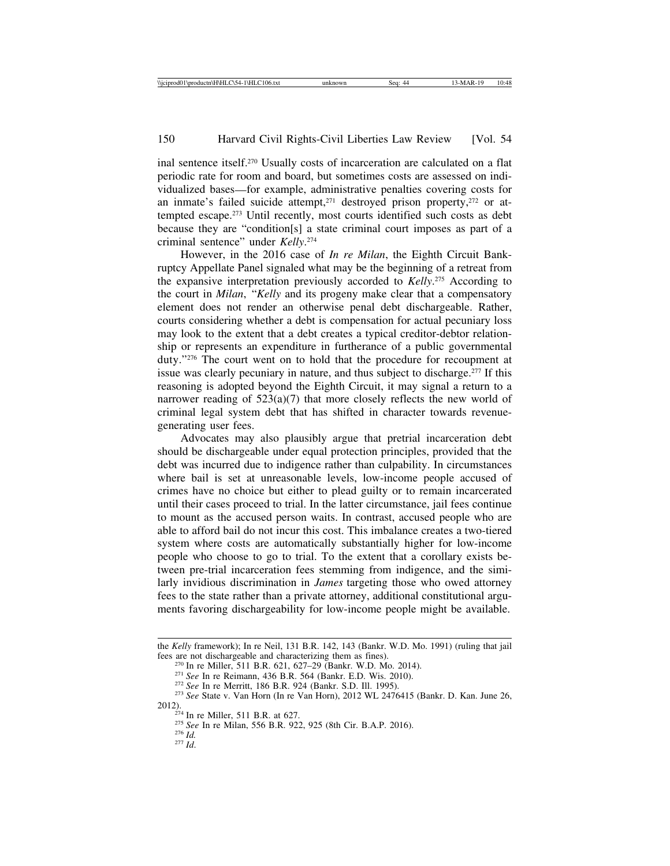inal sentence itself.270 Usually costs of incarceration are calculated on a flat periodic rate for room and board, but sometimes costs are assessed on individualized bases—for example, administrative penalties covering costs for an inmate's failed suicide attempt,<sup>271</sup> destroyed prison property,<sup>272</sup> or attempted escape.273 Until recently, most courts identified such costs as debt because they are "condition[s] a state criminal court imposes as part of a criminal sentence" under *Kelly*. 274

However, in the 2016 case of *In re Milan*, the Eighth Circuit Bankruptcy Appellate Panel signaled what may be the beginning of a retreat from the expansive interpretation previously accorded to *Kelly*. 275 According to the court in *Milan*, "*Kelly* and its progeny make clear that a compensatory element does not render an otherwise penal debt dischargeable. Rather, courts considering whether a debt is compensation for actual pecuniary loss may look to the extent that a debt creates a typical creditor-debtor relationship or represents an expenditure in furtherance of a public governmental duty."276 The court went on to hold that the procedure for recoupment at issue was clearly pecuniary in nature, and thus subject to discharge.277 If this reasoning is adopted beyond the Eighth Circuit, it may signal a return to a narrower reading of  $523(a)(7)$  that more closely reflects the new world of criminal legal system debt that has shifted in character towards revenuegenerating user fees.

Advocates may also plausibly argue that pretrial incarceration debt should be dischargeable under equal protection principles, provided that the debt was incurred due to indigence rather than culpability. In circumstances where bail is set at unreasonable levels, low-income people accused of crimes have no choice but either to plead guilty or to remain incarcerated until their cases proceed to trial. In the latter circumstance, jail fees continue to mount as the accused person waits. In contrast, accused people who are able to afford bail do not incur this cost. This imbalance creates a two-tiered system where costs are automatically substantially higher for low-income people who choose to go to trial. To the extent that a corollary exists between pre-trial incarceration fees stemming from indigence, and the similarly invidious discrimination in *James* targeting those who owed attorney fees to the state rather than a private attorney, additional constitutional arguments favoring dischargeability for low-income people might be available.

the *Kelly* framework); In re Neil, 131 B.R. 142, 143 (Bankr. W.D. Mo. 1991) (ruling that jail fees are not dischargeable and characterizing them as fines).

<sup>&</sup>lt;sup>270</sup> In re Miller, 511 B.R. 621, 627–29 (Bankr. W.D. Mo. 2014).<br><sup>271</sup> See In re Reimann, 436 B.R. 564 (Bankr. E.D. Wis. 2010).<br><sup>272</sup> See In re Merritt, 186 B.R. 924 (Bankr. S.D. III. 1995).<br><sup>273</sup> See State v. Van Horn (I 2012). <sup>274</sup> In re Miller, 511 B.R. at 627. <sup>275</sup> *See* In re Milan, 556 B.R. 922, 925 (8th Cir. B.A.P. 2016). <sup>276</sup> *Id.* <sup>277</sup> *Id*.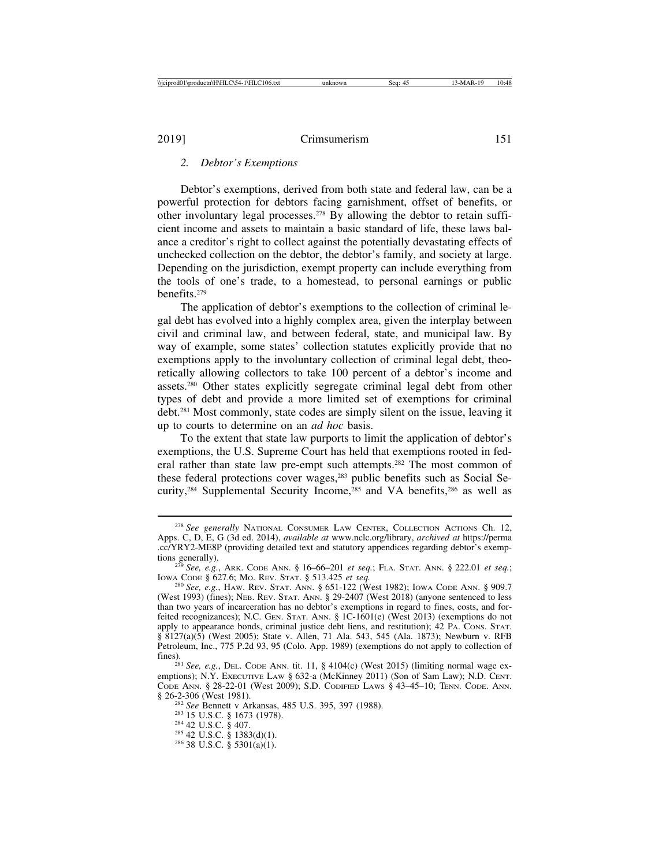#### *2. Debtor's Exemptions*

Debtor's exemptions, derived from both state and federal law, can be a powerful protection for debtors facing garnishment, offset of benefits, or other involuntary legal processes.<sup>278</sup> By allowing the debtor to retain sufficient income and assets to maintain a basic standard of life, these laws balance a creditor's right to collect against the potentially devastating effects of unchecked collection on the debtor, the debtor's family, and society at large. Depending on the jurisdiction, exempt property can include everything from the tools of one's trade, to a homestead, to personal earnings or public benefits.279

The application of debtor's exemptions to the collection of criminal legal debt has evolved into a highly complex area, given the interplay between civil and criminal law, and between federal, state, and municipal law. By way of example, some states' collection statutes explicitly provide that no exemptions apply to the involuntary collection of criminal legal debt, theoretically allowing collectors to take 100 percent of a debtor's income and assets.280 Other states explicitly segregate criminal legal debt from other types of debt and provide a more limited set of exemptions for criminal debt.281 Most commonly, state codes are simply silent on the issue, leaving it up to courts to determine on an *ad hoc* basis.

To the extent that state law purports to limit the application of debtor's exemptions, the U.S. Supreme Court has held that exemptions rooted in federal rather than state law pre-empt such attempts.282 The most common of these federal protections cover wages,283 public benefits such as Social Security,284 Supplemental Security Income,285 and VA benefits,286 as well as

<sup>278</sup> *See generally* NATIONAL CONSUMER LAW CENTER, COLLECTION ACTIONS Ch. 12, Apps. C, D, E, G (3d ed. 2014), *available at* www.nclc.org/library, *archived at* https://perma .cc/YRY2-ME8P (providing detailed text and statutory appendices regarding debtor's exemp-

tions generally). <sup>279</sup> *See, e.g.*, ARK. CODE ANN. § 16–66–201 *et seq.*; FLA. STAT. ANN. § 222.01 *et seq.*;

<sup>&</sup>lt;sup>280</sup> See, e.g., HAW. REV. STAT. ANN. § 651-122 (West 1982); IOWA CODE ANN. § 909.7 (West 1993) (fines); NEB. REV. STAT. ANN. § 29-2407 (West 2018) (anyone sentenced to less than two years of incarceration has no debtor's exemptions in regard to fines, costs, and forfeited recognizances); N.C. GEN. STAT. ANN. § 1C-1601(e) (West 2013) (exemptions do not apply to appearance bonds, criminal justice debt liens, and restitution); 42 PA. CONS. STAT. § 8127(a)(5) (West 2005); State v. Allen, 71 Ala. 543, 545 (Ala. 1873); Newburn v. RFB Petroleum, Inc., 775 P.2d 93, 95 (Colo. App. 1989) (exemptions do not apply to collection of

<sup>&</sup>lt;sup>281</sup> *See, e.g.*, DEL. CODE ANN. tit. 11, § 4104(c) (West 2015) (limiting normal wage exemptions); N.Y. EXECUTIVE LAW § 632-a (McKinney 2011) (Son of Sam Law); N.D. CENT. CODE ANN. § 28-22-01 (West 2009); S.D. CODIFIED LAWS § 43–45–10; TENN. CODE. ANN. § 26-2-306 (West 1981).<br><sup>282</sup> *See* Bennett v Arkansas, 485 U.S. 395, 397 (1988).<br><sup>283</sup> 15 U.S.C. § 1673 (1978).<br><sup>284</sup> 42 U.S.C. § 407.<br><sup>285</sup> 42 U.S.C. § 1383(d)(1).<br><sup>286</sup> 38 U.S.C. § 5301(a)(1).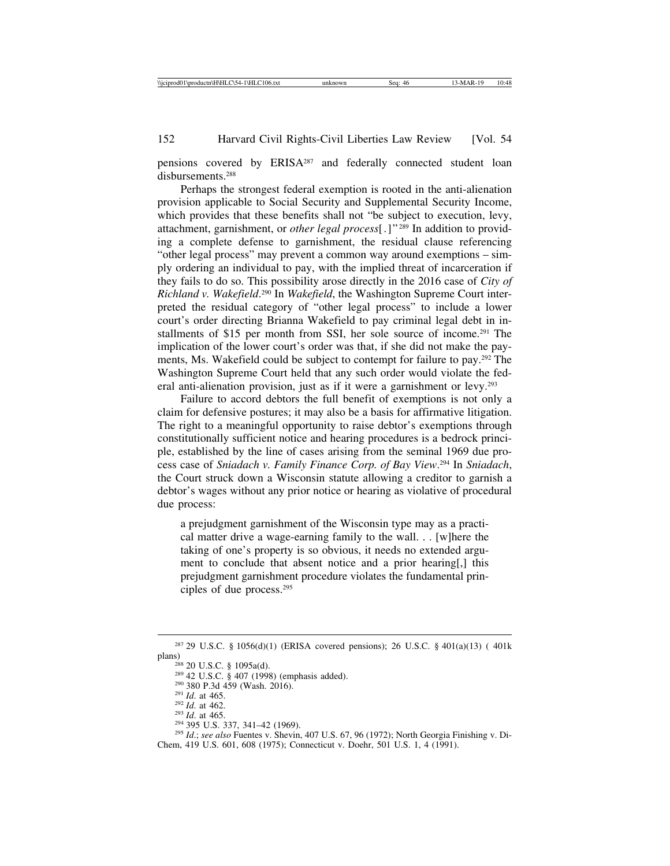pensions covered by ERISA287 and federally connected student loan disbursements.<sup>288</sup>

Perhaps the strongest federal exemption is rooted in the anti-alienation provision applicable to Social Security and Supplemental Security Income, which provides that these benefits shall not "be subject to execution, levy, attachment, garnishment, or *other legal process*[.]" 289 In addition to providing a complete defense to garnishment, the residual clause referencing "other legal process" may prevent a common way around exemptions – simply ordering an individual to pay, with the implied threat of incarceration if they fails to do so. This possibility arose directly in the 2016 case of *City of Richland v. Wakefield*. <sup>290</sup> In *Wakefield*, the Washington Supreme Court interpreted the residual category of "other legal process" to include a lower court's order directing Brianna Wakefield to pay criminal legal debt in installments of \$15 per month from SSI, her sole source of income.291 The implication of the lower court's order was that, if she did not make the payments, Ms. Wakefield could be subject to contempt for failure to pay.292 The Washington Supreme Court held that any such order would violate the federal anti-alienation provision, just as if it were a garnishment or levy.293

Failure to accord debtors the full benefit of exemptions is not only a claim for defensive postures; it may also be a basis for affirmative litigation. The right to a meaningful opportunity to raise debtor's exemptions through constitutionally sufficient notice and hearing procedures is a bedrock principle, established by the line of cases arising from the seminal 1969 due process case of *Sniadach v. Family Finance Corp. of Bay View*. 294 In *Sniadach*, the Court struck down a Wisconsin statute allowing a creditor to garnish a debtor's wages without any prior notice or hearing as violative of procedural due process:

a prejudgment garnishment of the Wisconsin type may as a practical matter drive a wage-earning family to the wall. . . [w]here the taking of one's property is so obvious, it needs no extended argument to conclude that absent notice and a prior hearing[,] this prejudgment garnishment procedure violates the fundamental principles of due process.295

Chem, 419 U.S. 601, 608 (1975); Connecticut v. Doehr, 501 U.S. 1, 4 (1991).

<sup>287</sup> 29 U.S.C. § 1056(d)(1) (ERISA covered pensions); 26 U.S.C. § 401(a)(13) ( 401k plans)<br>
<sup>288</sup> 20 U.S.C. § 1095a(d).<br>
<sup>299</sup> 42 U.S.C. § 407 (1998) (emphasis added).<br>
<sup>290</sup> 380 P.3d 459 (Wash. 2016).<br>
<sup>291</sup> *Id.* at 465.<br>
<sup>293</sup> *Id.* at 465.<br>
<sup>293</sup> *Id.* at 465.<br>
<sup>294</sup> 395 U.S. 337, 341–42 (1969).<br>
<sup>29</sup>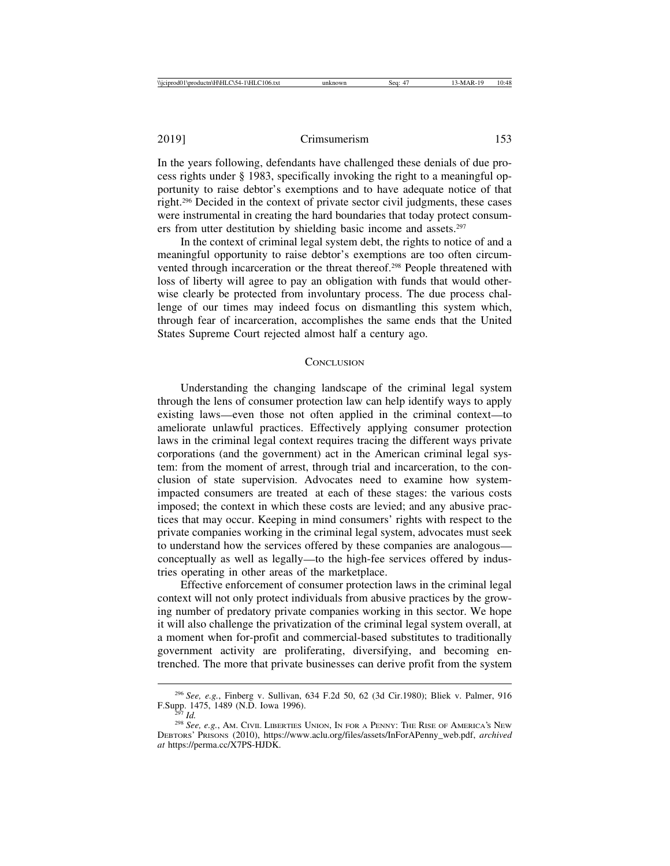2019] Crimsumerism 153

In the years following, defendants have challenged these denials of due process rights under § 1983, specifically invoking the right to a meaningful opportunity to raise debtor's exemptions and to have adequate notice of that right.296 Decided in the context of private sector civil judgments, these cases were instrumental in creating the hard boundaries that today protect consumers from utter destitution by shielding basic income and assets.297

In the context of criminal legal system debt, the rights to notice of and a meaningful opportunity to raise debtor's exemptions are too often circumvented through incarceration or the threat thereof.<sup>298</sup> People threatened with loss of liberty will agree to pay an obligation with funds that would otherwise clearly be protected from involuntary process. The due process challenge of our times may indeed focus on dismantling this system which, through fear of incarceration, accomplishes the same ends that the United States Supreme Court rejected almost half a century ago.

#### **CONCLUSION**

Understanding the changing landscape of the criminal legal system through the lens of consumer protection law can help identify ways to apply existing laws—even those not often applied in the criminal context—to ameliorate unlawful practices. Effectively applying consumer protection laws in the criminal legal context requires tracing the different ways private corporations (and the government) act in the American criminal legal system: from the moment of arrest, through trial and incarceration, to the conclusion of state supervision. Advocates need to examine how systemimpacted consumers are treated at each of these stages: the various costs imposed; the context in which these costs are levied; and any abusive practices that may occur. Keeping in mind consumers' rights with respect to the private companies working in the criminal legal system, advocates must seek to understand how the services offered by these companies are analogous conceptually as well as legally—to the high-fee services offered by industries operating in other areas of the marketplace.

Effective enforcement of consumer protection laws in the criminal legal context will not only protect individuals from abusive practices by the growing number of predatory private companies working in this sector. We hope it will also challenge the privatization of the criminal legal system overall, at a moment when for-profit and commercial-based substitutes to traditionally government activity are proliferating, diversifying, and becoming entrenched. The more that private businesses can derive profit from the system

<sup>&</sup>lt;sup>296</sup> *See, e.g.*, Finberg v. Sullivan, 634 F.2d 50, 62 (3d Cir.1980); Bliek v. Palmer, 916 F.Supp. 1475, 1489 (N.D. Iowa 1996).

<sup>&</sup>lt;sup>297</sup> Id.<br><sup>298</sup> See, e.g., Am. Civil Liberties Union, In for a Penny: The Rise of America's New DEBTORS' PRISONS (2010), https://www.aclu.org/files/assets/InForAPenny\_web.pdf, *archived at* https://perma.cc/X7PS-HJDK.